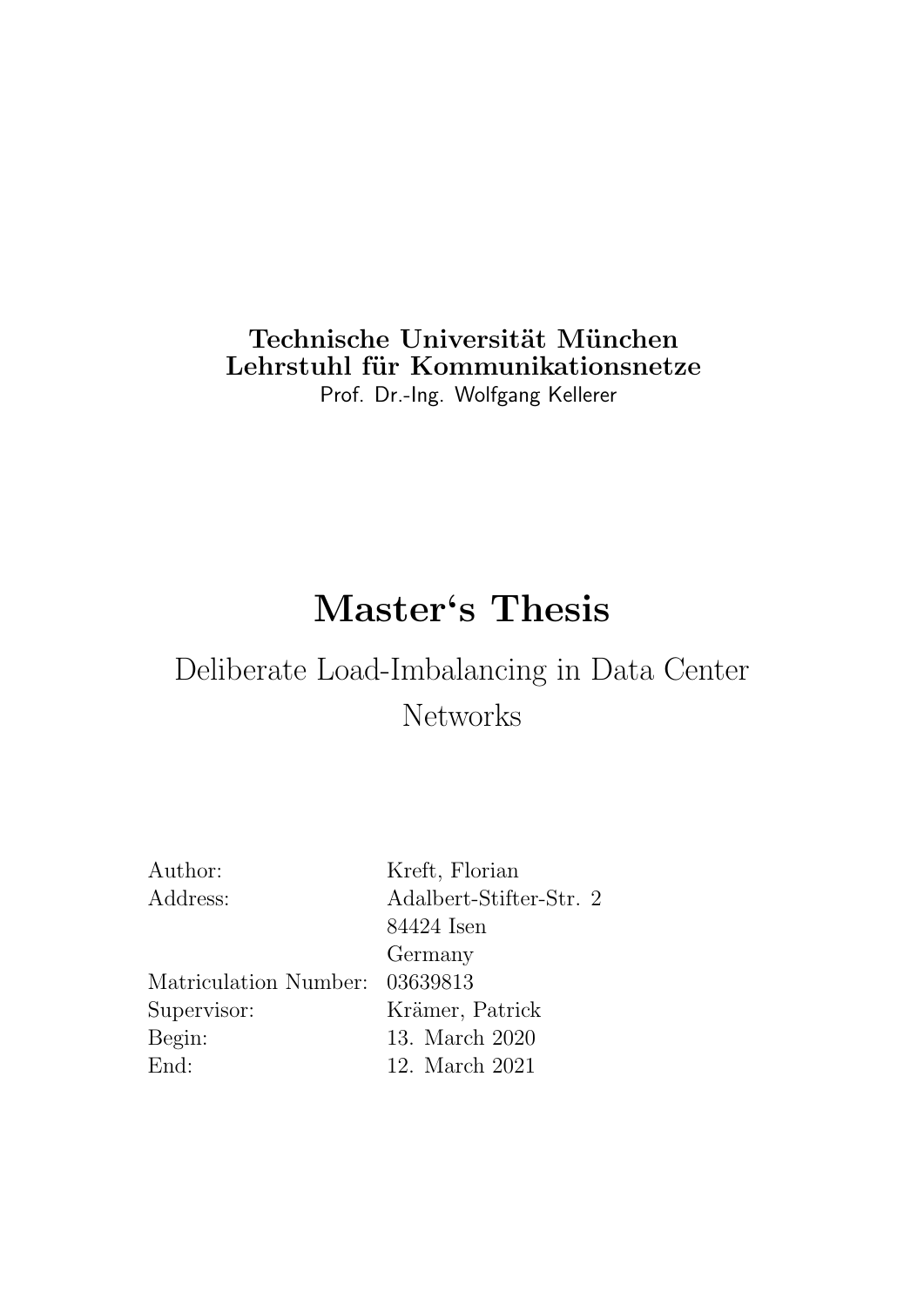### Technische Universität München Lehrstuhl für Kommunikationsnetze Prof. Dr.-Ing. Wolfgang Kellerer

# Master's Thesis

## Deliberate Load-Imbalancing in Data Center Networks

| Kreft, Florian                 |
|--------------------------------|
| Adalbert-Stifter-Str. 2        |
| 84424 Isen                     |
| Germany                        |
| Matriculation Number: 03639813 |
| Krämer, Patrick                |
| 13. March 2020                 |
| 12. March 2021                 |
|                                |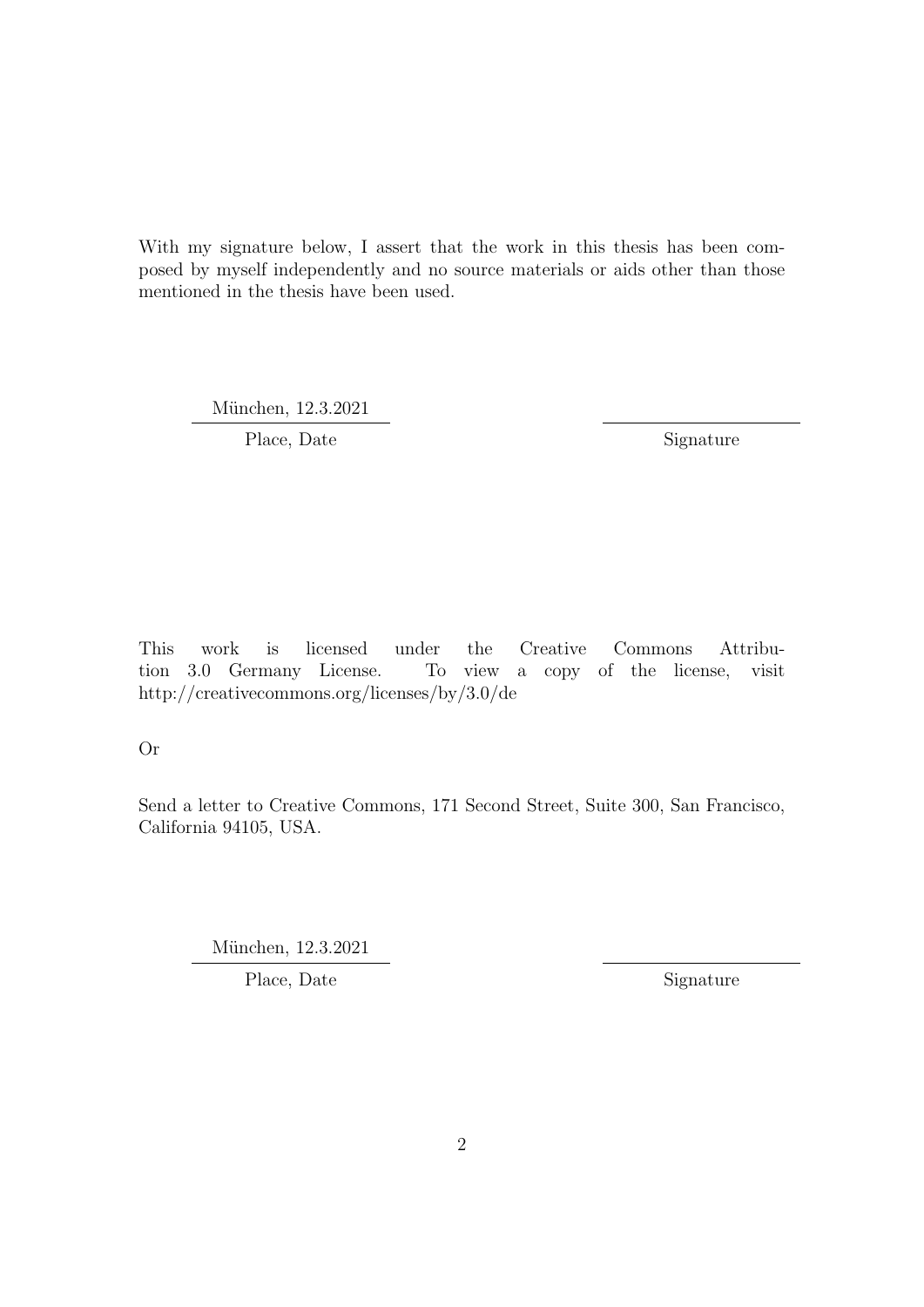With my signature below, I assert that the work in this thesis has been composed by myself independently and no source materials or aids other than those mentioned in the thesis have been used.

München, 12.3.2021

Place, Date Signature

This work is licensed under the Creative Commons Attribution 3.0 Germany License. To view a copy of the license, visit http://creativecommons.org/licenses/by/3.0/de

Or

Send a letter to Creative Commons, 171 Second Street, Suite 300, San Francisco, California 94105, USA.

München, 12.3.2021

Place, Date Signature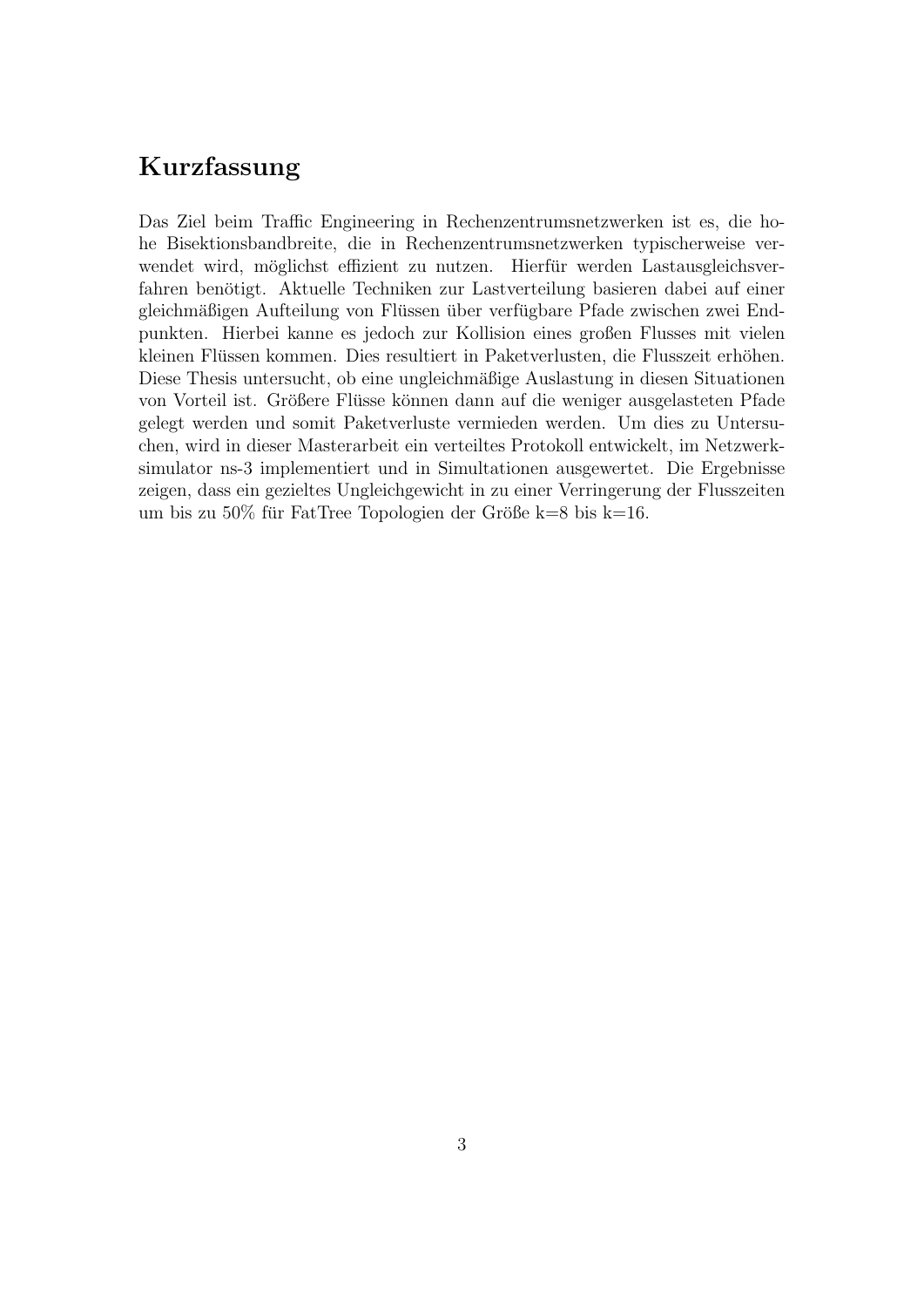### Kurzfassung

Das Ziel beim Traffic Engineering in Rechenzentrumsnetzwerken ist es, die hohe Bisektionsbandbreite, die in Rechenzentrumsnetzwerken typischerweise verwendet wird, möglichst effizient zu nutzen. Hierfür werden Lastausgleichsverfahren benötigt. Aktuelle Techniken zur Lastverteilung basieren dabei auf einer gleichmäßigen Aufteilung von Flüssen über verfügbare Pfade zwischen zwei Endpunkten. Hierbei kanne es jedoch zur Kollision eines großen Flusses mit vielen kleinen Flüssen kommen. Dies resultiert in Paketverlusten, die Flusszeit erhöhen. Diese Thesis untersucht, ob eine ungleichmäßige Auslastung in diesen Situationen von Vorteil ist. Größere Flüsse können dann auf die weniger ausgelasteten Pfade gelegt werden und somit Paketverluste vermieden werden. Um dies zu Untersuchen, wird in dieser Masterarbeit ein verteiltes Protokoll entwickelt, im Netzwerksimulator ns-3 implementiert und in Simultationen ausgewertet. Die Ergebnisse zeigen, dass ein gezieltes Ungleichgewicht in zu einer Verringerung der Flusszeiten um bis zu  $50\%$  für FatTree Topologien der Größe k=8 bis k=16.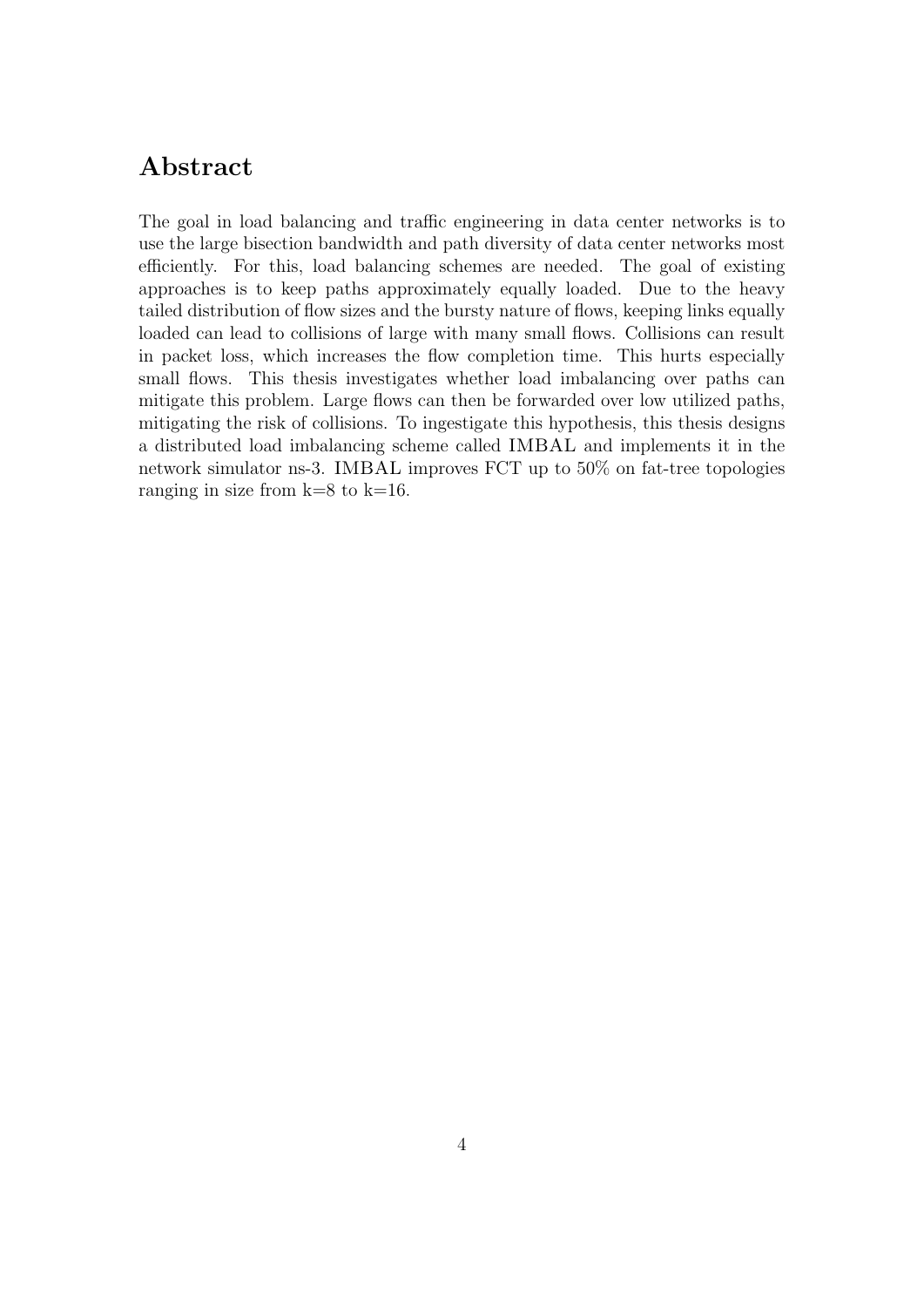#### Abstract

The goal in load balancing and traffic engineering in data center networks is to use the large bisection bandwidth and path diversity of data center networks most efficiently. For this, load balancing schemes are needed. The goal of existing approaches is to keep paths approximately equally loaded. Due to the heavy tailed distribution of flow sizes and the bursty nature of flows, keeping links equally loaded can lead to collisions of large with many small flows. Collisions can result in packet loss, which increases the flow completion time. This hurts especially small flows. This thesis investigates whether load imbalancing over paths can mitigate this problem. Large flows can then be forwarded over low utilized paths, mitigating the risk of collisions. To ingestigate this hypothesis, this thesis designs a distributed load imbalancing scheme called IMBAL and implements it in the network simulator ns-3. IMBAL improves FCT up to 50% on fat-tree topologies ranging in size from  $k=8$  to  $k=16$ .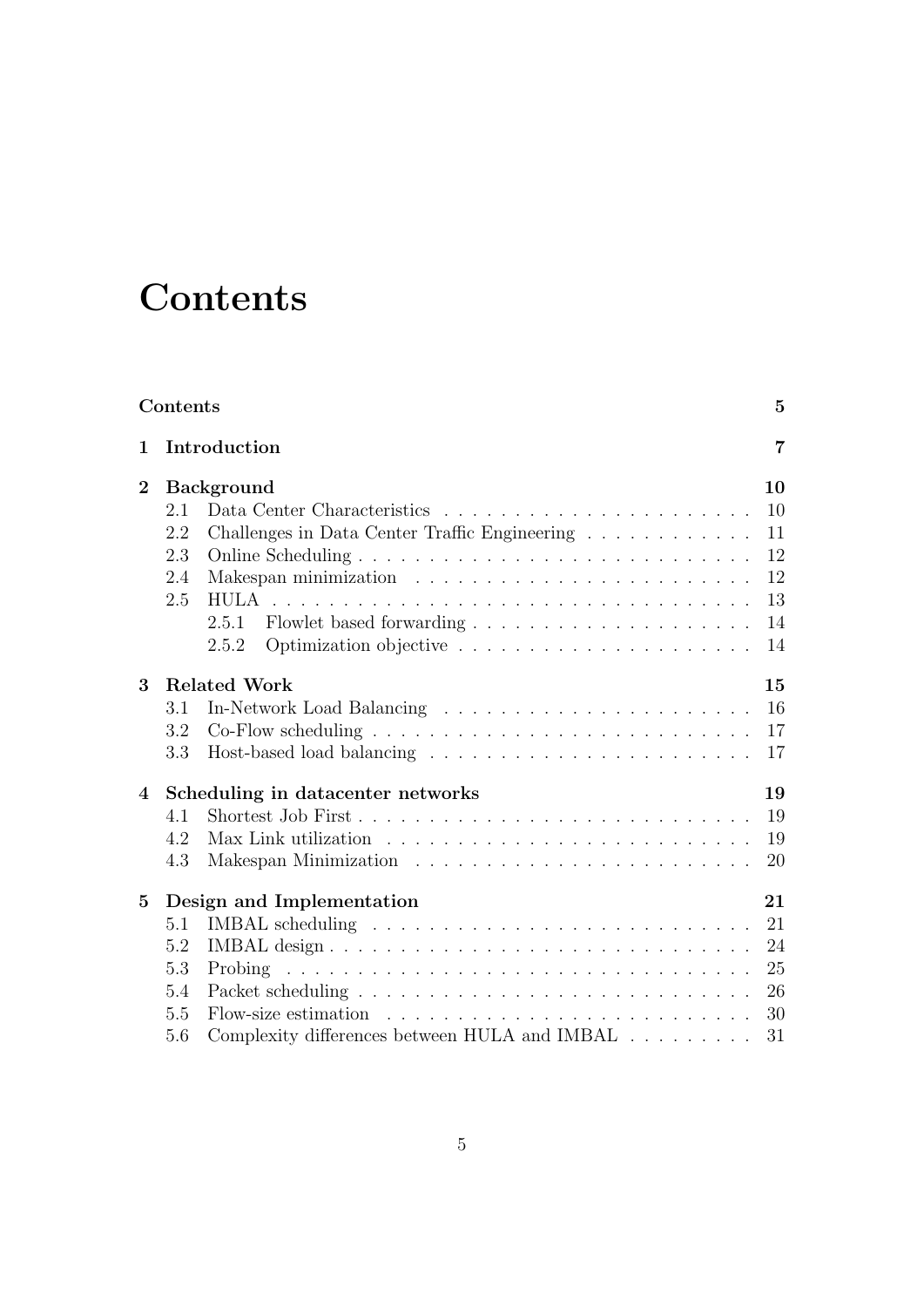# **Contents**

|                | Contents |                                                                                       | $\bf{5}$       |
|----------------|----------|---------------------------------------------------------------------------------------|----------------|
| 1              |          | Introduction                                                                          | $\overline{7}$ |
| $\mathbf{2}$   |          | <b>Background</b>                                                                     | 10             |
|                | 2.1      |                                                                                       | 10             |
|                | 2.2      | Challenges in Data Center Traffic Engineering                                         | 11             |
|                | 2.3      |                                                                                       | 12             |
|                | 2.4      |                                                                                       | 12             |
|                | 2.5      |                                                                                       | 13             |
|                |          | 2.5.1                                                                                 | 14             |
|                |          | 2.5.2                                                                                 | 14             |
| 3              |          | <b>Related Work</b>                                                                   | 15             |
|                | 3.1      |                                                                                       | 16             |
|                | 3.2      | $Co-Flow$ scheduling $\ldots \ldots \ldots \ldots \ldots \ldots \ldots \ldots \ldots$ | 17             |
|                | 3.3      |                                                                                       | 17             |
| $\overline{4}$ |          | Scheduling in datacenter networks                                                     | 19             |
|                | 4.1      |                                                                                       | 19             |
|                | 4.2      |                                                                                       | 19             |
|                | 4.3      |                                                                                       | 20             |
| $\bf{5}$       |          | Design and Implementation                                                             | 21             |
|                | 5.1      |                                                                                       | 21             |
|                | 5.2      |                                                                                       | 24             |
|                | 5.3      |                                                                                       | 25             |
|                | 5.4      |                                                                                       | 26             |
|                | 5.5      | Flow-size estimation $\ldots \ldots \ldots \ldots \ldots \ldots \ldots \ldots$        | 30             |
|                | 5.6      | Complexity differences between HULA and IMBAL                                         | 31             |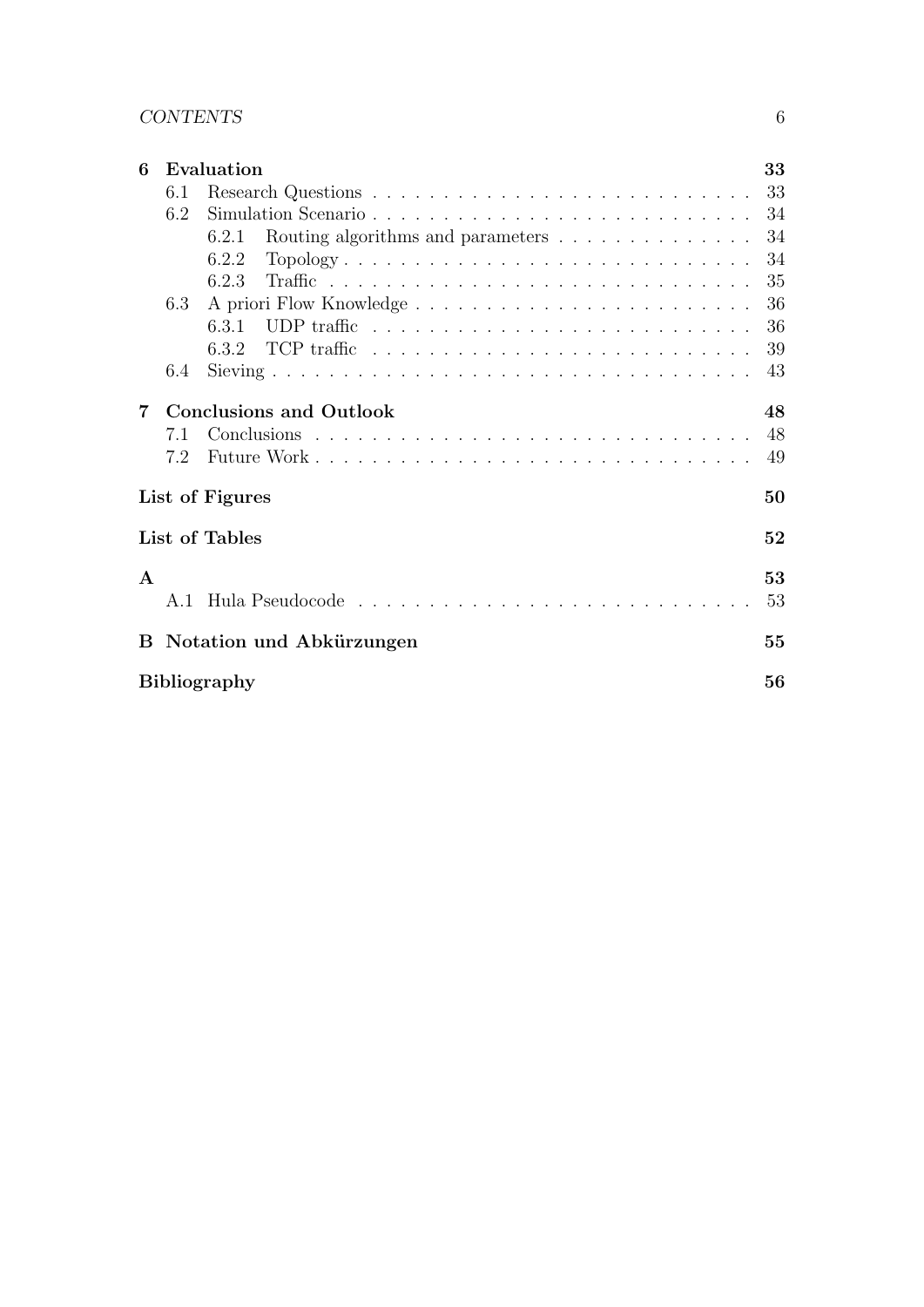| 6              |     | Evaluation                                 | 33 |
|----------------|-----|--------------------------------------------|----|
|                | 6.1 |                                            | 33 |
|                | 6.2 |                                            | 34 |
|                |     | Routing algorithms and parameters<br>6.2.1 | 34 |
|                |     | Topology<br>6.2.2                          | 34 |
|                |     | 6.2.3                                      | 35 |
|                | 6.3 |                                            | 36 |
|                |     | 6.3.1                                      | 36 |
|                |     |                                            | 39 |
|                | 6.4 |                                            | 43 |
| $\overline{7}$ |     | <b>Conclusions and Outlook</b>             | 48 |
|                | 7.1 |                                            | 48 |
|                | 7.2 |                                            | 49 |
|                |     | List of Figures                            | 50 |
|                |     | List of Tables                             | 52 |
| $\mathbf{A}$   |     |                                            | 53 |
|                | A.1 |                                            | 53 |
|                |     | <b>B</b> Notation und Abkürzungen          | 55 |
|                |     | <b>Bibliography</b>                        | 56 |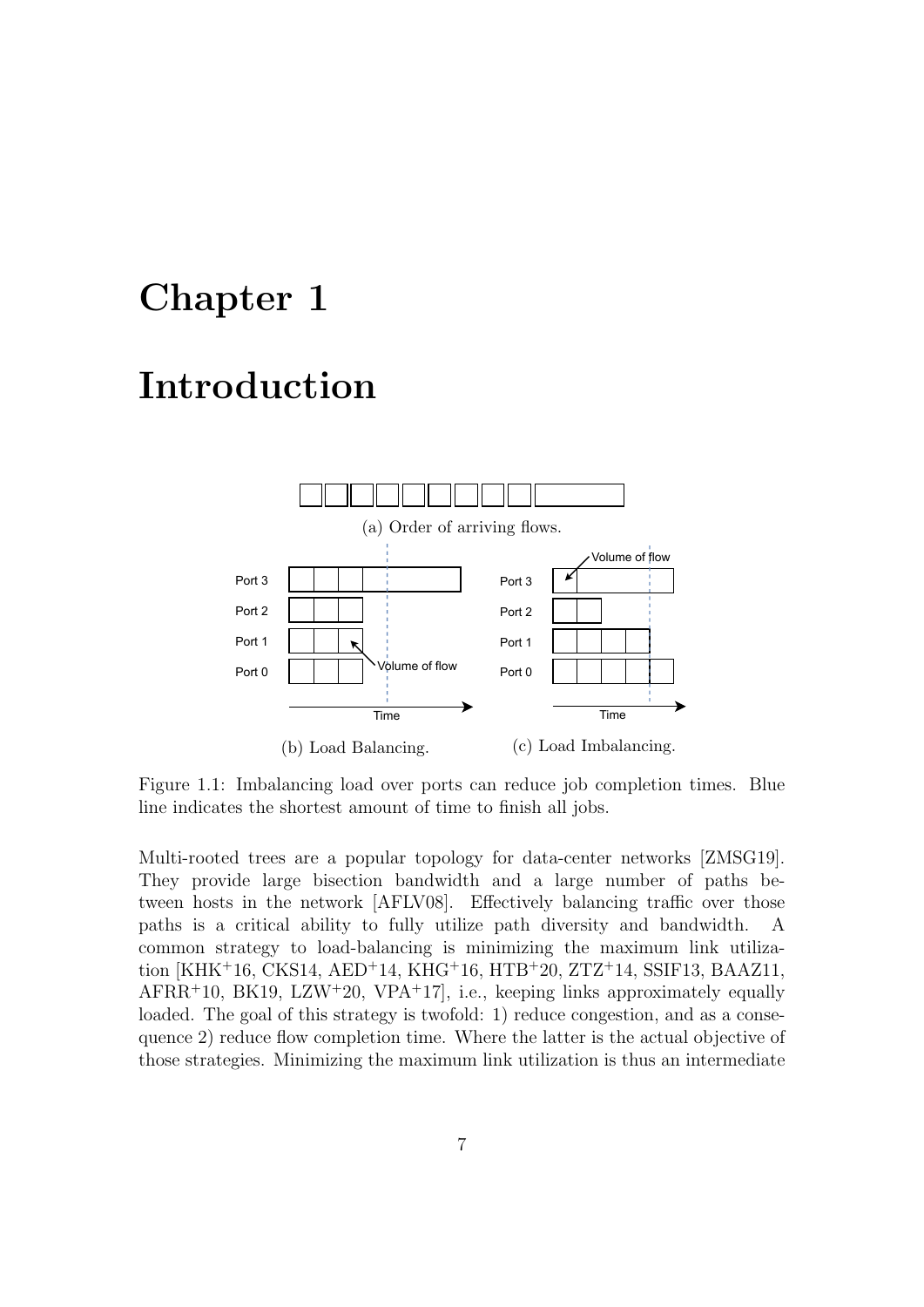## Chapter 1

## Introduction



Figure 1.1: Imbalancing load over ports can reduce job completion times. Blue line indicates the shortest amount of time to finish all jobs.

Multi-rooted trees are a popular topology for data-center networks [ZMSG19]. They provide large bisection bandwidth and a large number of paths between hosts in the network [AFLV08]. Effectively balancing traffic over those paths is a critical ability to fully utilize path diversity and bandwidth. A common strategy to load-balancing is minimizing the maximum link utilization [KHK<sup>+</sup>16, CKS14, AED<sup>+</sup>14, KHG<sup>+</sup>16, HTB<sup>+</sup>20, ZTZ<sup>+</sup>14, SSIF13, BAAZ11,  $\text{AFRR}^+10$ , BK19, LZW<sup>+</sup>20, VPA<sup>+</sup>17, i.e., keeping links approximately equally loaded. The goal of this strategy is twofold: 1) reduce congestion, and as a consequence 2) reduce flow completion time. Where the latter is the actual objective of those strategies. Minimizing the maximum link utilization is thus an intermediate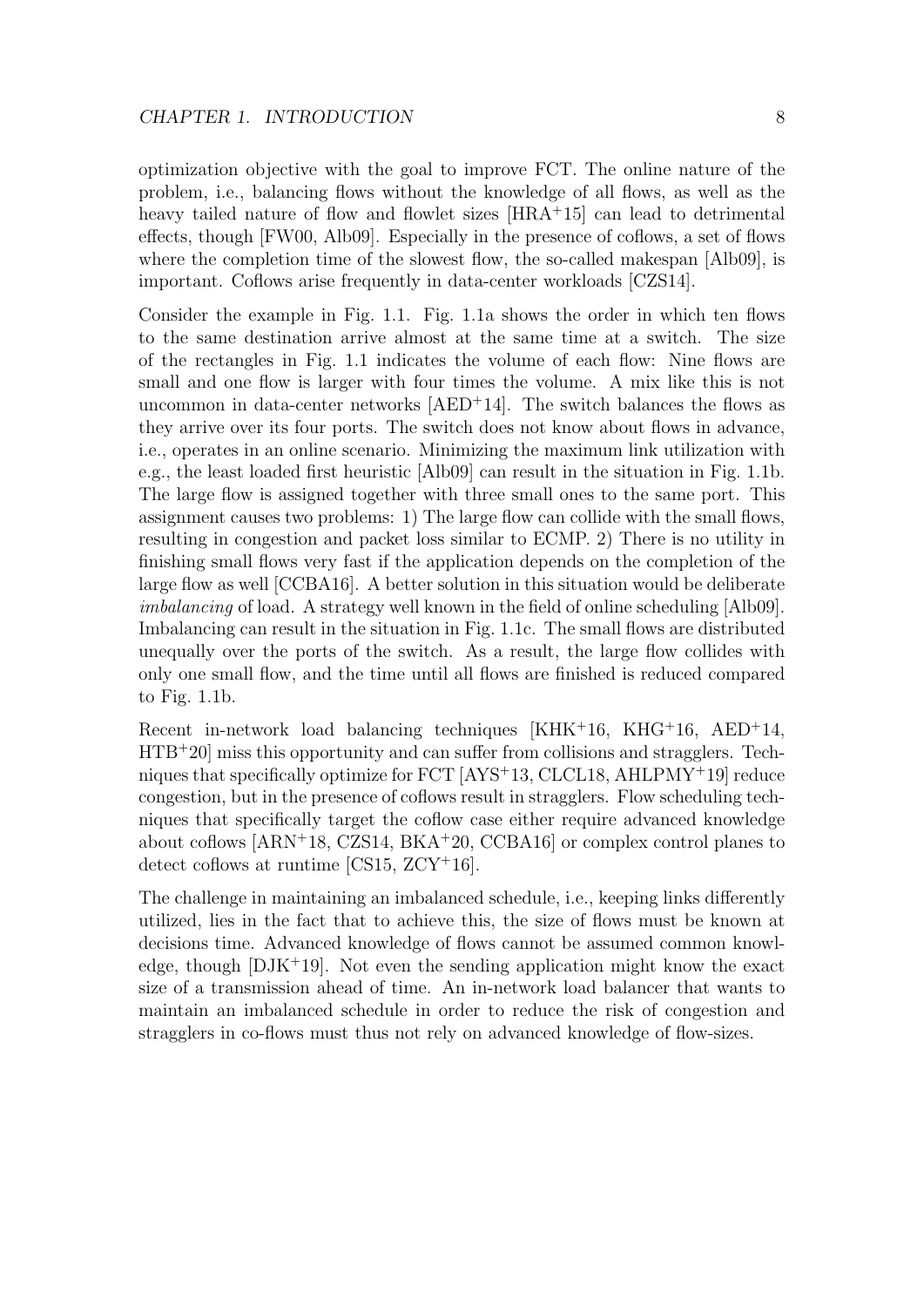optimization objective with the goal to improve FCT. The online nature of the problem, i.e., balancing flows without the knowledge of all flows, as well as the heavy tailed nature of flow and flowlet sizes [HRA+15] can lead to detrimental effects, though [FW00, Alb09]. Especially in the presence of coflows, a set of flows where the completion time of the slowest flow, the so-called makespan [Alb09], is important. Coflows arise frequently in data-center workloads [CZS14].

Consider the example in Fig. 1.1. Fig. 1.1a shows the order in which ten flows to the same destination arrive almost at the same time at a switch. The size of the rectangles in Fig. 1.1 indicates the volume of each flow: Nine flows are small and one flow is larger with four times the volume. A mix like this is not uncommon in data-center networks  $[AED+14]$ . The switch balances the flows as they arrive over its four ports. The switch does not know about flows in advance, i.e., operates in an online scenario. Minimizing the maximum link utilization with e.g., the least loaded first heuristic [Alb09] can result in the situation in Fig. 1.1b. The large flow is assigned together with three small ones to the same port. This assignment causes two problems: 1) The large flow can collide with the small flows, resulting in congestion and packet loss similar to ECMP. 2) There is no utility in finishing small flows very fast if the application depends on the completion of the large flow as well [CCBA16]. A better solution in this situation would be deliberate imbalancing of load. A strategy well known in the field of online scheduling [Alb09]. Imbalancing can result in the situation in Fig. 1.1c. The small flows are distributed unequally over the ports of the switch. As a result, the large flow collides with only one small flow, and the time until all flows are finished is reduced compared to Fig. 1.1b.

Recent in-network load balancing techniques  $KHK+16$ ,  $KHG+16$ ,  $AED+14$ ,  $HTB+20$  miss this opportunity and can suffer from collisions and stragglers. Techniques that specifically optimize for FCT [AYS<sup>+</sup>13, CLCL18, AHLPMY<sup>+</sup>19] reduce congestion, but in the presence of coflows result in stragglers. Flow scheduling techniques that specifically target the coflow case either require advanced knowledge about coflows  $[ARN<sup>+</sup>18, CZS14, BKA<sup>+</sup>20, CCBA16]$  or complex control planes to detect coflows at runtime [CS15, ZCY<sup>+</sup>16].

The challenge in maintaining an imbalanced schedule, i.e., keeping links differently utilized, lies in the fact that to achieve this, the size of flows must be known at decisions time. Advanced knowledge of flows cannot be assumed common knowledge, though  $[DJK^+19]$ . Not even the sending application might know the exact size of a transmission ahead of time. An in-network load balancer that wants to maintain an imbalanced schedule in order to reduce the risk of congestion and stragglers in co-flows must thus not rely on advanced knowledge of flow-sizes.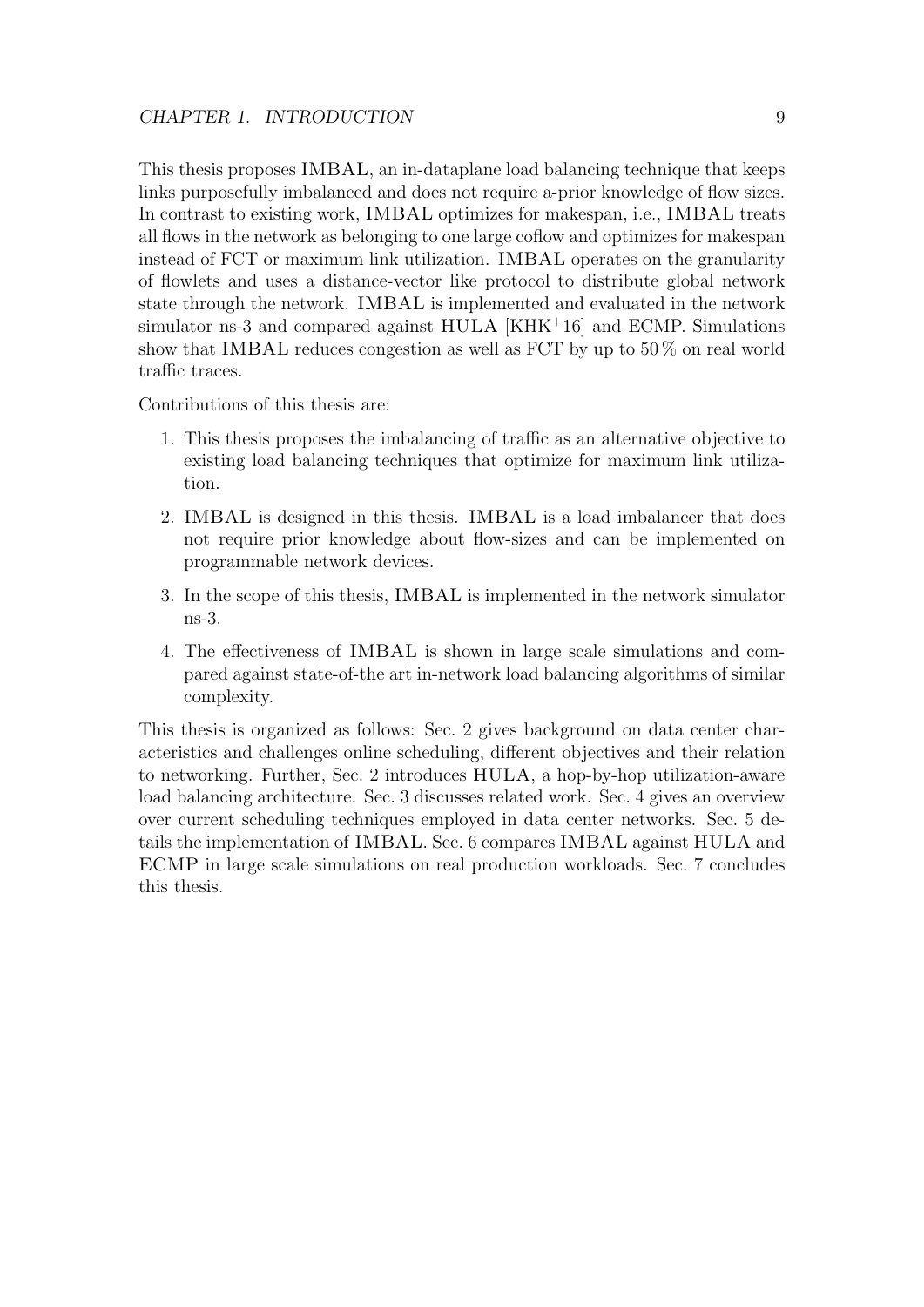This thesis proposes IMBAL, an in-dataplane load balancing technique that keeps links purposefully imbalanced and does not require a-prior knowledge of flow sizes. In contrast to existing work, IMBAL optimizes for makespan, i.e., IMBAL treats all flows in the network as belonging to one large coflow and optimizes for makespan instead of FCT or maximum link utilization. IMBAL operates on the granularity of flowlets and uses a distance-vector like protocol to distribute global network state through the network. IMBAL is implemented and evaluated in the network simulator ns-3 and compared against HULA [KHK<sup>+</sup>16] and ECMP. Simulations show that IMBAL reduces congestion as well as FCT by up to 50 % on real world traffic traces.

Contributions of this thesis are:

- 1. This thesis proposes the imbalancing of traffic as an alternative objective to existing load balancing techniques that optimize for maximum link utilization.
- 2. IMBAL is designed in this thesis. IMBAL is a load imbalancer that does not require prior knowledge about flow-sizes and can be implemented on programmable network devices.
- 3. In the scope of this thesis, IMBAL is implemented in the network simulator ns-3.
- 4. The effectiveness of IMBAL is shown in large scale simulations and compared against state-of-the art in-network load balancing algorithms of similar complexity.

This thesis is organized as follows: Sec. 2 gives background on data center characteristics and challenges online scheduling, different objectives and their relation to networking. Further, Sec. 2 introduces HULA, a hop-by-hop utilization-aware load balancing architecture. Sec. 3 discusses related work. Sec. 4 gives an overview over current scheduling techniques employed in data center networks. Sec. 5 details the implementation of IMBAL. Sec. 6 compares IMBAL against HULA and ECMP in large scale simulations on real production workloads. Sec. 7 concludes this thesis.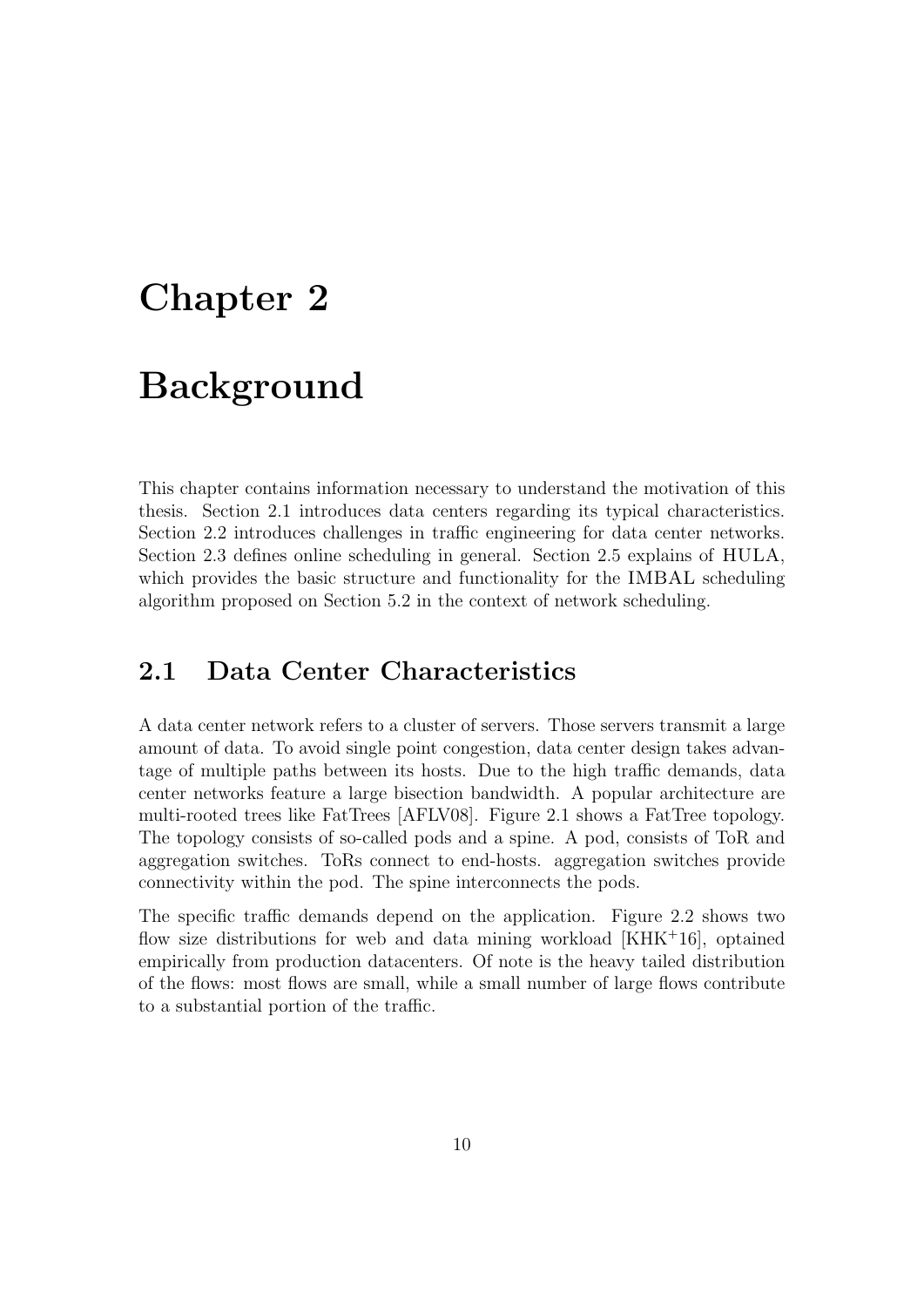## Chapter 2

## Background

This chapter contains information necessary to understand the motivation of this thesis. Section 2.1 introduces data centers regarding its typical characteristics. Section 2.2 introduces challenges in traffic engineering for data center networks. Section 2.3 defines online scheduling in general. Section 2.5 explains of HULA, which provides the basic structure and functionality for the IMBAL scheduling algorithm proposed on Section 5.2 in the context of network scheduling.

#### 2.1 Data Center Characteristics

A data center network refers to a cluster of servers. Those servers transmit a large amount of data. To avoid single point congestion, data center design takes advantage of multiple paths between its hosts. Due to the high traffic demands, data center networks feature a large bisection bandwidth. A popular architecture are multi-rooted trees like FatTrees [AFLV08]. Figure 2.1 shows a FatTree topology. The topology consists of so-called pods and a spine. A pod, consists of ToR and aggregation switches. ToRs connect to end-hosts. aggregation switches provide connectivity within the pod. The spine interconnects the pods.

The specific traffic demands depend on the application. Figure 2.2 shows two flow size distributions for web and data mining workload  $[KHK^+16]$ , optained empirically from production datacenters. Of note is the heavy tailed distribution of the flows: most flows are small, while a small number of large flows contribute to a substantial portion of the traffic.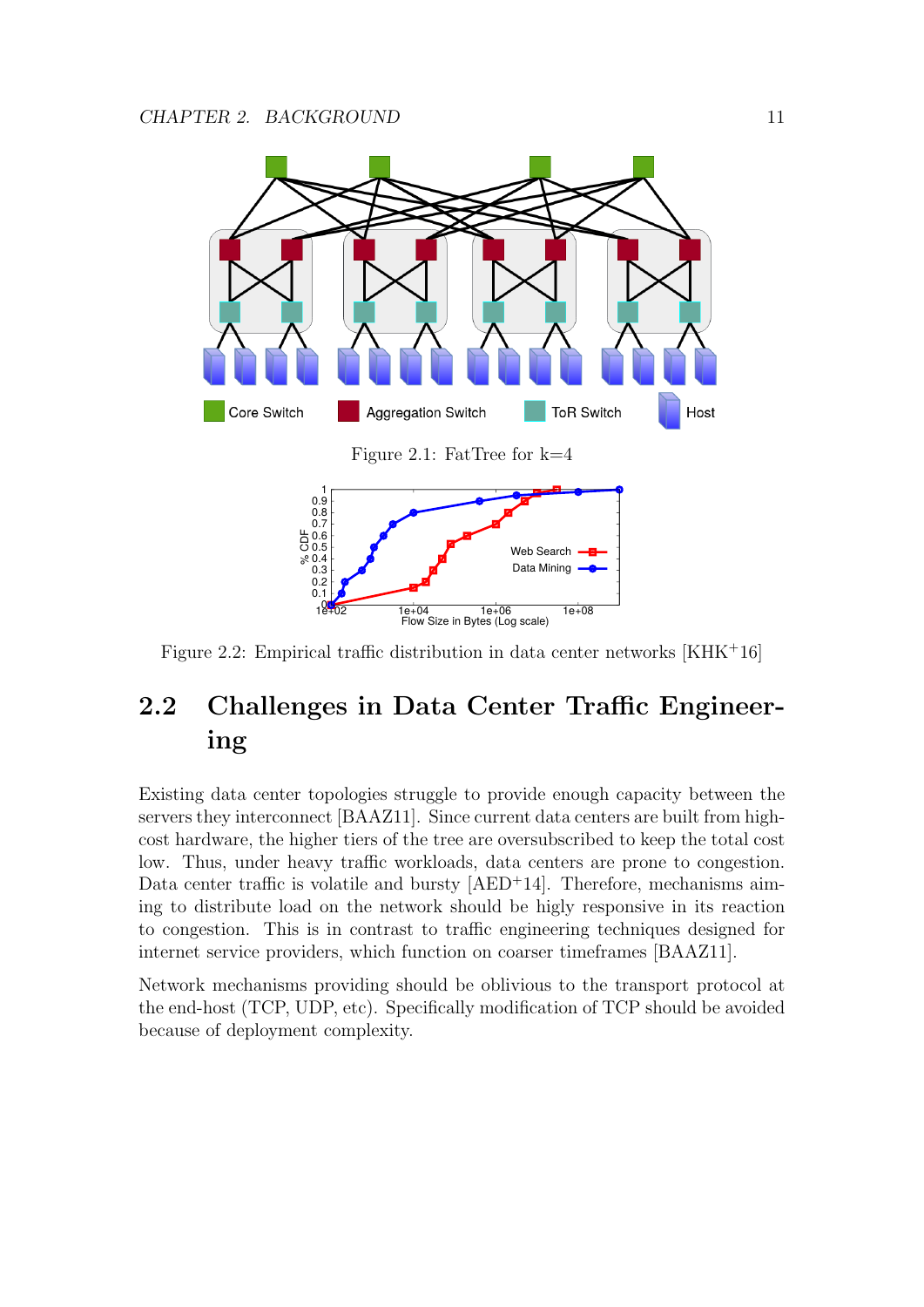

Figure 2.2: Empirical traffic distribution in data center networks [KHK<sup>+</sup>16]

### 2.2 Challenges in Data Center Traffic Engineering

Existing data center topologies struggle to provide enough capacity between the servers they interconnect [BAAZ11]. Since current data centers are built from highcost hardware, the higher tiers of the tree are oversubscribed to keep the total cost low. Thus, under heavy traffic workloads, data centers are prone to congestion. Data center traffic is volatile and bursty  $[AED+14]$ . Therefore, mechanisms aiming to distribute load on the network should be higly responsive in its reaction to congestion. This is in contrast to traffic engineering techniques designed for internet service providers, which function on coarser timeframes [BAAZ11].

Network mechanisms providing should be oblivious to the transport protocol at the end-host (TCP, UDP, etc). Specifically modification of TCP should be avoided because of deployment complexity.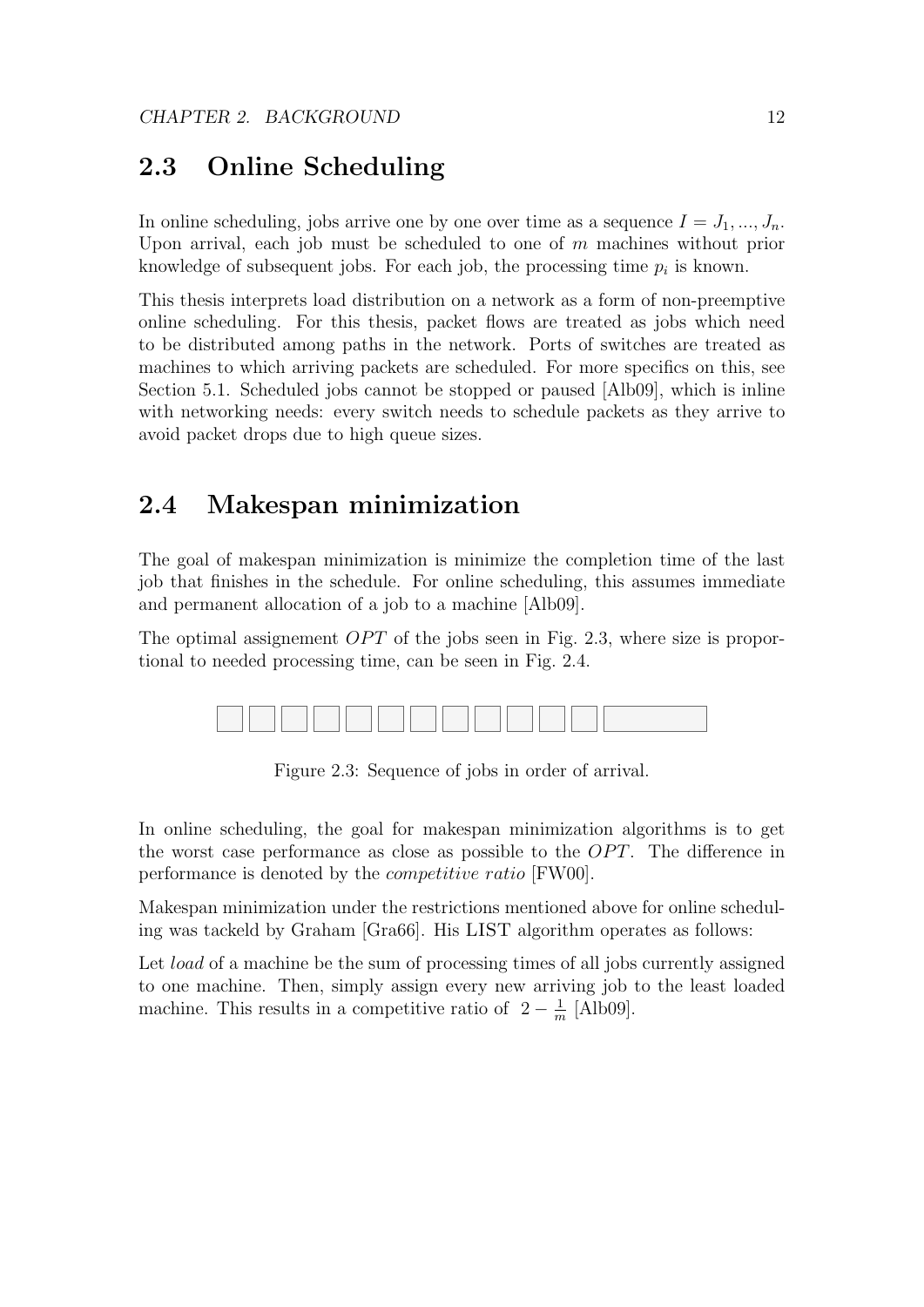### 2.3 Online Scheduling

In online scheduling, jobs arrive one by one over time as a sequence  $I = J_1, ..., J_n$ . Upon arrival, each job must be scheduled to one of  $m$  machines without prior knowledge of subsequent jobs. For each job, the processing time  $p_i$  is known.

This thesis interprets load distribution on a network as a form of non-preemptive online scheduling. For this thesis, packet flows are treated as jobs which need to be distributed among paths in the network. Ports of switches are treated as machines to which arriving packets are scheduled. For more specifics on this, see Section 5.1. Scheduled jobs cannot be stopped or paused [Alb09], which is inline with networking needs: every switch needs to schedule packets as they arrive to avoid packet drops due to high queue sizes.

#### 2.4 Makespan minimization

The goal of makespan minimization is minimize the completion time of the last job that finishes in the schedule. For online scheduling, this assumes immediate and permanent allocation of a job to a machine [Alb09].

The optimal assignement  $OPT$  of the jobs seen in Fig. 2.3, where size is proportional to needed processing time, can be seen in Fig. 2.4.



Figure 2.3: Sequence of jobs in order of arrival.

In online scheduling, the goal for makespan minimization algorithms is to get the worst case performance as close as possible to the  $OPT$ . The difference in performance is denoted by the competitive ratio [FW00].

Makespan minimization under the restrictions mentioned above for online scheduling was tackeld by Graham [Gra66]. His LIST algorithm operates as follows:

Let *load* of a machine be the sum of processing times of all jobs currently assigned to one machine. Then, simply assign every new arriving job to the least loaded machine. This results in a competitive ratio of  $2 - \frac{1}{n}$  $\frac{1}{m}$  [Alb09].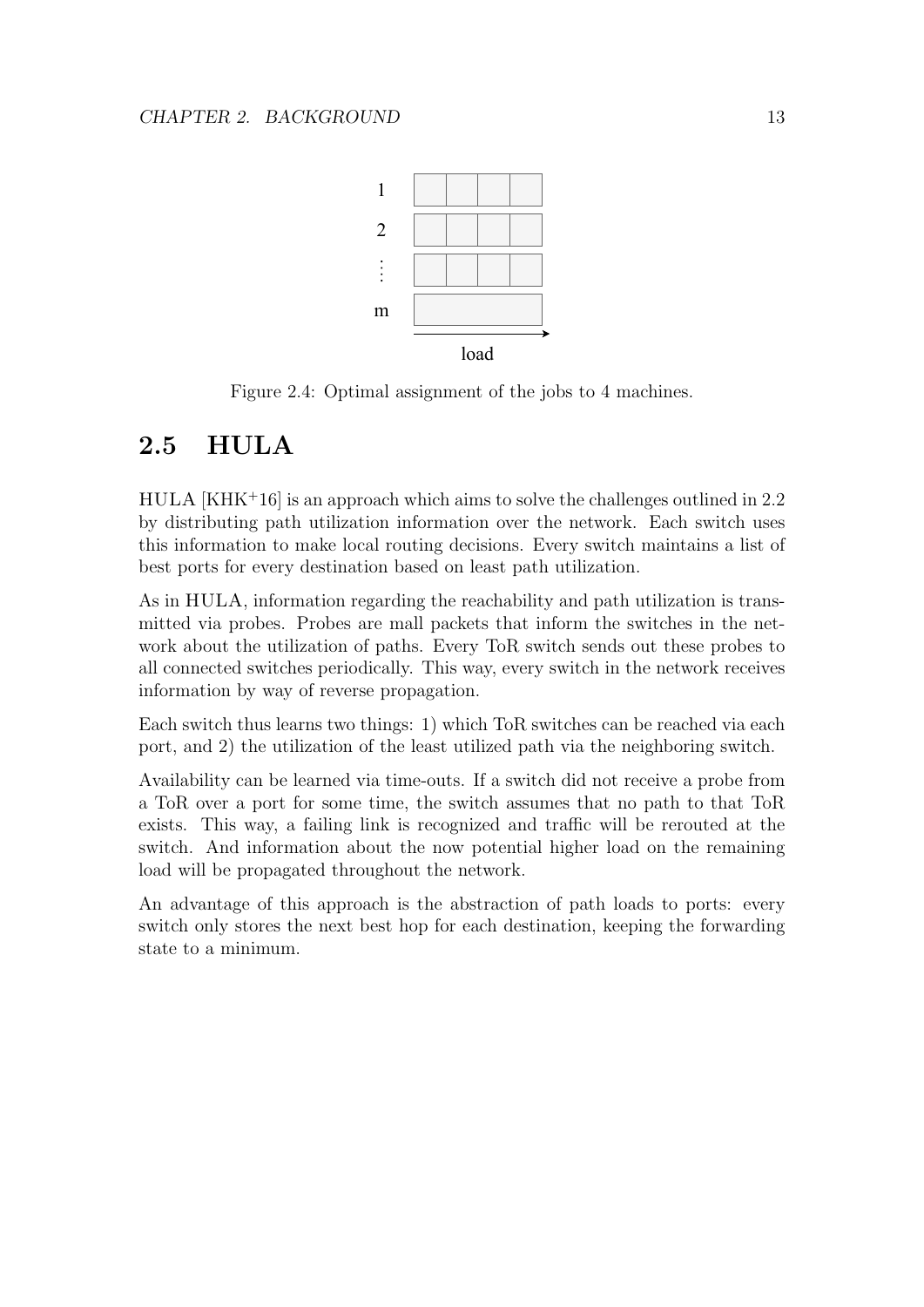

Figure 2.4: Optimal assignment of the jobs to 4 machines.

### 2.5 HULA

 $HULA [KHK<sup>+</sup>16]$  is an approach which aims to solve the challenges outlined in 2.2 by distributing path utilization information over the network. Each switch uses this information to make local routing decisions. Every switch maintains a list of best ports for every destination based on least path utilization.

As in HULA, information regarding the reachability and path utilization is transmitted via probes. Probes are mall packets that inform the switches in the network about the utilization of paths. Every ToR switch sends out these probes to all connected switches periodically. This way, every switch in the network receives information by way of reverse propagation.

Each switch thus learns two things: 1) which ToR switches can be reached via each port, and 2) the utilization of the least utilized path via the neighboring switch.

Availability can be learned via time-outs. If a switch did not receive a probe from a ToR over a port for some time, the switch assumes that no path to that ToR exists. This way, a failing link is recognized and traffic will be rerouted at the switch. And information about the now potential higher load on the remaining load will be propagated throughout the network.

An advantage of this approach is the abstraction of path loads to ports: every switch only stores the next best hop for each destination, keeping the forwarding state to a minimum.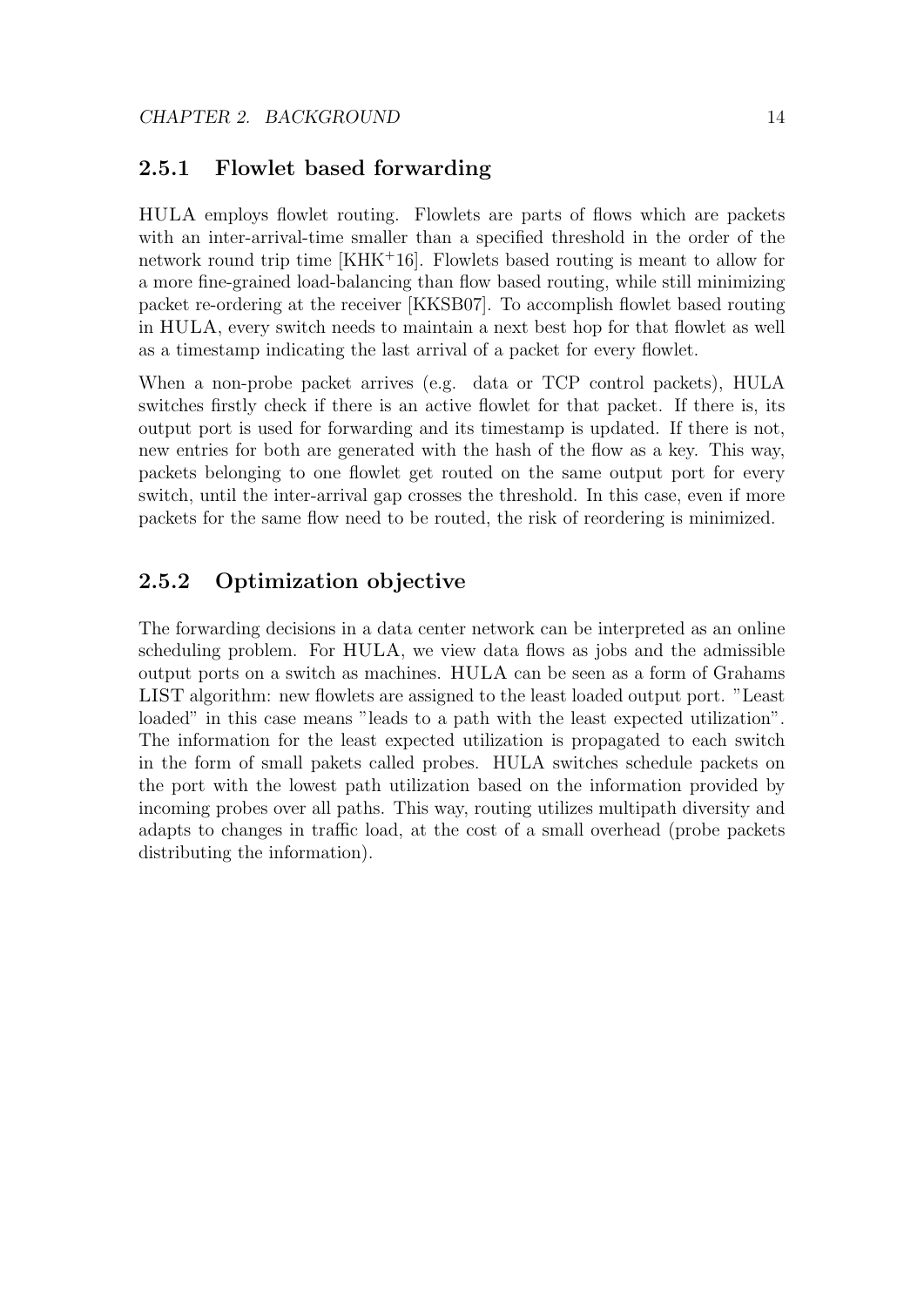#### 2.5.1 Flowlet based forwarding

HULA employs flowlet routing. Flowlets are parts of flows which are packets with an inter-arrival-time smaller than a specified threshold in the order of the network round trip time [KHK<sup>+</sup>16]. Flowlets based routing is meant to allow for a more fine-grained load-balancing than flow based routing, while still minimizing packet re-ordering at the receiver [KKSB07]. To accomplish flowlet based routing in HULA, every switch needs to maintain a next best hop for that flowlet as well as a timestamp indicating the last arrival of a packet for every flowlet.

When a non-probe packet arrives (e.g. data or TCP control packets), HULA switches firstly check if there is an active flowlet for that packet. If there is, its output port is used for forwarding and its timestamp is updated. If there is not, new entries for both are generated with the hash of the flow as a key. This way, packets belonging to one flowlet get routed on the same output port for every switch, until the inter-arrival gap crosses the threshold. In this case, even if more packets for the same flow need to be routed, the risk of reordering is minimized.

#### 2.5.2 Optimization objective

The forwarding decisions in a data center network can be interpreted as an online scheduling problem. For HULA, we view data flows as jobs and the admissible output ports on a switch as machines. HULA can be seen as a form of Grahams LIST algorithm: new flowlets are assigned to the least loaded output port. "Least loaded" in this case means "leads to a path with the least expected utilization". The information for the least expected utilization is propagated to each switch in the form of small pakets called probes. HULA switches schedule packets on the port with the lowest path utilization based on the information provided by incoming probes over all paths. This way, routing utilizes multipath diversity and adapts to changes in traffic load, at the cost of a small overhead (probe packets distributing the information).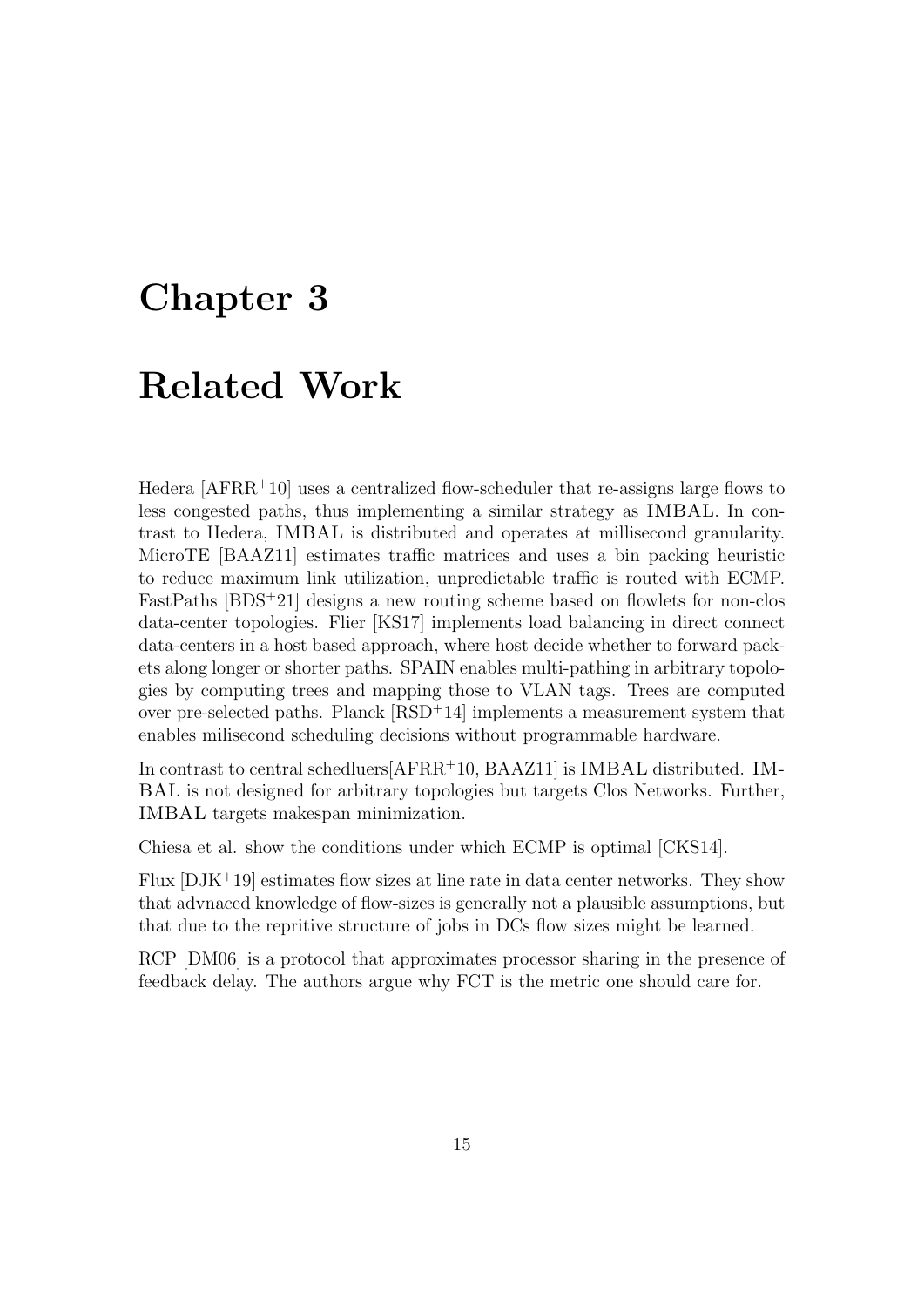### Chapter 3

### Related Work

Hedera [AFRR<sup>+</sup>10] uses a centralized flow-scheduler that re-assigns large flows to less congested paths, thus implementing a similar strategy as IMBAL. In contrast to Hedera, IMBAL is distributed and operates at millisecond granularity. MicroTE [BAAZ11] estimates traffic matrices and uses a bin packing heuristic to reduce maximum link utilization, unpredictable traffic is routed with ECMP. FastPaths [BDS<sup>+</sup>21] designs a new routing scheme based on flowlets for non-clos data-center topologies. Flier [KS17] implements load balancing in direct connect data-centers in a host based approach, where host decide whether to forward packets along longer or shorter paths. SPAIN enables multi-pathing in arbitrary topologies by computing trees and mapping those to VLAN tags. Trees are computed over pre-selected paths. Planck  $[RSD<sup>+</sup>14]$  implements a measurement system that enables milisecond scheduling decisions without programmable hardware.

In contrast to central schedluers[AFRR<sup>+</sup>10, BAAZ11] is IMBAL distributed. IM-BAL is not designed for arbitrary topologies but targets Clos Networks. Further, IMBAL targets makespan minimization.

Chiesa et al. show the conditions under which ECMP is optimal [CKS14].

Flux  $[DJK^+19]$  estimates flow sizes at line rate in data center networks. They show that advnaced knowledge of flow-sizes is generally not a plausible assumptions, but that due to the repritive structure of jobs in DCs flow sizes might be learned.

RCP [DM06] is a protocol that approximates processor sharing in the presence of feedback delay. The authors argue why FCT is the metric one should care for.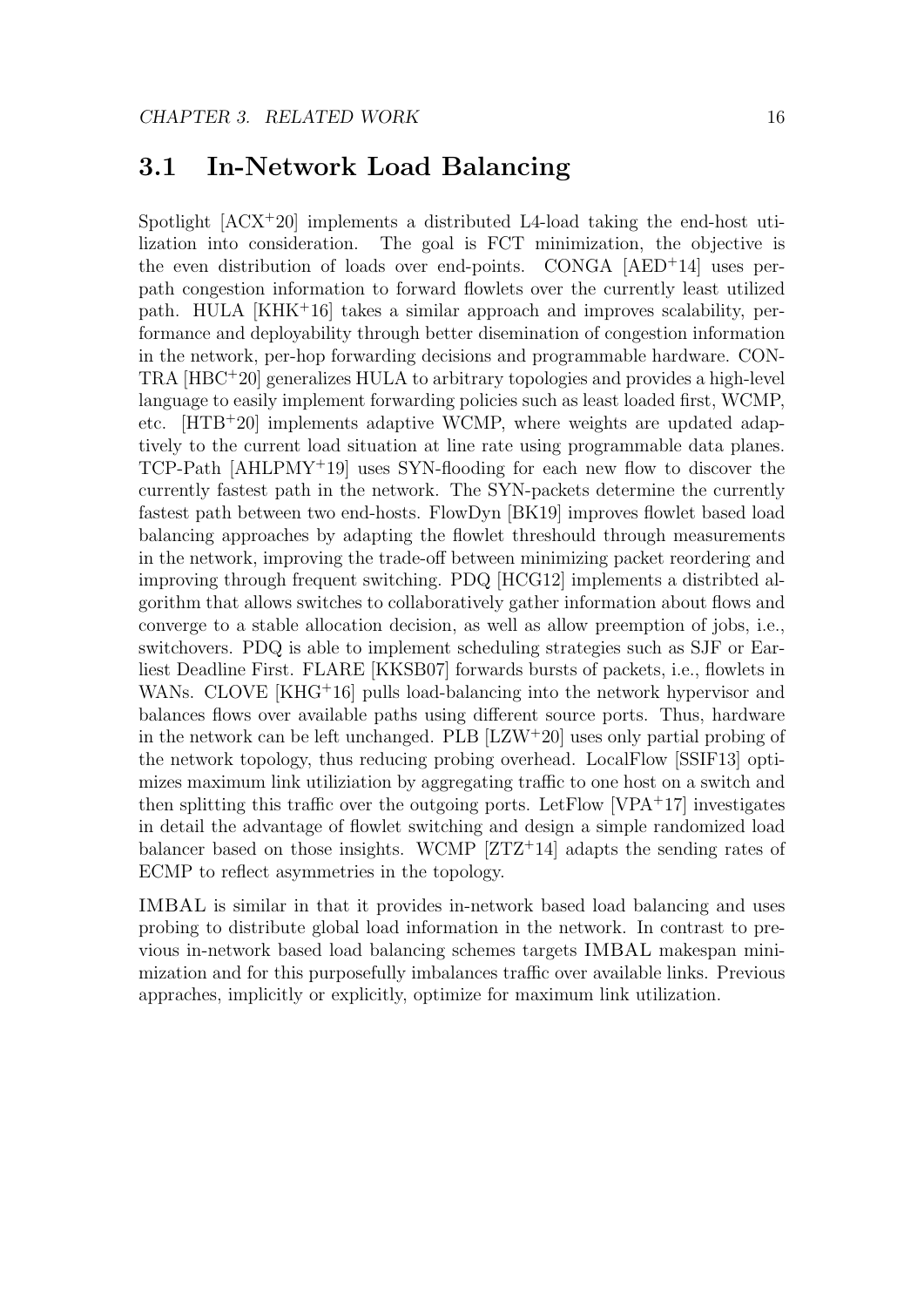#### 3.1 In-Network Load Balancing

Spotlight  $[ACX^+20]$  implements a distributed L4-load taking the end-host utilization into consideration. The goal is FCT minimization, the objective is the even distribution of loads over end-points. CONGA [AED<sup>+</sup>14] uses perpath congestion information to forward flowlets over the currently least utilized path. HULA [KHK<sup>+</sup>16] takes a similar approach and improves scalability, performance and deployability through better disemination of congestion information in the network, per-hop forwarding decisions and programmable hardware. CON-TRA [HBC<sup>+</sup>20] generalizes HULA to arbitrary topologies and provides a high-level language to easily implement forwarding policies such as least loaded first, WCMP, etc. [HTB<sup>+</sup>20] implements adaptive WCMP, where weights are updated adaptively to the current load situation at line rate using programmable data planes.  $TCP-Path [AHLPMY<sup>+</sup>19]$  uses SYN-flooding for each new flow to discover the currently fastest path in the network. The SYN-packets determine the currently fastest path between two end-hosts. FlowDyn [BK19] improves flowlet based load balancing approaches by adapting the flowlet threshould through measurements in the network, improving the trade-off between minimizing packet reordering and improving through frequent switching. PDQ [HCG12] implements a distribted algorithm that allows switches to collaboratively gather information about flows and converge to a stable allocation decision, as well as allow preemption of jobs, i.e., switchovers. PDQ is able to implement scheduling strategies such as SJF or Earliest Deadline First. FLARE [KKSB07] forwards bursts of packets, i.e., flowlets in WANs. CLOVE [KHG<sup>+</sup>16] pulls load-balancing into the network hypervisor and balances flows over available paths using different source ports. Thus, hardware in the network can be left unchanged. PLB [LZW<sup>+</sup>20] uses only partial probing of the network topology, thus reducing probing overhead. LocalFlow [SSIF13] optimizes maximum link utiliziation by aggregating traffic to one host on a switch and then splitting this traffic over the outgoing ports. Let  $Flow [VPA<sup>+</sup>17]$  investigates in detail the advantage of flowlet switching and design a simple randomized load balancer based on those insights. WCMP  $ZTZ+14$  adapts the sending rates of ECMP to reflect asymmetries in the topology.

IMBAL is similar in that it provides in-network based load balancing and uses probing to distribute global load information in the network. In contrast to previous in-network based load balancing schemes targets IMBAL makespan minimization and for this purposefully imbalances traffic over available links. Previous appraches, implicitly or explicitly, optimize for maximum link utilization.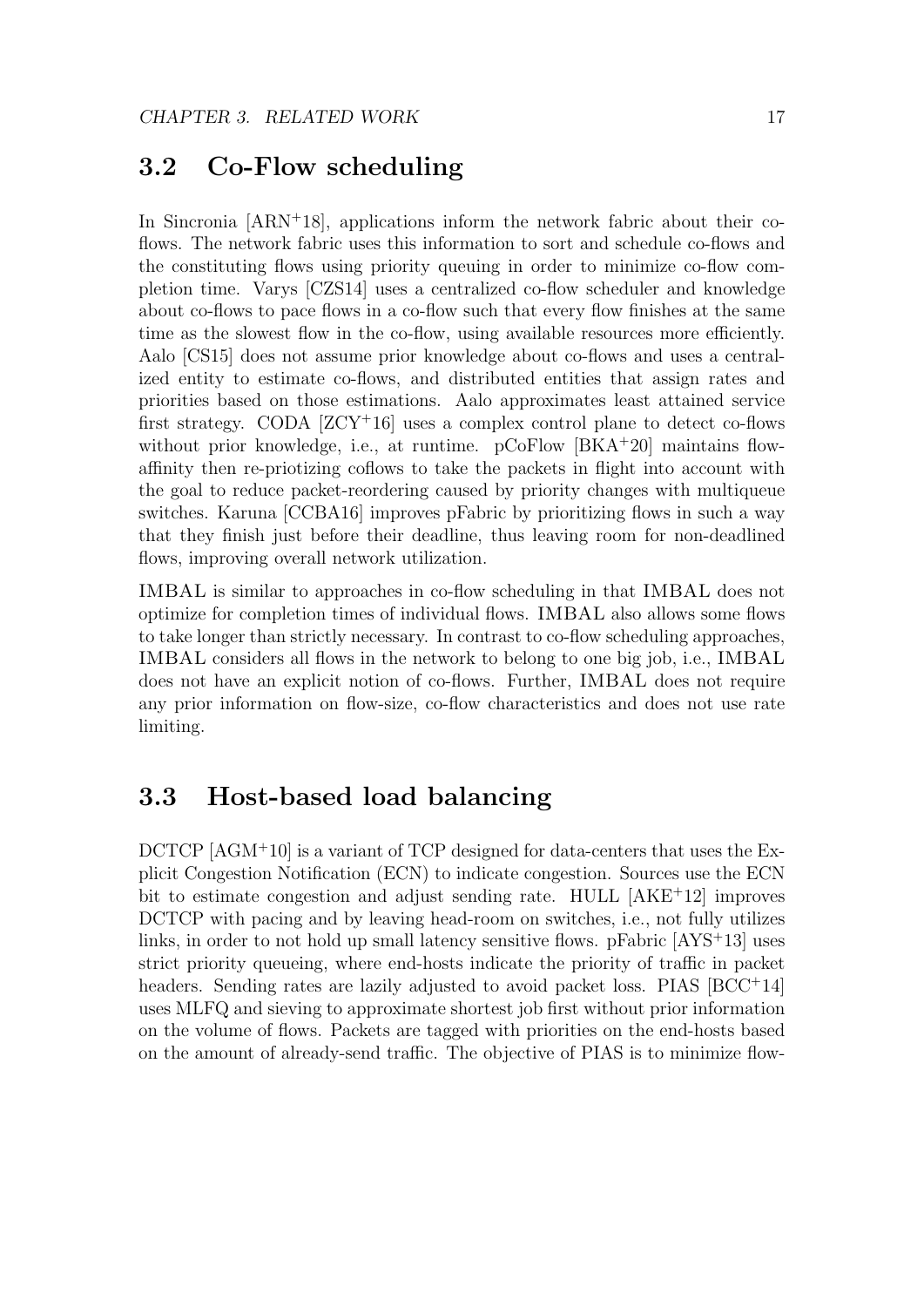#### 3.2 Co-Flow scheduling

In Sincronia  $[ARN^+18]$ , applications inform the network fabric about their coflows. The network fabric uses this information to sort and schedule co-flows and the constituting flows using priority queuing in order to minimize co-flow completion time. Varys [CZS14] uses a centralized co-flow scheduler and knowledge about co-flows to pace flows in a co-flow such that every flow finishes at the same time as the slowest flow in the co-flow, using available resources more efficiently. Aalo [CS15] does not assume prior knowledge about co-flows and uses a centralized entity to estimate co-flows, and distributed entities that assign rates and priorities based on those estimations. Aalo approximates least attained service first strategy. CODA  $[ZCY^+16]$  uses a complex control plane to detect co-flows without prior knowledge, i.e., at runtime. pCoFlow [BKA+20] maintains flowaffinity then re-priotizing coflows to take the packets in flight into account with the goal to reduce packet-reordering caused by priority changes with multiqueue switches. Karuna [CCBA16] improves pFabric by prioritizing flows in such a way that they finish just before their deadline, thus leaving room for non-deadlined flows, improving overall network utilization.

IMBAL is similar to approaches in co-flow scheduling in that IMBAL does not optimize for completion times of individual flows. IMBAL also allows some flows to take longer than strictly necessary. In contrast to co-flow scheduling approaches, IMBAL considers all flows in the network to belong to one big job, i.e., IMBAL does not have an explicit notion of co-flows. Further, IMBAL does not require any prior information on flow-size, co-flow characteristics and does not use rate limiting.

#### 3.3 Host-based load balancing

DCTCP [AGM<sup>+</sup>10] is a variant of TCP designed for data-centers that uses the Explicit Congestion Notification (ECN) to indicate congestion. Sources use the ECN bit to estimate congestion and adjust sending rate. HULL [AKE<sup>+</sup>12] improves DCTCP with pacing and by leaving head-room on switches, i.e., not fully utilizes links, in order to not hold up small latency sensitive flows. pFabric [AYS<sup>+</sup>13] uses strict priority queueing, where end-hosts indicate the priority of traffic in packet headers. Sending rates are lazily adjusted to avoid packet loss. PIAS [BCC+14] uses MLFQ and sieving to approximate shortest job first without prior information on the volume of flows. Packets are tagged with priorities on the end-hosts based on the amount of already-send traffic. The objective of PIAS is to minimize flow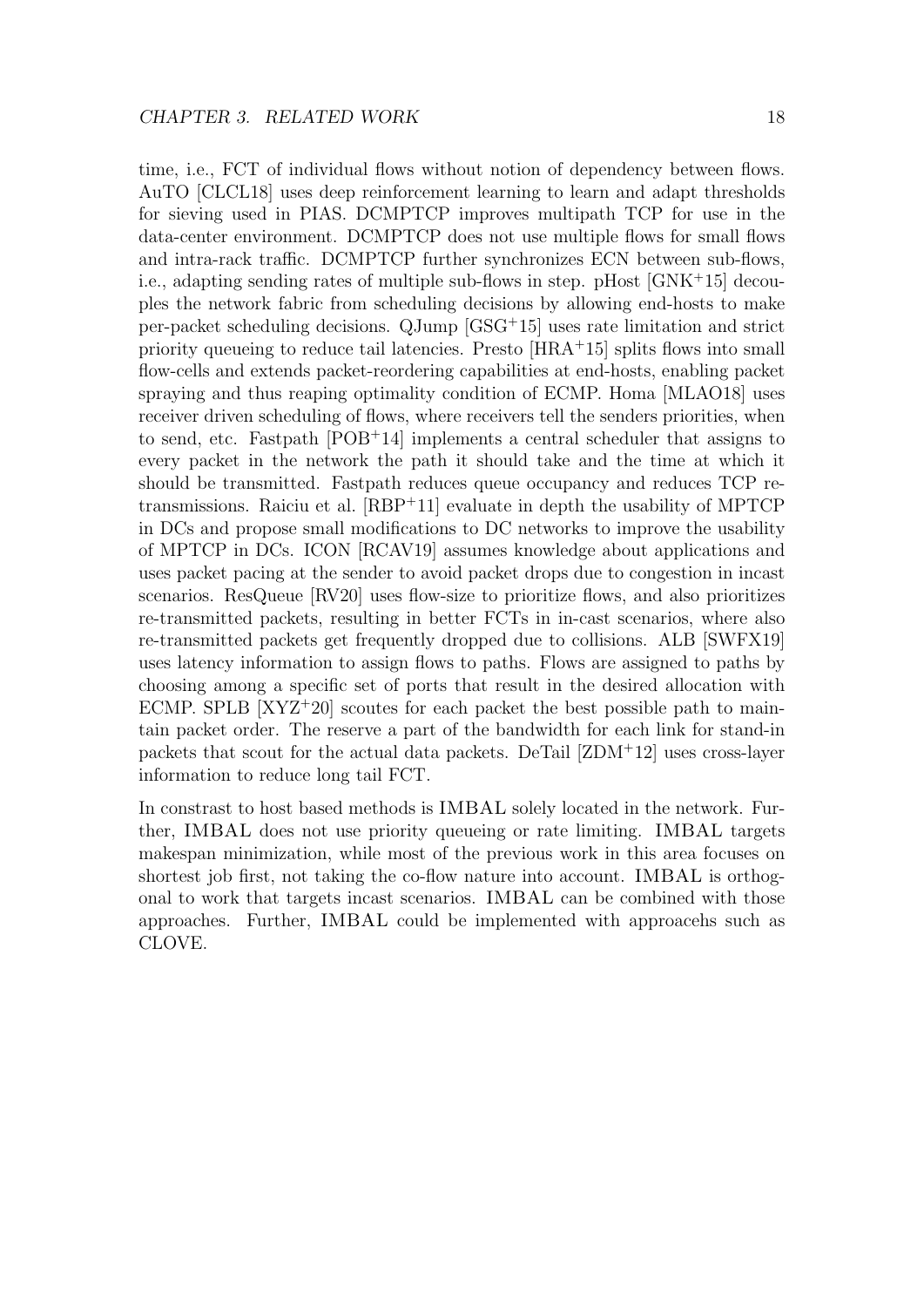time, i.e., FCT of individual flows without notion of dependency between flows. AuTO [CLCL18] uses deep reinforcement learning to learn and adapt thresholds for sieving used in PIAS. DCMPTCP improves multipath TCP for use in the data-center environment. DCMPTCP does not use multiple flows for small flows and intra-rack traffic. DCMPTCP further synchronizes ECN between sub-flows, i.e., adapting sending rates of multiple sub-flows in step. pHost [GNK<sup>+</sup>15] decouples the network fabric from scheduling decisions by allowing end-hosts to make per-packet scheduling decisions. QJump [GSG<sup>+</sup>15] uses rate limitation and strict priority queueing to reduce tail latencies. Presto [HRA<sup>+</sup>15] splits flows into small flow-cells and extends packet-reordering capabilities at end-hosts, enabling packet spraying and thus reaping optimality condition of ECMP. Homa [MLAO18] uses receiver driven scheduling of flows, where receivers tell the senders priorities, when to send, etc. Fastpath  $[POB+14]$  implements a central scheduler that assigns to every packet in the network the path it should take and the time at which it should be transmitted. Fastpath reduces queue occupancy and reduces TCP retransmissions. Raiciu et al. [RBP<sup>+</sup>11] evaluate in depth the usability of MPTCP in DCs and propose small modifications to DC networks to improve the usability of MPTCP in DCs. ICON [RCAV19] assumes knowledge about applications and uses packet pacing at the sender to avoid packet drops due to congestion in incast scenarios. ResQueue [RV20] uses flow-size to prioritize flows, and also prioritizes re-transmitted packets, resulting in better FCTs in in-cast scenarios, where also re-transmitted packets get frequently dropped due to collisions. ALB [SWFX19] uses latency information to assign flows to paths. Flows are assigned to paths by choosing among a specific set of ports that result in the desired allocation with ECMP. SPLB  $[XYZ^+20]$  scoutes for each packet the best possible path to maintain packet order. The reserve a part of the bandwidth for each link for stand-in packets that scout for the actual data packets. DeTail [ZDM<sup>+</sup>12] uses cross-layer information to reduce long tail FCT.

In constrast to host based methods is IMBAL solely located in the network. Further, IMBAL does not use priority queueing or rate limiting. IMBAL targets makespan minimization, while most of the previous work in this area focuses on shortest job first, not taking the co-flow nature into account. IMBAL is orthogonal to work that targets incast scenarios. IMBAL can be combined with those approaches. Further, IMBAL could be implemented with approacehs such as CLOVE.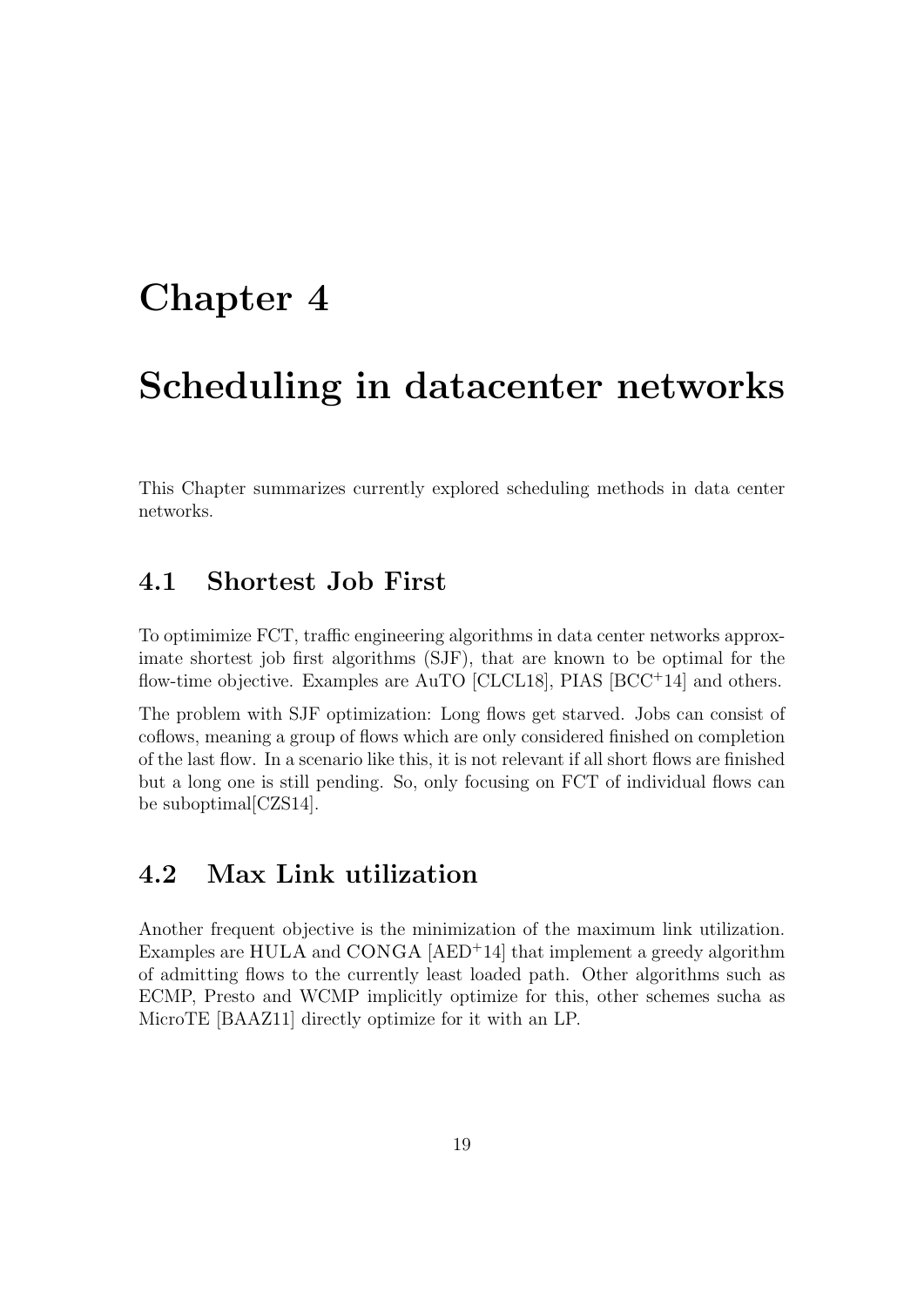### Chapter 4

### Scheduling in datacenter networks

This Chapter summarizes currently explored scheduling methods in data center networks.

### 4.1 Shortest Job First

To optimimize FCT, traffic engineering algorithms in data center networks approximate shortest job first algorithms (SJF), that are known to be optimal for the flow-time objective. Examples are AuTO [CLCL18], PIAS [BCC<sup>+</sup>14] and others.

The problem with SJF optimization: Long flows get starved. Jobs can consist of coflows, meaning a group of flows which are only considered finished on completion of the last flow. In a scenario like this, it is not relevant if all short flows are finished but a long one is still pending. So, only focusing on FCT of individual flows can be suboptimal[CZS14].

#### 4.2 Max Link utilization

Another frequent objective is the minimization of the maximum link utilization. Examples are HULA and CONGA [AED<sup>+</sup>14] that implement a greedy algorithm of admitting flows to the currently least loaded path. Other algorithms such as ECMP, Presto and WCMP implicitly optimize for this, other schemes sucha as MicroTE [BAAZ11] directly optimize for it with an LP.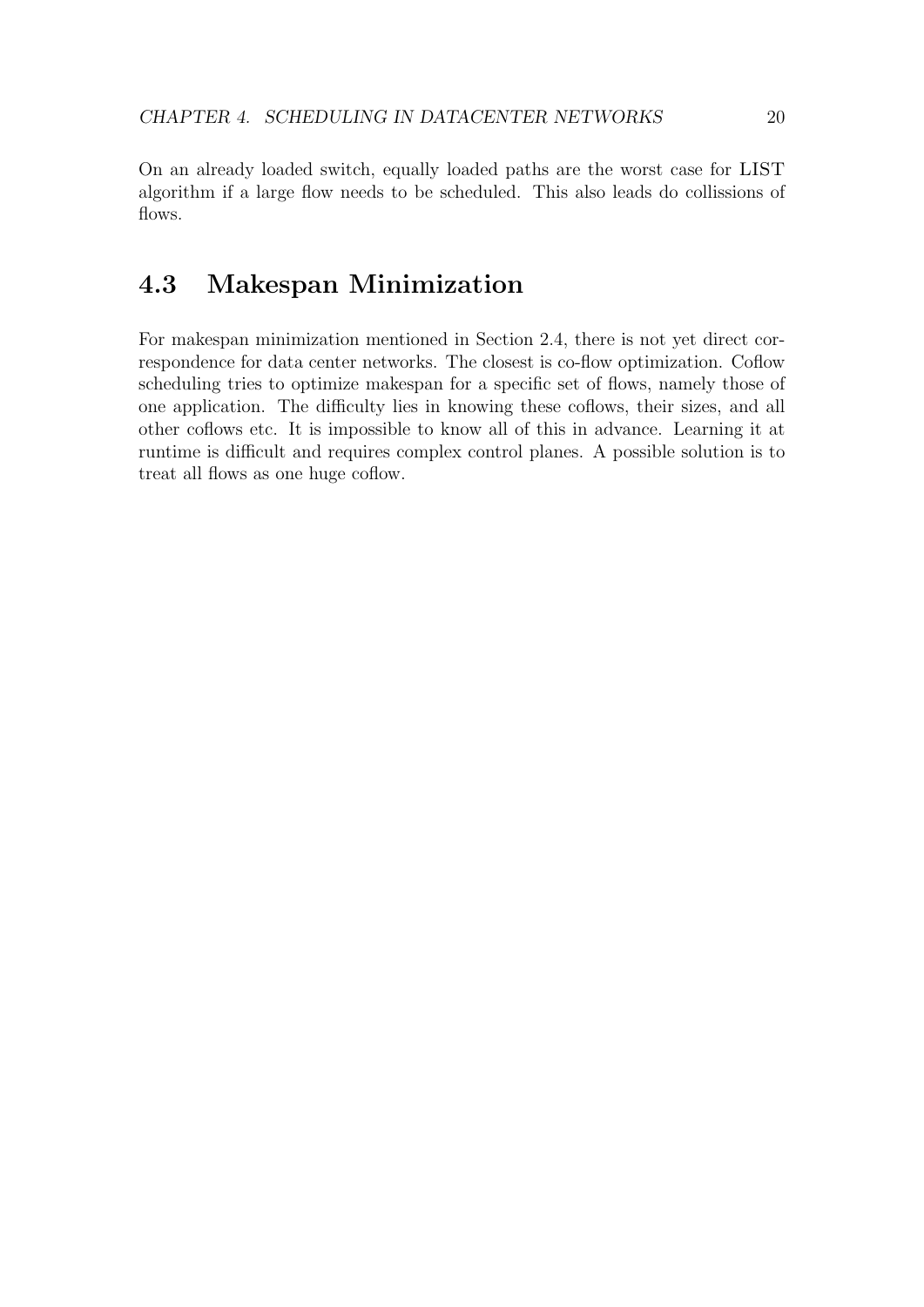On an already loaded switch, equally loaded paths are the worst case for LIST algorithm if a large flow needs to be scheduled. This also leads do collissions of flows.

#### 4.3 Makespan Minimization

For makespan minimization mentioned in Section 2.4, there is not yet direct correspondence for data center networks. The closest is co-flow optimization. Coflow scheduling tries to optimize makespan for a specific set of flows, namely those of one application. The difficulty lies in knowing these coflows, their sizes, and all other coflows etc. It is impossible to know all of this in advance. Learning it at runtime is difficult and requires complex control planes. A possible solution is to treat all flows as one huge coflow.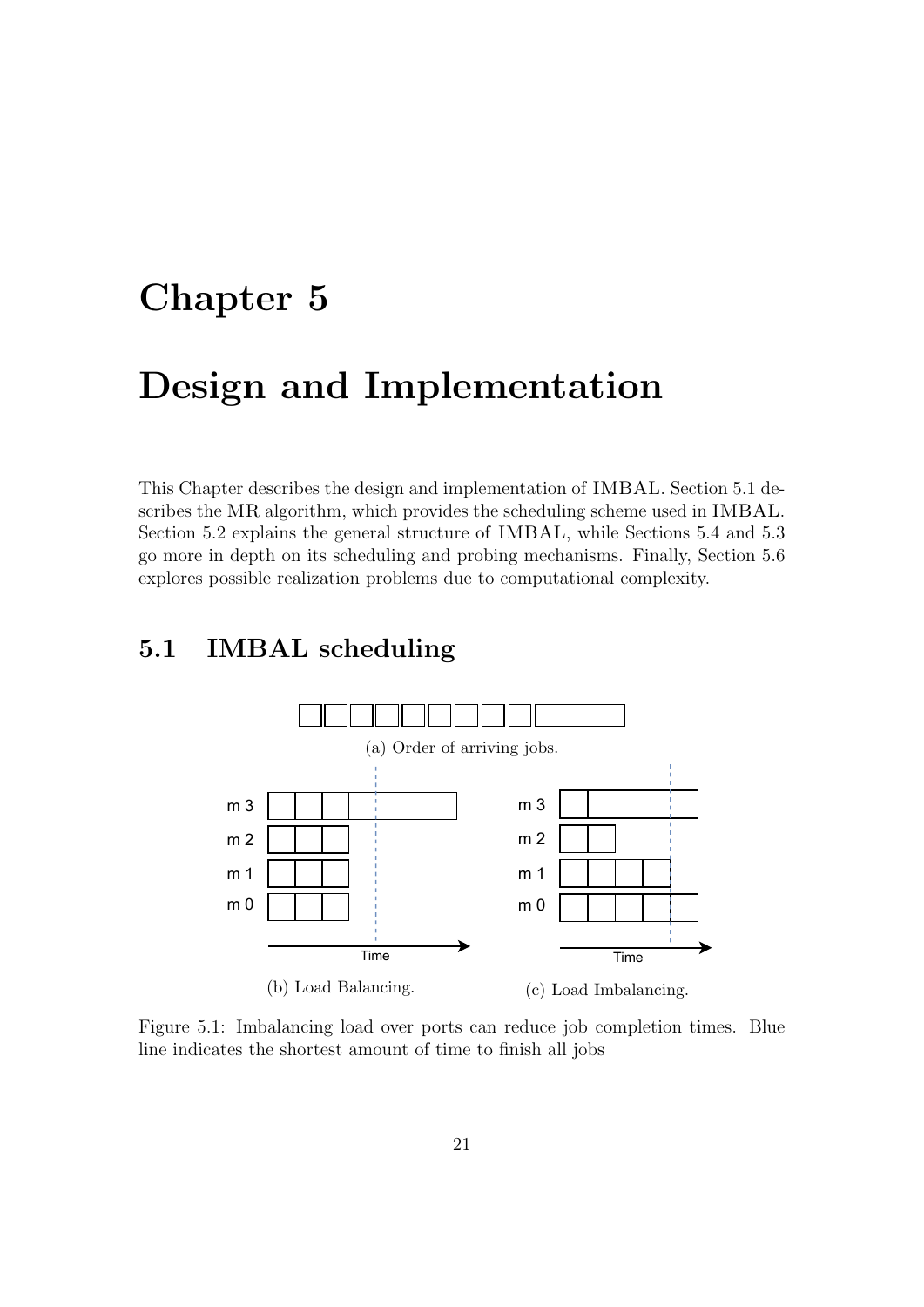## Chapter 5

### Design and Implementation

This Chapter describes the design and implementation of IMBAL. Section 5.1 describes the MR algorithm, which provides the scheduling scheme used in IMBAL. Section 5.2 explains the general structure of IMBAL, while Sections 5.4 and 5.3 go more in depth on its scheduling and probing mechanisms. Finally, Section 5.6 explores possible realization problems due to computational complexity.

#### 5.1 IMBAL scheduling



Figure 5.1: Imbalancing load over ports can reduce job completion times. Blue line indicates the shortest amount of time to finish all jobs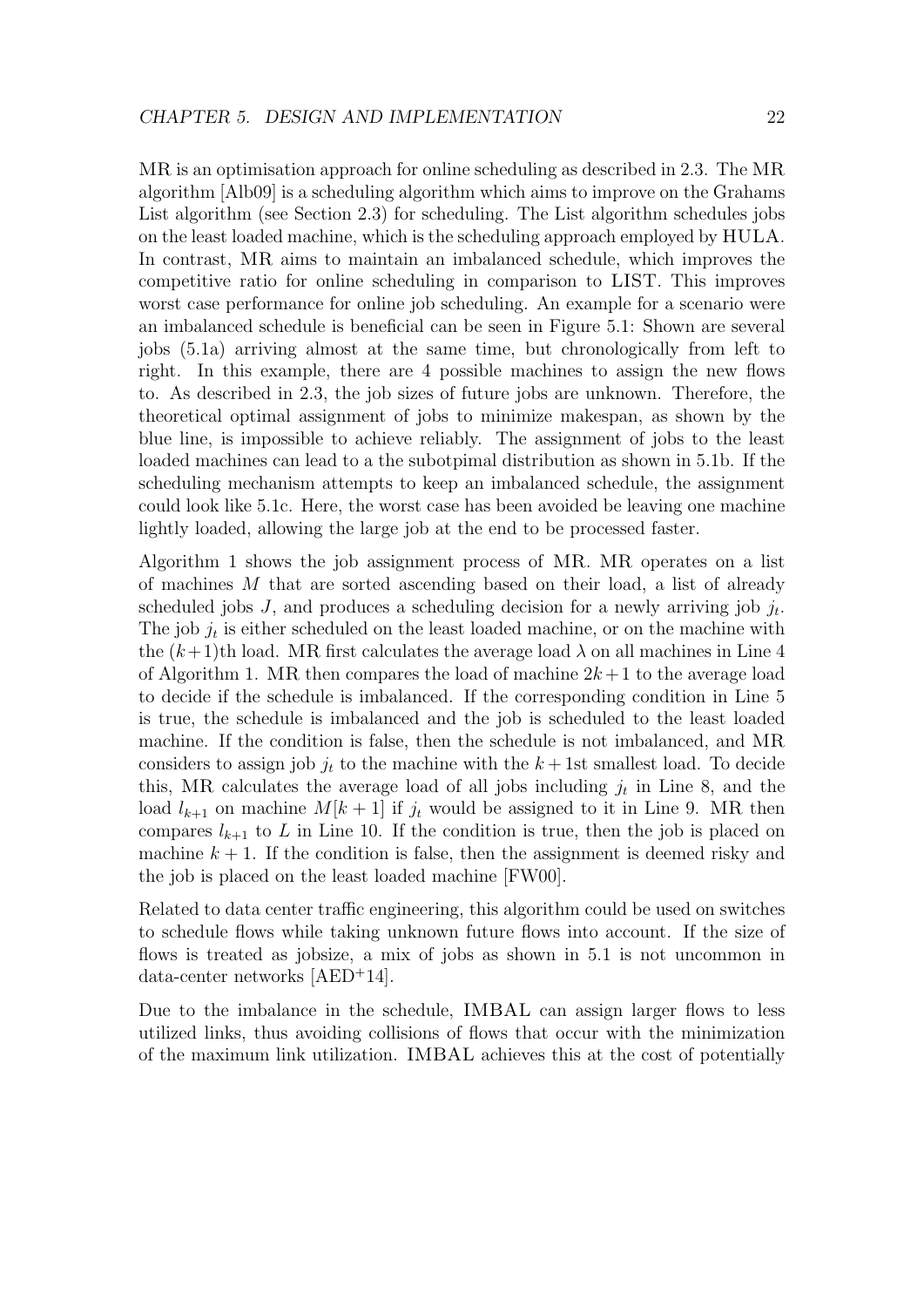MR is an optimisation approach for online scheduling as described in 2.3. The MR algorithm [Alb09] is a scheduling algorithm which aims to improve on the Grahams List algorithm (see Section 2.3) for scheduling. The List algorithm schedules jobs on the least loaded machine, which is the scheduling approach employed by HULA. In contrast, MR aims to maintain an imbalanced schedule, which improves the competitive ratio for online scheduling in comparison to LIST. This improves worst case performance for online job scheduling. An example for a scenario were an imbalanced schedule is beneficial can be seen in Figure 5.1: Shown are several jobs (5.1a) arriving almost at the same time, but chronologically from left to right. In this example, there are 4 possible machines to assign the new flows to. As described in 2.3, the job sizes of future jobs are unknown. Therefore, the theoretical optimal assignment of jobs to minimize makespan, as shown by the blue line, is impossible to achieve reliably. The assignment of jobs to the least loaded machines can lead to a the subotpimal distribution as shown in 5.1b. If the scheduling mechanism attempts to keep an imbalanced schedule, the assignment could look like 5.1c. Here, the worst case has been avoided be leaving one machine lightly loaded, allowing the large job at the end to be processed faster.

Algorithm 1 shows the job assignment process of MR. MR operates on a list of machines M that are sorted ascending based on their load, a list of already scheduled jobs  $J$ , and produces a scheduling decision for a newly arriving job  $j_t$ . The job  $j_t$  is either scheduled on the least loaded machine, or on the machine with the  $(k+1)$ th load. MR first calculates the average load  $\lambda$  on all machines in Line 4 of Algorithm 1. MR then compares the load of machine  $2k+1$  to the average load to decide if the schedule is imbalanced. If the corresponding condition in Line 5 is true, the schedule is imbalanced and the job is scheduled to the least loaded machine. If the condition is false, then the schedule is not imbalanced, and MR considers to assign job  $j_t$  to the machine with the  $k + 1$ st smallest load. To decide this, MR calculates the average load of all jobs including  $j_t$  in Line 8, and the load  $l_{k+1}$  on machine  $M[k+1]$  if  $j_t$  would be assigned to it in Line 9. MR then compares  $l_{k+1}$  to L in Line 10. If the condition is true, then the job is placed on machine  $k + 1$ . If the condition is false, then the assignment is deemed risky and the job is placed on the least loaded machine [FW00].

Related to data center traffic engineering, this algorithm could be used on switches to schedule flows while taking unknown future flows into account. If the size of flows is treated as jobsize, a mix of jobs as shown in 5.1 is not uncommon in data-center networks [AED<sup>+</sup>14].

Due to the imbalance in the schedule, IMBAL can assign larger flows to less utilized links, thus avoiding collisions of flows that occur with the minimization of the maximum link utilization. IMBAL achieves this at the cost of potentially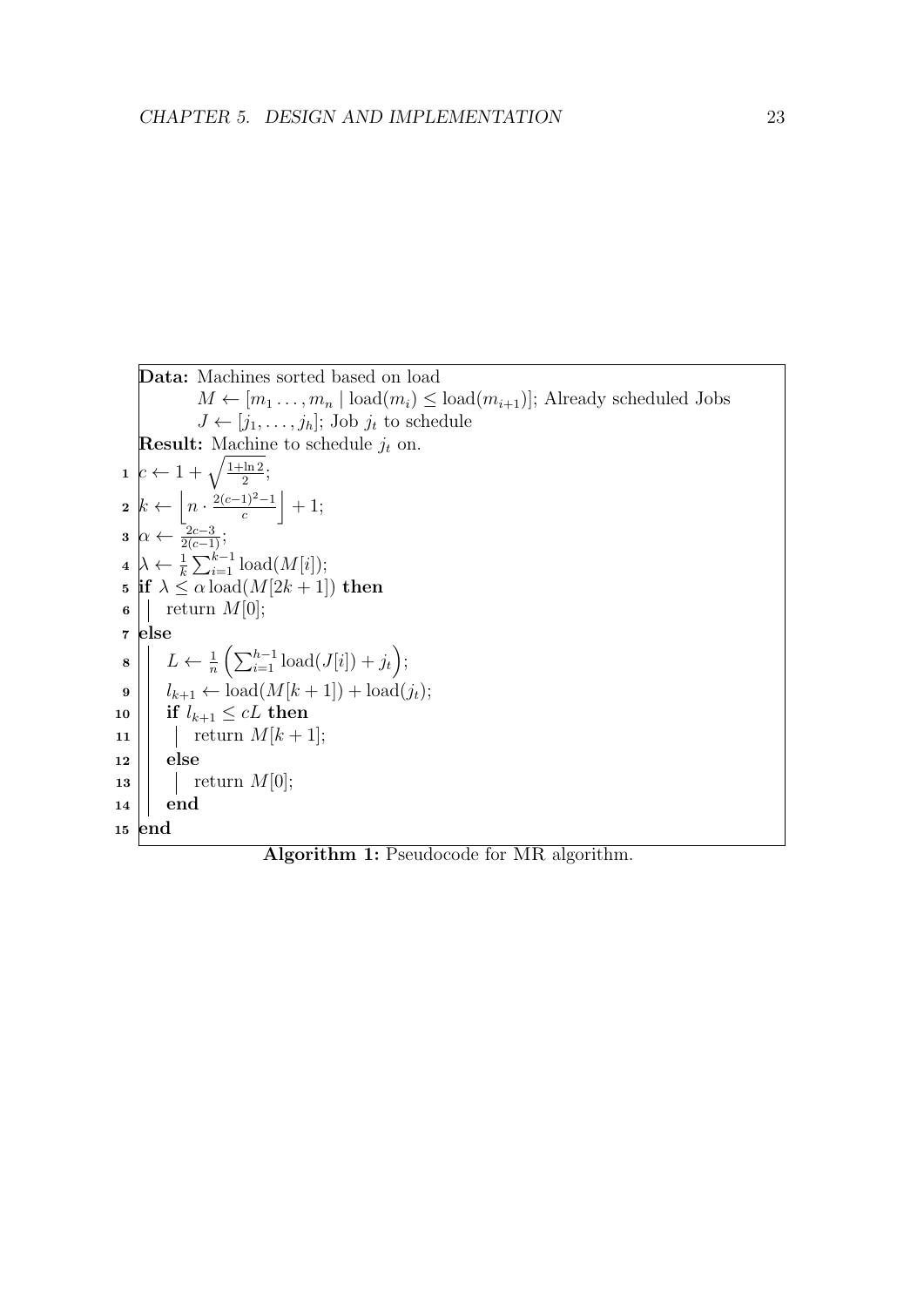Data: Machines sorted based on load  $M \leftarrow [m_1 \ldots, m_n \mid \text{load}(m_i) \leq \text{load}(m_{i+1})]$ ; Already scheduled Jobs  $J \leftarrow [j_1, \ldots, j_h]$ ; Job  $j_t$  to schedule **Result:** Machine to schedule  $j_t$  on.  $1\left|c\leftarrow 1+\sqrt{\frac{1+\ln 2}{2}}\right|$  $\frac{\ln 2}{2}$ ;  $2 k \leftarrow \left| n \cdot \frac{2(c-1)^2 - 1}{c} \right|$  $\frac{1)^{2}-1}{c}$  + 1;  $3 \left[ \alpha \leftarrow \frac{2c-3}{2(c-1)}; \right.$  $4 \lambda \leftarrow \frac{1}{k} \sum_{i=1}^{k-1} \text{load}(M[i]);$ 5 if  $\lambda \leq \alpha \text{load}(M[2k+1])$  then  $\mathbf{6}$  | return  $M[0];$ <sup>7</sup> else  $\mathbf{s} \mid \left| L \leftarrow \frac{1}{n} \left( \sum_{i=1}^{h-1} \text{load}(J[i]) + j_t \right);$  $\mathbf{9}$   $\begin{array}{c} | \end{array}$   $l_{k+1} \leftarrow \text{load}(M[k+1]) + \text{load}(j_t);$ 10  $\left|\right|$  if  $l_{k+1} \leq cL$  then 11 | return  $M[k+1]$ ;  $12$  else  $\mathbf{13}$  | | return  $M[0]$ ;  $14 \parallel end$ <sup>15</sup> end

Algorithm 1: Pseudocode for MR algorithm.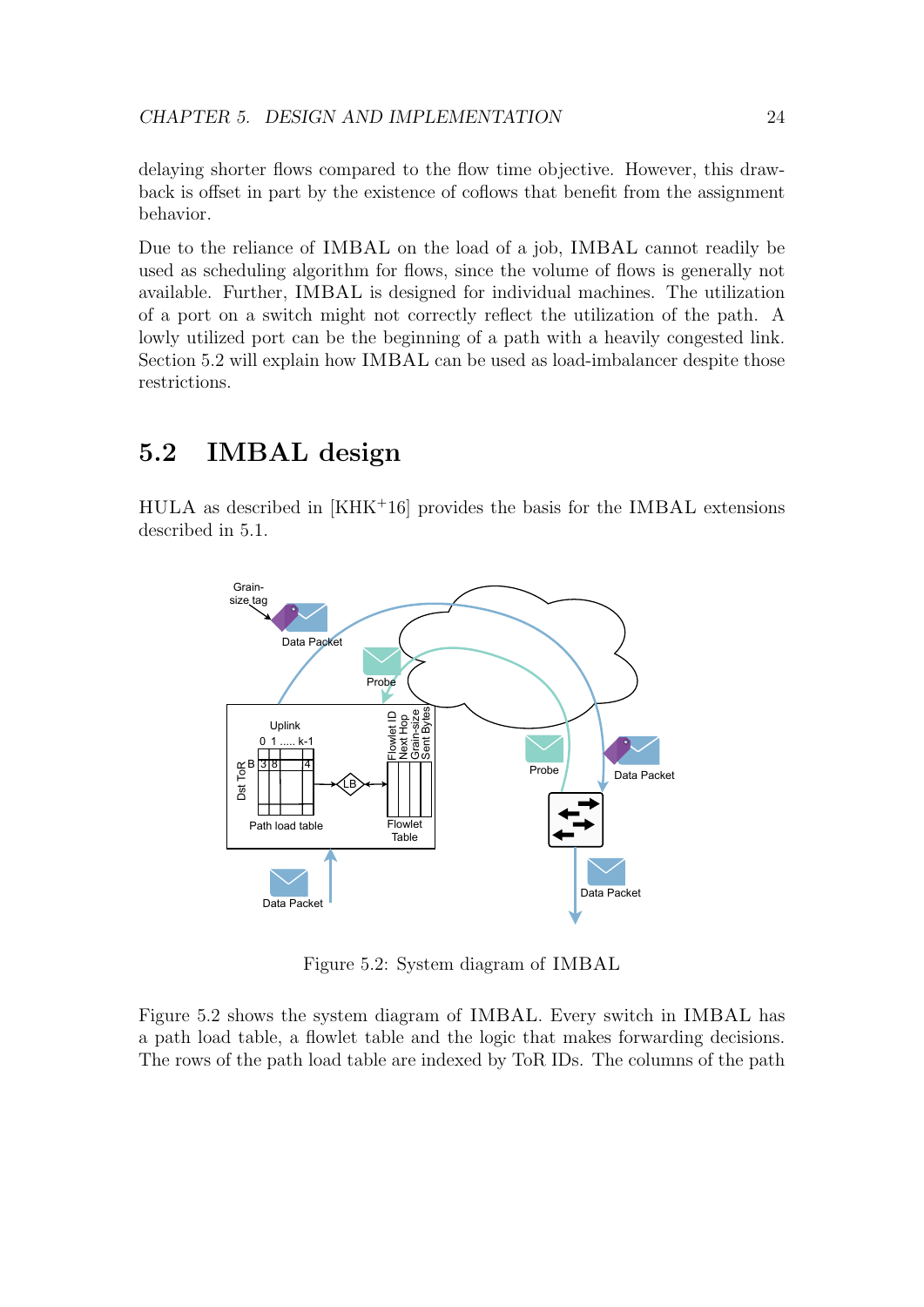delaying shorter flows compared to the flow time objective. However, this drawback is offset in part by the existence of coflows that benefit from the assignment behavior.

Due to the reliance of IMBAL on the load of a job, IMBAL cannot readily be used as scheduling algorithm for flows, since the volume of flows is generally not available. Further, IMBAL is designed for individual machines. The utilization of a port on a switch might not correctly reflect the utilization of the path. A lowly utilized port can be the beginning of a path with a heavily congested link. Section 5.2 will explain how IMBAL can be used as load-imbalancer despite those restrictions.

### 5.2 IMBAL design

HULA as described in [KHK<sup>+</sup>16] provides the basis for the IMBAL extensions described in 5.1.



Figure 5.2: System diagram of IMBAL

Figure 5.2 shows the system diagram of IMBAL. Every switch in IMBAL has a path load table, a flowlet table and the logic that makes forwarding decisions. The rows of the path load table are indexed by ToR IDs. The columns of the path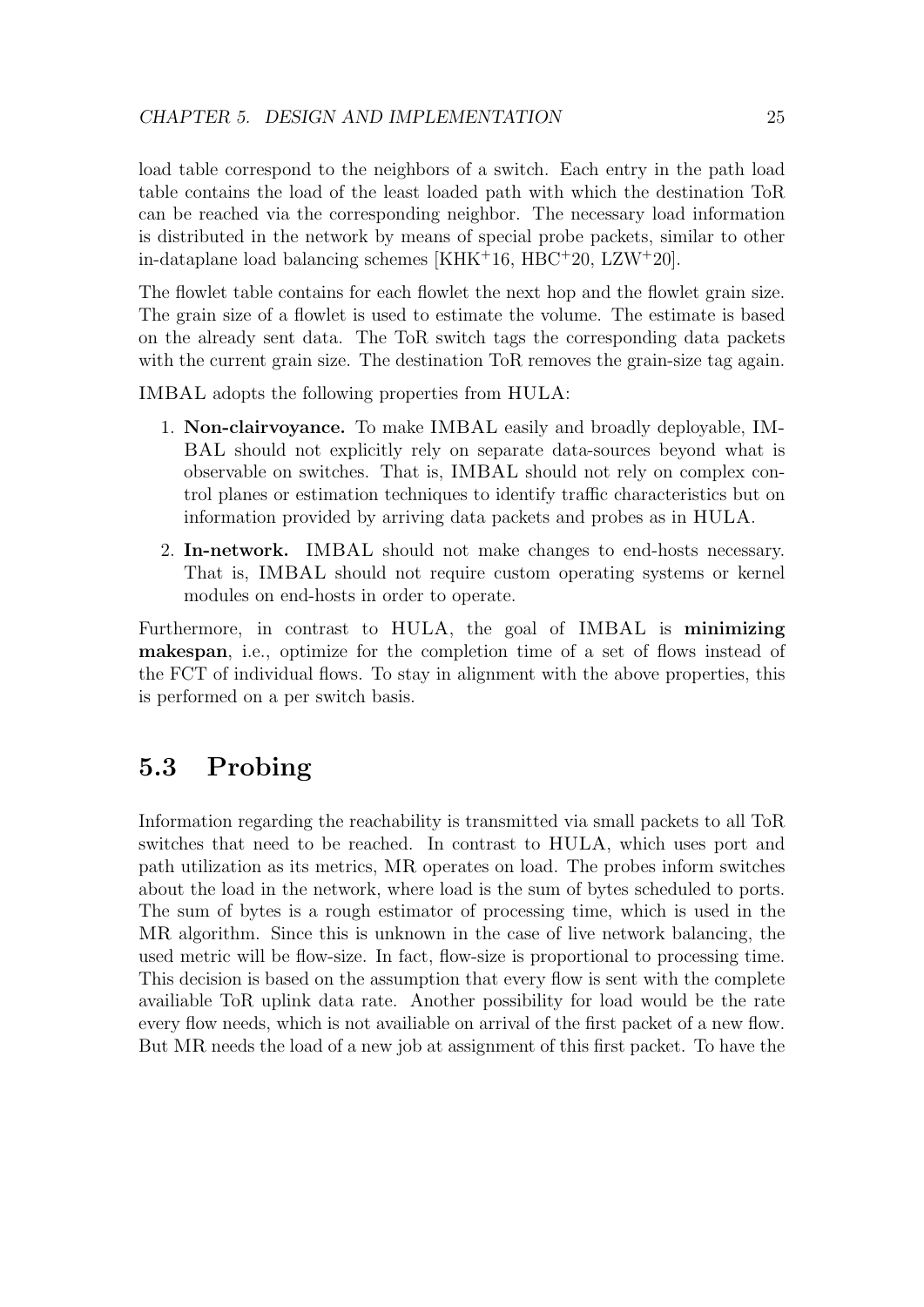load table correspond to the neighbors of a switch. Each entry in the path load table contains the load of the least loaded path with which the destination ToR can be reached via the corresponding neighbor. The necessary load information is distributed in the network by means of special probe packets, similar to other in-dataplane load balancing schemes [KHK<sup>+</sup>16, HBC<sup>+</sup>20, LZW<sup>+</sup>20].

The flowlet table contains for each flowlet the next hop and the flowlet grain size. The grain size of a flowlet is used to estimate the volume. The estimate is based on the already sent data. The ToR switch tags the corresponding data packets with the current grain size. The destination ToR removes the grain-size tag again.

IMBAL adopts the following properties from HULA:

- 1. Non-clairvoyance. To make IMBAL easily and broadly deployable, IM-BAL should not explicitly rely on separate data-sources beyond what is observable on switches. That is, IMBAL should not rely on complex control planes or estimation techniques to identify traffic characteristics but on information provided by arriving data packets and probes as in HULA.
- 2. In-network. IMBAL should not make changes to end-hosts necessary. That is, IMBAL should not require custom operating systems or kernel modules on end-hosts in order to operate.

Furthermore, in contrast to HULA, the goal of IMBAL is minimizing makespan, i.e., optimize for the completion time of a set of flows instead of the FCT of individual flows. To stay in alignment with the above properties, this is performed on a per switch basis.

### 5.3 Probing

Information regarding the reachability is transmitted via small packets to all ToR switches that need to be reached. In contrast to HULA, which uses port and path utilization as its metrics, MR operates on load. The probes inform switches about the load in the network, where load is the sum of bytes scheduled to ports. The sum of bytes is a rough estimator of processing time, which is used in the MR algorithm. Since this is unknown in the case of live network balancing, the used metric will be flow-size. In fact, flow-size is proportional to processing time. This decision is based on the assumption that every flow is sent with the complete availiable ToR uplink data rate. Another possibility for load would be the rate every flow needs, which is not availiable on arrival of the first packet of a new flow. But MR needs the load of a new job at assignment of this first packet. To have the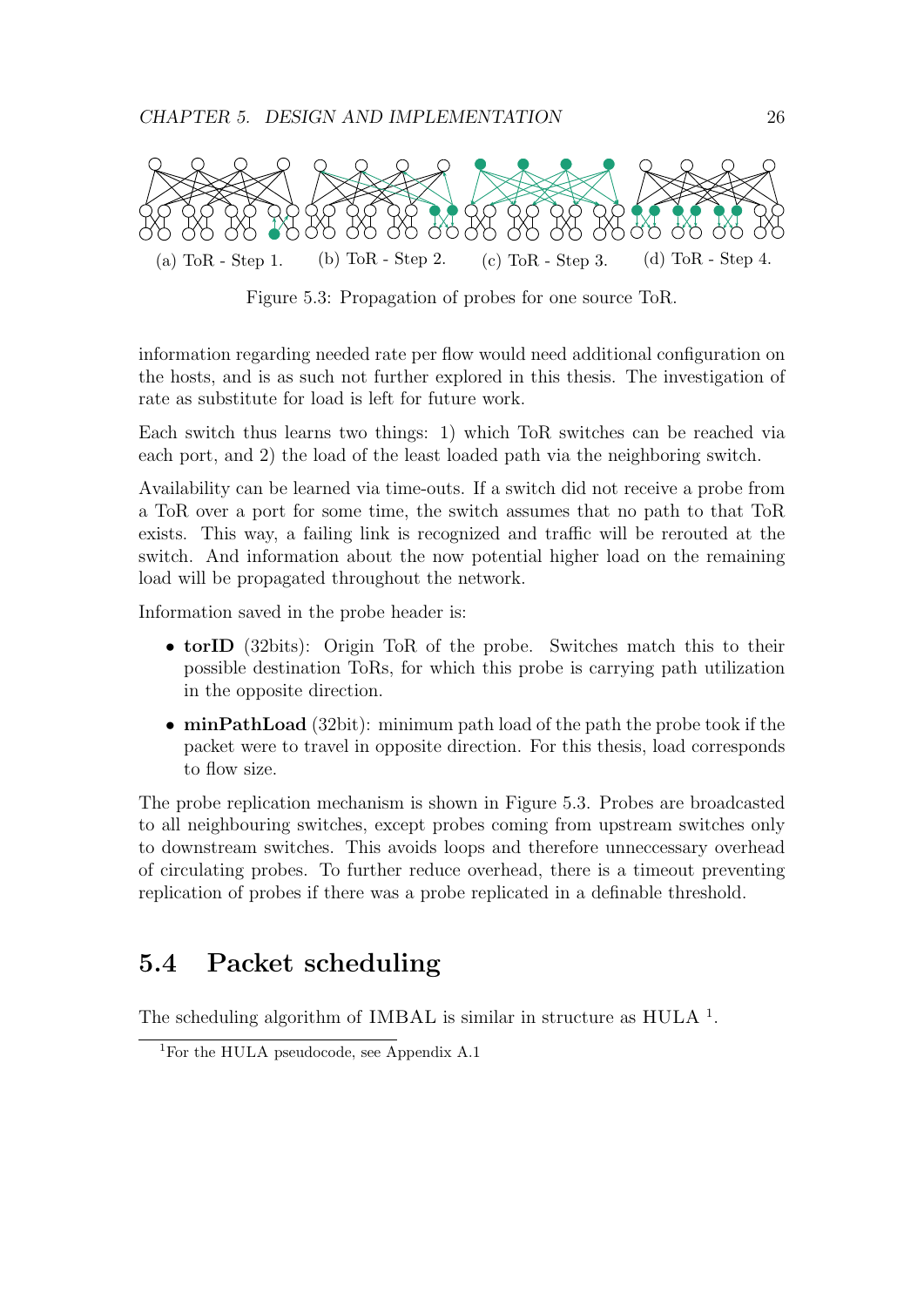

Figure 5.3: Propagation of probes for one source ToR.

information regarding needed rate per flow would need additional configuration on the hosts, and is as such not further explored in this thesis. The investigation of rate as substitute for load is left for future work.

Each switch thus learns two things: 1) which ToR switches can be reached via each port, and 2) the load of the least loaded path via the neighboring switch.

Availability can be learned via time-outs. If a switch did not receive a probe from a ToR over a port for some time, the switch assumes that no path to that ToR exists. This way, a failing link is recognized and traffic will be rerouted at the switch. And information about the now potential higher load on the remaining load will be propagated throughout the network.

Information saved in the probe header is:

- torID (32bits): Origin ToR of the probe. Switches match this to their possible destination ToRs, for which this probe is carrying path utilization in the opposite direction.
- minPathLoad (32bit): minimum path load of the path the probe took if the packet were to travel in opposite direction. For this thesis, load corresponds to flow size.

The probe replication mechanism is shown in Figure 5.3. Probes are broadcasted to all neighbouring switches, except probes coming from upstream switches only to downstream switches. This avoids loops and therefore unneccessary overhead of circulating probes. To further reduce overhead, there is a timeout preventing replication of probes if there was a probe replicated in a definable threshold.

### 5.4 Packet scheduling

The scheduling algorithm of IMBAL is similar in structure as  $HULA$ <sup>1</sup>.

<sup>1</sup>For the HULA pseudocode, see Appendix A.1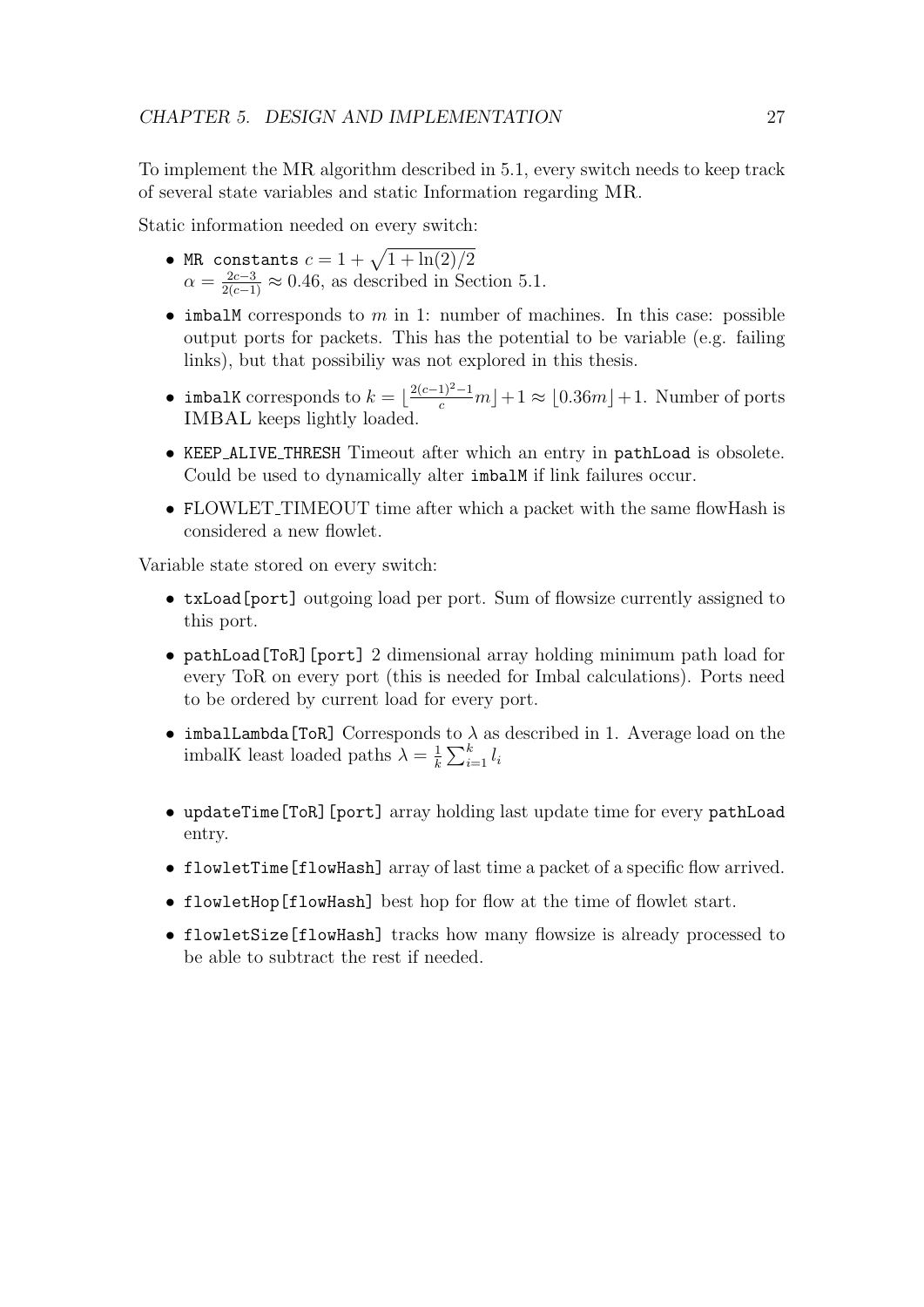To implement the MR algorithm described in 5.1, every switch needs to keep track of several state variables and static Information regarding MR.

Static information needed on every switch:

- MR constants  $c = 1 + \sqrt{1 + \ln(2)/2}$  $\alpha = \frac{2c-3}{2(c-1)} \approx 0.46$ , as described in Section 5.1.
- imbalM corresponds to m in 1: number of machines. In this case: possible output ports for packets. This has the potential to be variable (e.g. failing links), but that possibiliy was not explored in this thesis.
- imbalK corresponds to  $k = \lfloor \frac{2(c-1)^2-1}{c}m \rfloor + 1 \approx \lfloor 0.36m \rfloor + 1$ . Number of ports IMBAL keeps lightly loaded.
- KEEP ALIVE THRESH Timeout after which an entry in pathLoad is obsolete. Could be used to dynamically alter imbalM if link failures occur.
- FLOWLET\_TIMEOUT time after which a packet with the same flowHash is considered a new flowlet.

Variable state stored on every switch:

- txLoad[port] outgoing load per port. Sum of flowsize currently assigned to this port.
- pathLoad[ToR][port] 2 dimensional array holding minimum path load for every ToR on every port (this is needed for Imbal calculations). Ports need to be ordered by current load for every port.
- imbalLambda [ToR] Corresponds to  $\lambda$  as described in 1. Average load on the imbalK least loaded paths  $\lambda = \frac{1}{k}$  $\frac{1}{k} \sum_{i=1}^{k} l_i$
- updateTime[ToR][port] array holding last update time for every pathLoad entry.
- flowletTime[flowHash] array of last time a packet of a specific flow arrived.
- flowletHop[flowHash] best hop for flow at the time of flowlet start.
- flowletSize[flowHash] tracks how many flowsize is already processed to be able to subtract the rest if needed.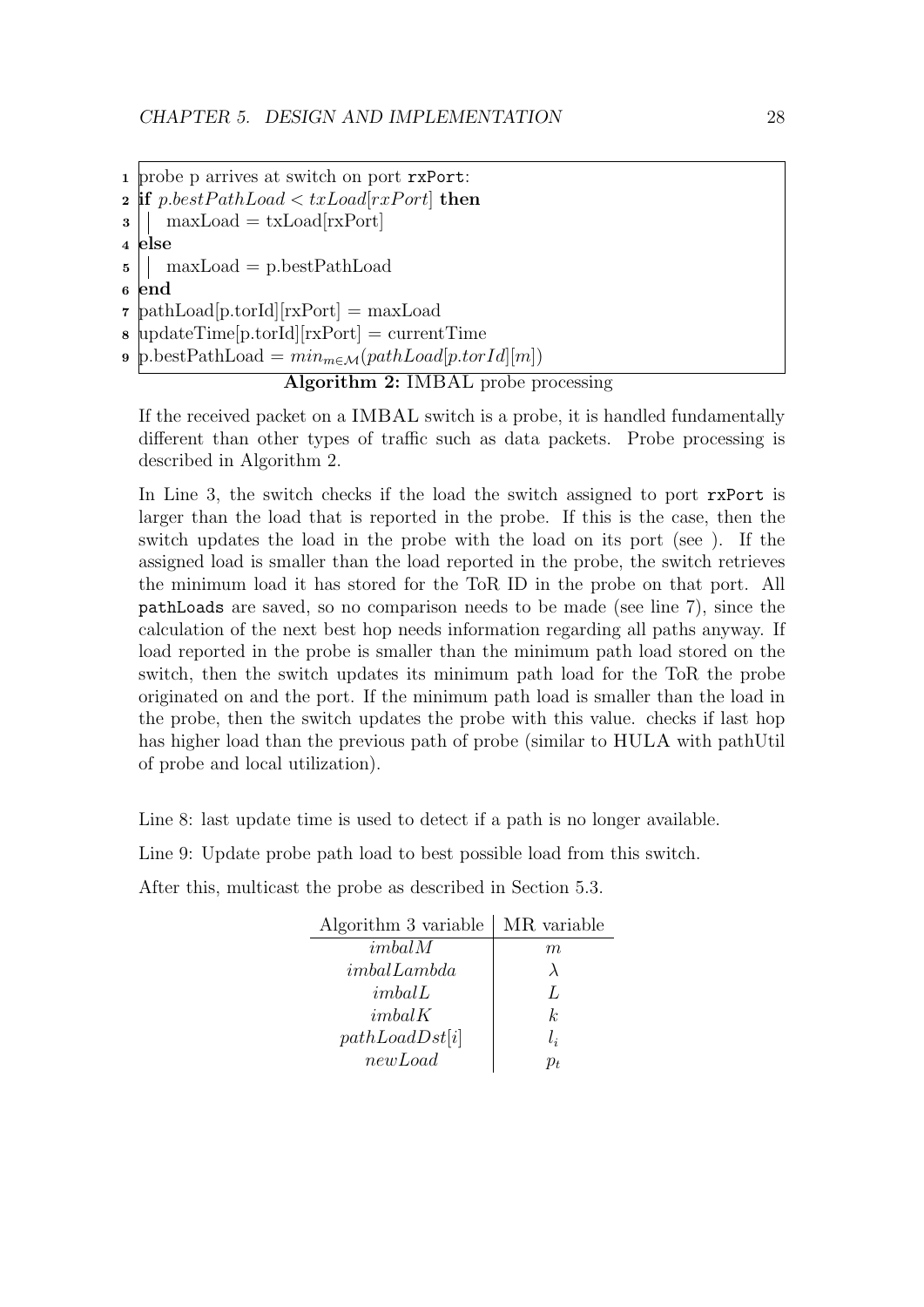<sup>1</sup> probe p arrives at switch on port rxPort: 2 if p.bestPathLoad  $\langle$  txLoad[rxPort] then  $\mathbf{3}$  | maxLoad = txLoad[rxPort] <sup>4</sup> else  $5 \mid \cdot \rangle$  maxLoad = p.bestPathLoad <sup>6</sup> end <sup>7</sup> pathLoad[p.torId][rxPort] = maxLoad <sup>8</sup> updateTime[p.torId][rxPort] = currentTime 9 p.bestPathLoad =  $min_{m \in \mathcal{M}}(pathLoad[p.torId][m])$ 

#### Algorithm 2: IMBAL probe processing

If the received packet on a IMBAL switch is a probe, it is handled fundamentally different than other types of traffic such as data packets. Probe processing is described in Algorithm 2.

In Line 3, the switch checks if the load the switch assigned to port rxPort is larger than the load that is reported in the probe. If this is the case, then the switch updates the load in the probe with the load on its port (see ). If the assigned load is smaller than the load reported in the probe, the switch retrieves the minimum load it has stored for the ToR ID in the probe on that port. All pathLoads are saved, so no comparison needs to be made (see line 7), since the calculation of the next best hop needs information regarding all paths anyway. If load reported in the probe is smaller than the minimum path load stored on the switch, then the switch updates its minimum path load for the ToR the probe originated on and the port. If the minimum path load is smaller than the load in the probe, then the switch updates the probe with this value. checks if last hop has higher load than the previous path of probe (similar to HULA with pathUtil of probe and local utilization).

Line 8: last update time is used to detect if a path is no longer available.

Line 9: Update probe path load to best possible load from this switch.

After this, multicast the probe as described in Section 5.3.

| Algorithm 3 variable   MR variable |               |
|------------------------------------|---------------|
| imbal M                            | m             |
| imbalLambda                        | $\lambda$     |
| imbalL                             | $\mathcal{L}$ |
| imbalK                             | k.            |
| pathLoadDst[i]                     | $l_i$         |
| newLoad                            | D+            |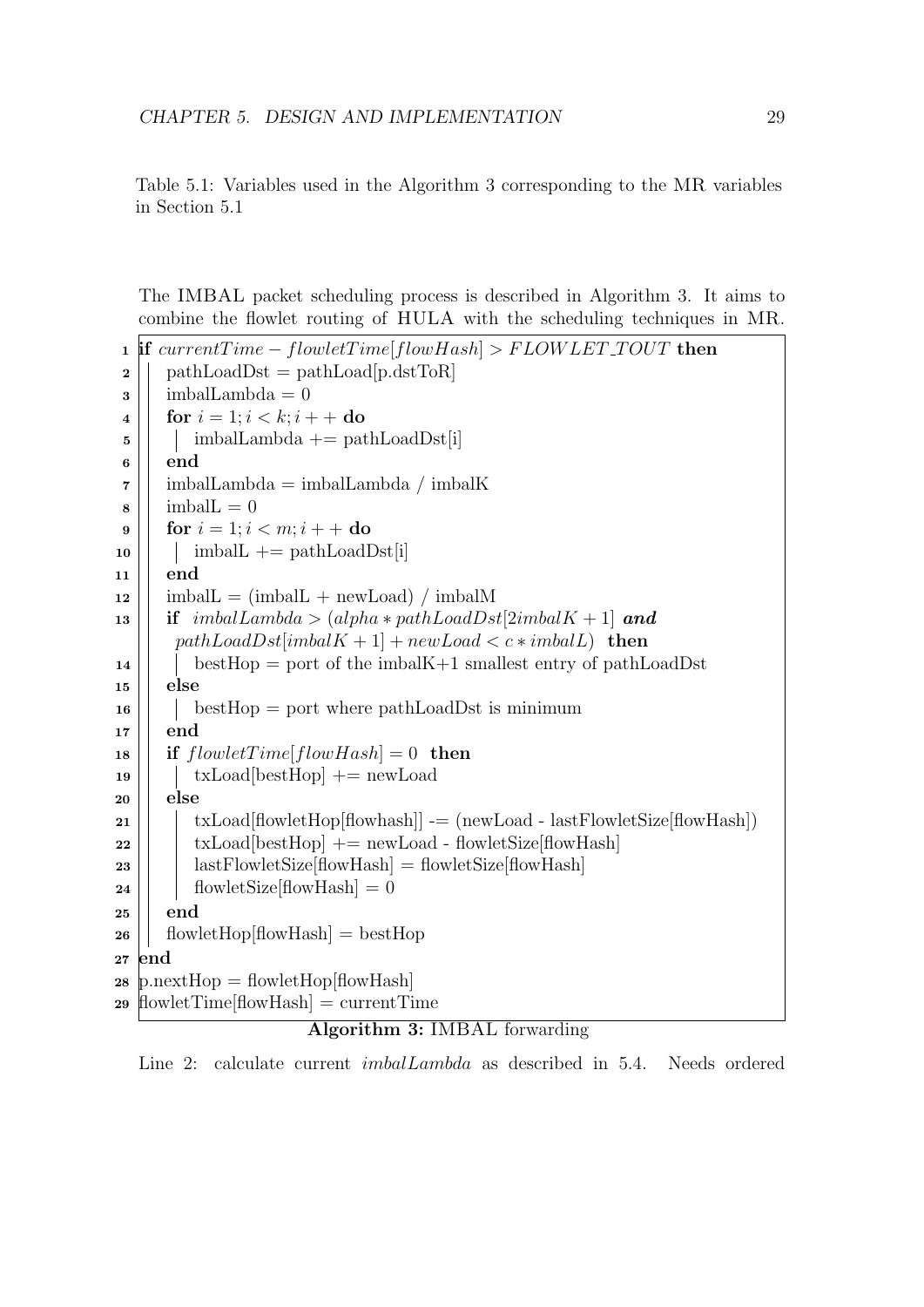Table 5.1: Variables used in the Algorithm 3 corresponding to the MR variables in Section 5.1

The IMBAL packet scheduling process is described in Algorithm 3. It aims to combine the flowlet routing of HULA with the scheduling techniques in MR.

```
1 if currentTime - flowletTime[flowHash] > FLOWLET\_TOUT then
2 \mid pathLoadDst = pathLoad[p.dstToR]
\mathbf{3} | imbalLambda = 0
4 | for i = 1; i < k; i++do
\mathbf{5} | | imbalLambda += pathLoadDst[i]
6 \parallel end7 \mid \cdot \mid imbalLambda = imbalLambda / imbalK
\| \cdot \| imball = 09 | for i = 1; i < m; i + + do
\text{10} | imbalL += pathLoadDst[i]
11 end
12 | imbalL = (imbalL + newLoad) / imbalM
13 | if imbalLambda > (alpha * pathLoadDst[2imbalK + 1] and
       pathLoadDst[imbalK + 1] + newLoad < c * imbalL) then
14 bestHop = port of the imbalK+1 smallest entry of pathLoadDst
15 \parallel else
16 | bestHop = port where pathLoadDst is minimum
17 \parallel end18 | if flowletTime[flowHash] = 0 then
19 txLoad[bestHop] += newLoad
20 else
21 \vert txLoad[flowletHop[flowhash]] = (newLoad - lastFlowletSize[flowHash])
22 \vert \vert txLoad[bestHop] += newLoad - flowletSize[flowHash]
23 | | | lastFlowletSize[flowHash] = flowletSize[flowHash]
24 | flowletSize \left[\text{flowHash}\right] = 025 \parallel end26 | flowletHop[flowHash] = bestHop
27 end
28 p.nextHop = flowletHop[flowHash]
29 flowletTime[flowHash] = currentTime
```
#### Algorithm 3: IMBAL forwarding

Line 2: calculate current imbalLambda as described in 5.4. Needs ordered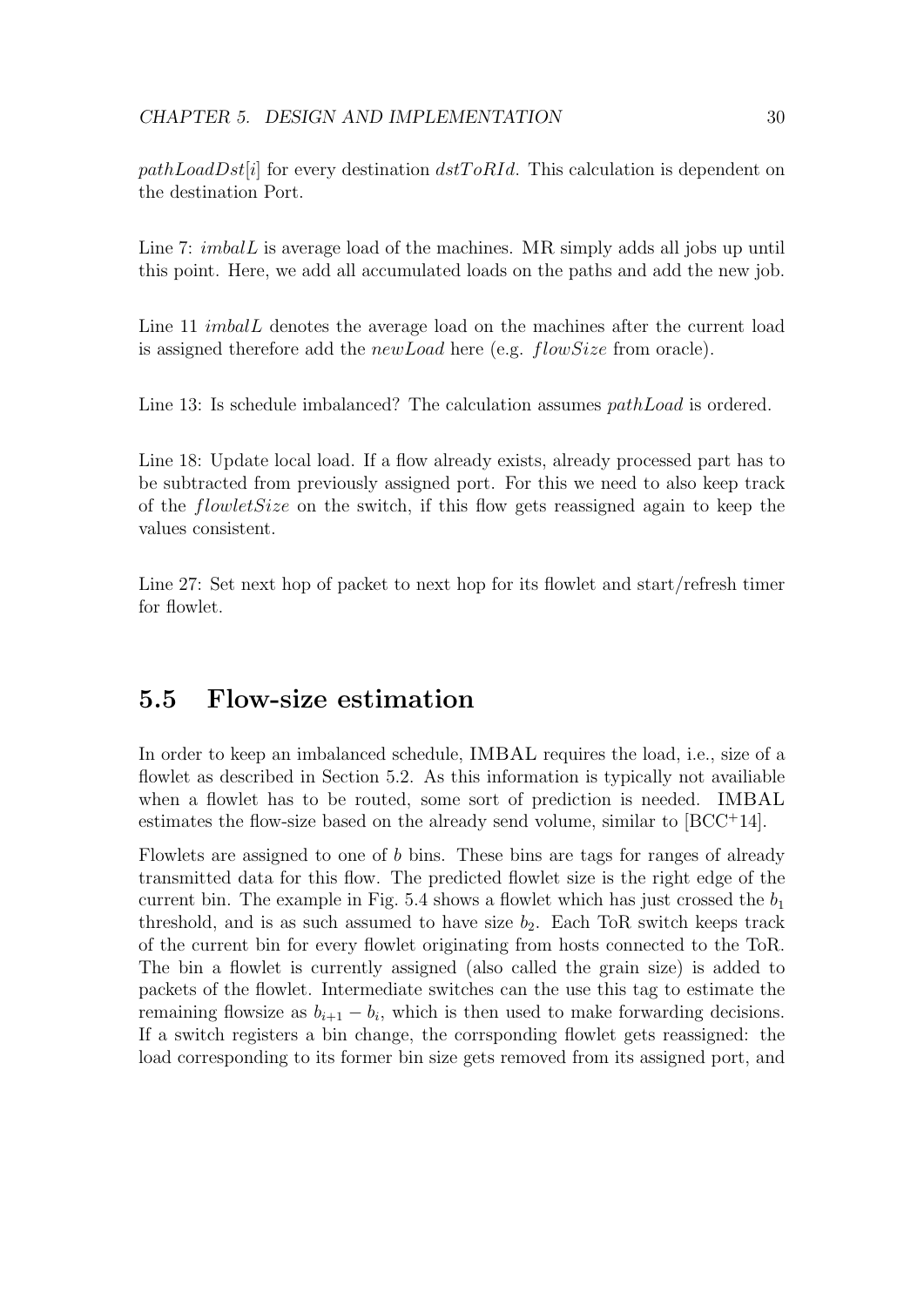$pathLoadDst[i]$  for every destination  $dstToRId$ . This calculation is dependent on the destination Port.

Line 7: *imbalL* is average load of the machines. MR simply adds all jobs up until this point. Here, we add all accumulated loads on the paths and add the new job.

Line 11 *imbalL* denotes the average load on the machines after the current load is assigned therefore add the newLoad here (e.g. flowSize from oracle).

Line 13: Is schedule imbalanced? The calculation assumes *pathLoad* is ordered.

Line 18: Update local load. If a flow already exists, already processed part has to be subtracted from previously assigned port. For this we need to also keep track of the flowletSize on the switch, if this flow gets reassigned again to keep the values consistent.

Line 27: Set next hop of packet to next hop for its flowlet and start/refresh timer for flowlet.

#### 5.5 Flow-size estimation

In order to keep an imbalanced schedule, IMBAL requires the load, i.e., size of a flowlet as described in Section 5.2. As this information is typically not available when a flowlet has to be routed, some sort of prediction is needed. IMBAL estimates the flow-size based on the already send volume, similar to [BCC<sup>+</sup>14].

Flowlets are assigned to one of b bins. These bins are tags for ranges of already transmitted data for this flow. The predicted flowlet size is the right edge of the current bin. The example in Fig. 5.4 shows a flowlet which has just crossed the  $b_1$ threshold, and is as such assumed to have size  $b_2$ . Each ToR switch keeps track of the current bin for every flowlet originating from hosts connected to the ToR. The bin a flowlet is currently assigned (also called the grain size) is added to packets of the flowlet. Intermediate switches can the use this tag to estimate the remaining flowsize as  $b_{i+1} - b_i$ , which is then used to make forwarding decisions. If a switch registers a bin change, the corrsponding flowlet gets reassigned: the load corresponding to its former bin size gets removed from its assigned port, and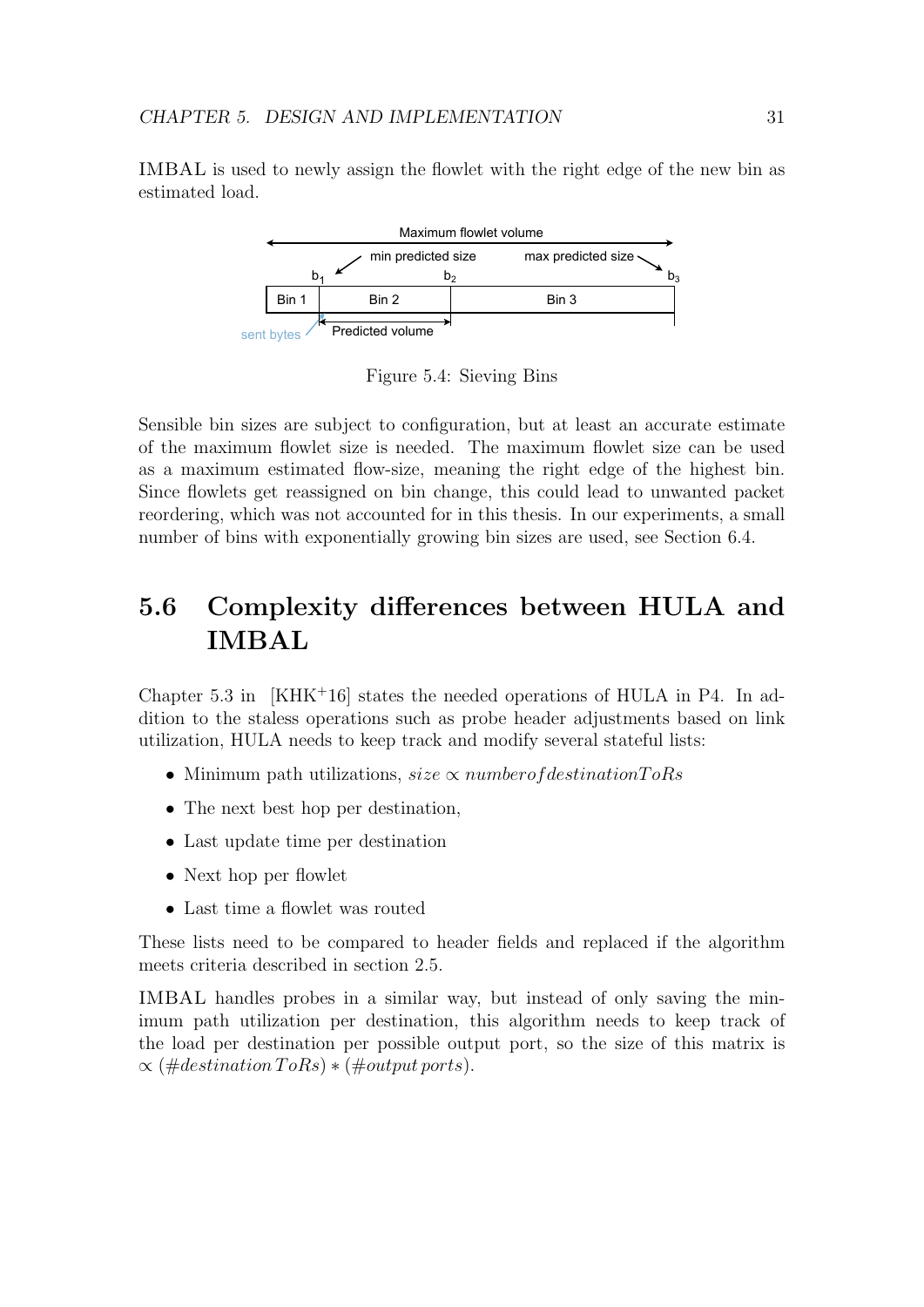IMBAL is used to newly assign the flowlet with the right edge of the new bin as estimated load.



Figure 5.4: Sieving Bins

Sensible bin sizes are subject to configuration, but at least an accurate estimate of the maximum flowlet size is needed. The maximum flowlet size can be used as a maximum estimated flow-size, meaning the right edge of the highest bin. Since flowlets get reassigned on bin change, this could lead to unwanted packet reordering, which was not accounted for in this thesis. In our experiments, a small number of bins with exponentially growing bin sizes are used, see Section 6.4.

### 5.6 Complexity differences between HULA and IMBAL

Chapter 5.3 in [KHK+16] states the needed operations of HULA in P4. In addition to the staless operations such as probe header adjustments based on link utilization, HULA needs to keep track and modify several stateful lists:

- Minimum path utilizations, size  $\propto$  numberof destination  $ToRs$
- The next best hop per destination.
- Last update time per destination
- Next hop per flowlet
- Last time a flowlet was routed

These lists need to be compared to header fields and replaced if the algorithm meets criteria described in section 2.5.

IMBAL handles probes in a similar way, but instead of only saving the minimum path utilization per destination, this algorithm needs to keep track of the load per destination per possible output port, so the size of this matrix is  $\propto$  (#destination ToRs)  $*($ #output ports).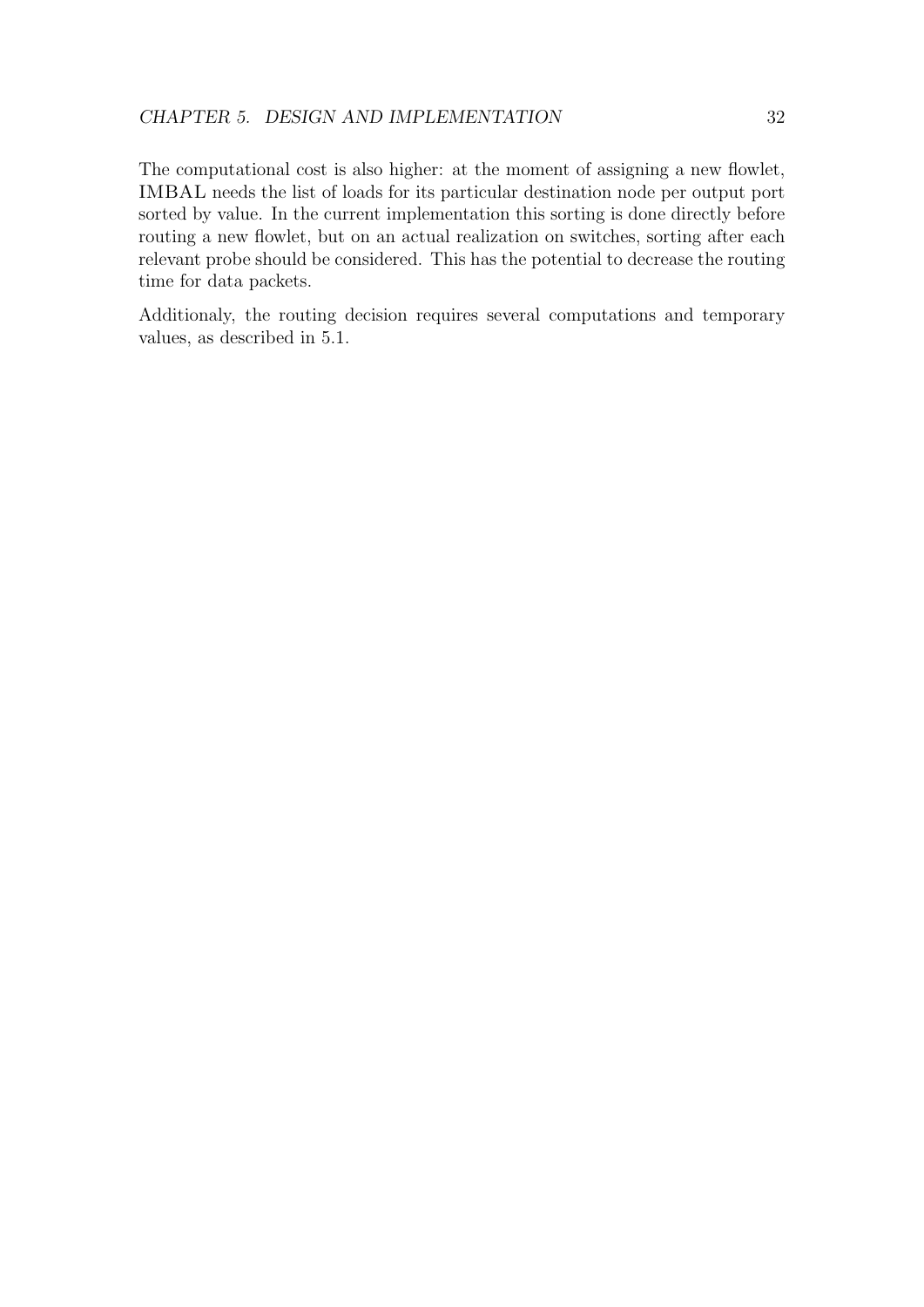The computational cost is also higher: at the moment of assigning a new flowlet, IMBAL needs the list of loads for its particular destination node per output port sorted by value. In the current implementation this sorting is done directly before routing a new flowlet, but on an actual realization on switches, sorting after each relevant probe should be considered. This has the potential to decrease the routing time for data packets.

Additionaly, the routing decision requires several computations and temporary values, as described in 5.1.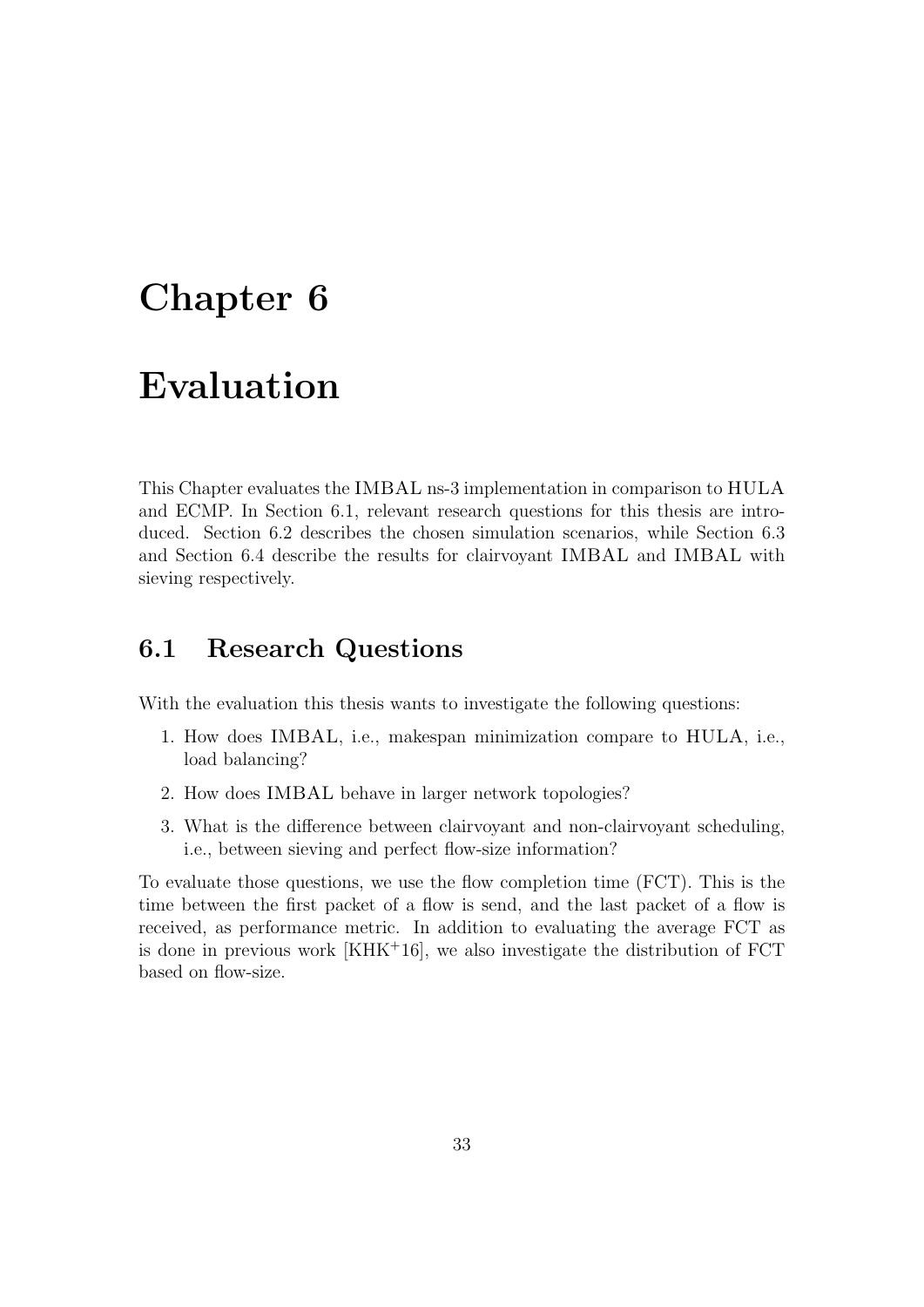### Chapter 6

### Evaluation

This Chapter evaluates the IMBAL ns-3 implementation in comparison to HULA and ECMP. In Section 6.1, relevant research questions for this thesis are introduced. Section 6.2 describes the chosen simulation scenarios, while Section 6.3 and Section 6.4 describe the results for clairvoyant IMBAL and IMBAL with sieving respectively.

#### 6.1 Research Questions

With the evaluation this thesis wants to investigate the following questions:

- 1. How does IMBAL, i.e., makespan minimization compare to HULA, i.e., load balancing?
- 2. How does IMBAL behave in larger network topologies?
- 3. What is the difference between clairvoyant and non-clairvoyant scheduling, i.e., between sieving and perfect flow-size information?

To evaluate those questions, we use the flow completion time (FCT). This is the time between the first packet of a flow is send, and the last packet of a flow is received, as performance metric. In addition to evaluating the average FCT as is done in previous work  $[KHK<sup>+</sup>16]$ , we also investigate the distribution of  $FCT$ based on flow-size.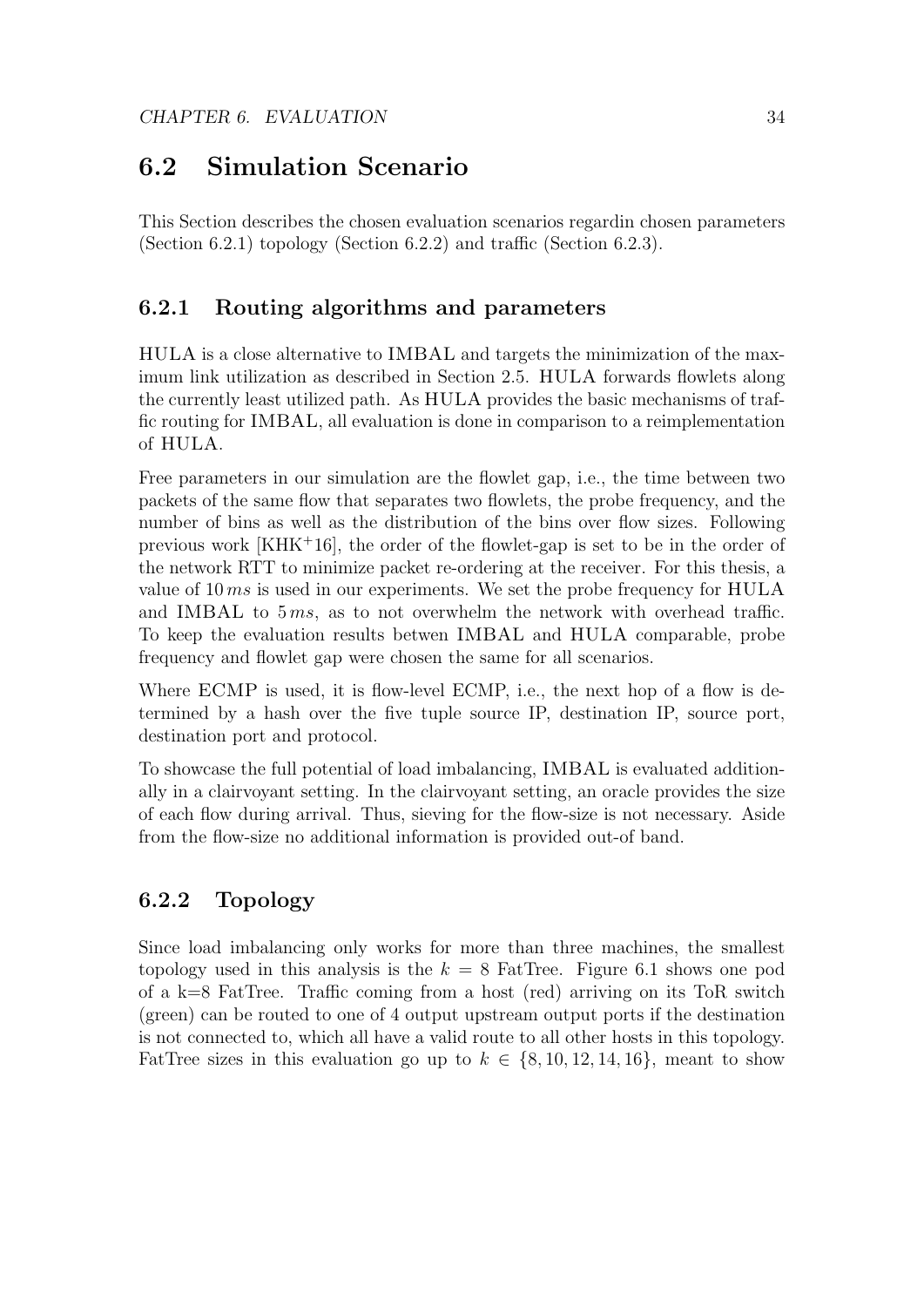#### 6.2 Simulation Scenario

This Section describes the chosen evaluation scenarios regardin chosen parameters (Section 6.2.1) topology (Section 6.2.2) and traffic (Section 6.2.3).

#### 6.2.1 Routing algorithms and parameters

HULA is a close alternative to IMBAL and targets the minimization of the maximum link utilization as described in Section 2.5. HULA forwards flowlets along the currently least utilized path. As HULA provides the basic mechanisms of traffic routing for IMBAL, all evaluation is done in comparison to a reimplementation of HULA.

Free parameters in our simulation are the flowlet gap, i.e., the time between two packets of the same flow that separates two flowlets, the probe frequency, and the number of bins as well as the distribution of the bins over flow sizes. Following previous work [KHK<sup>+</sup>16], the order of the flowlet-gap is set to be in the order of the network RTT to minimize packet re-ordering at the receiver. For this thesis, a value of 10 ms is used in our experiments. We set the probe frequency for HULA and IMBAL to  $5 \, \text{ms}$ , as to not overwhelm the network with overhead traffic. To keep the evaluation results betwen IMBAL and HULA comparable, probe frequency and flowlet gap were chosen the same for all scenarios.

Where ECMP is used, it is flow-level ECMP, i.e., the next hop of a flow is determined by a hash over the five tuple source IP, destination IP, source port, destination port and protocol.

To showcase the full potential of load imbalancing, IMBAL is evaluated additionally in a clairvoyant setting. In the clairvoyant setting, an oracle provides the size of each flow during arrival. Thus, sieving for the flow-size is not necessary. Aside from the flow-size no additional information is provided out-of band.

#### 6.2.2 Topology

Since load imbalancing only works for more than three machines, the smallest topology used in this analysis is the  $k = 8$  FatTree. Figure 6.1 shows one pod of a k=8 FatTree. Traffic coming from a host (red) arriving on its ToR switch (green) can be routed to one of 4 output upstream output ports if the destination is not connected to, which all have a valid route to all other hosts in this topology. FatTree sizes in this evaluation go up to  $k \in \{8, 10, 12, 14, 16\}$ , meant to show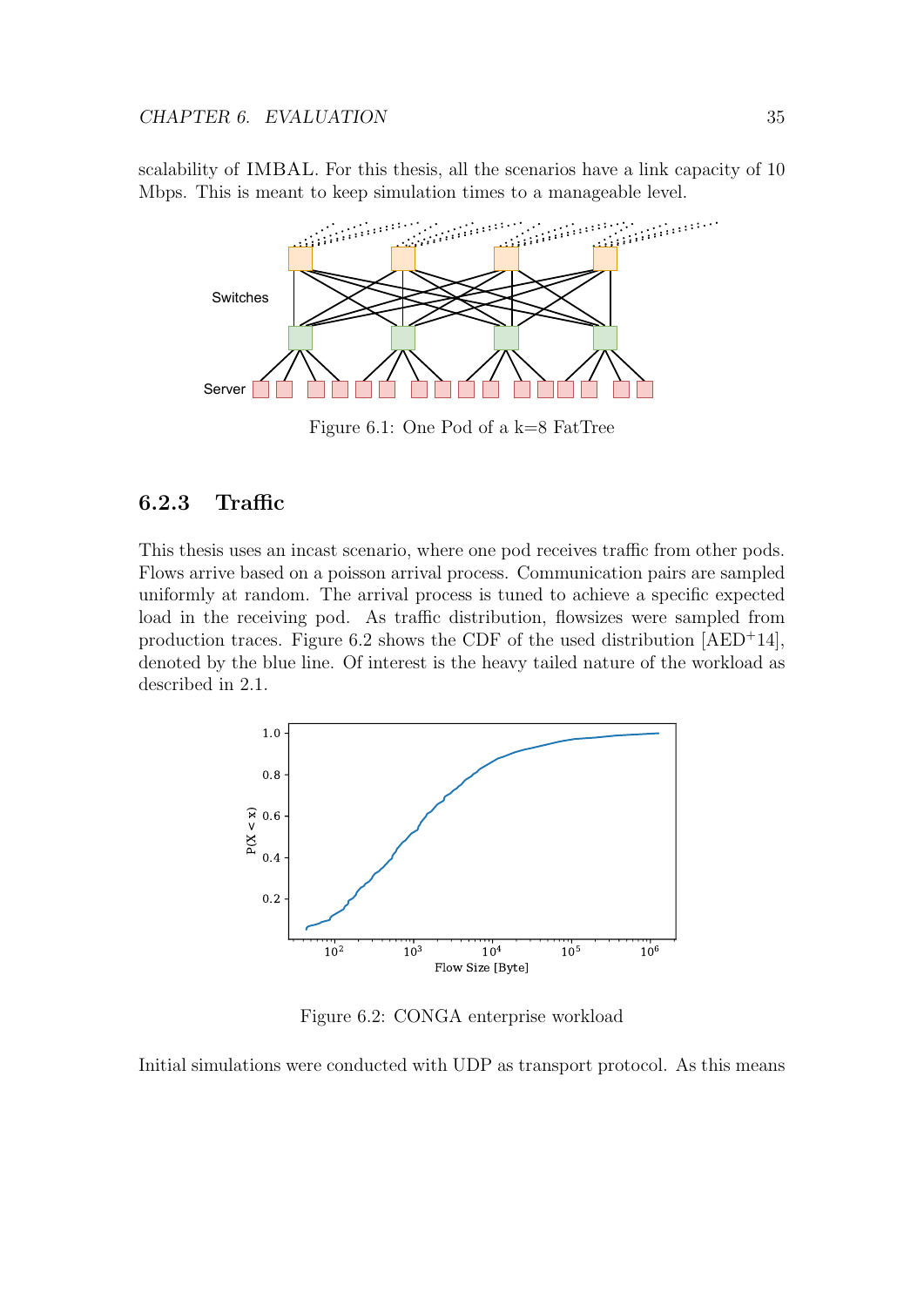scalability of IMBAL. For this thesis, all the scenarios have a link capacity of 10 Mbps. This is meant to keep simulation times to a manageable level.



Figure 6.1: One Pod of a k=8 FatTree

#### 6.2.3 Traffic

This thesis uses an incast scenario, where one pod receives traffic from other pods. Flows arrive based on a poisson arrival process. Communication pairs are sampled uniformly at random. The arrival process is tuned to achieve a specific expected load in the receiving pod. As traffic distribution, flowsizes were sampled from production traces. Figure 6.2 shows the CDF of the used distribution  $[AED+14]$ , denoted by the blue line. Of interest is the heavy tailed nature of the workload as described in 2.1.



Figure 6.2: CONGA enterprise workload

Initial simulations were conducted with UDP as transport protocol. As this means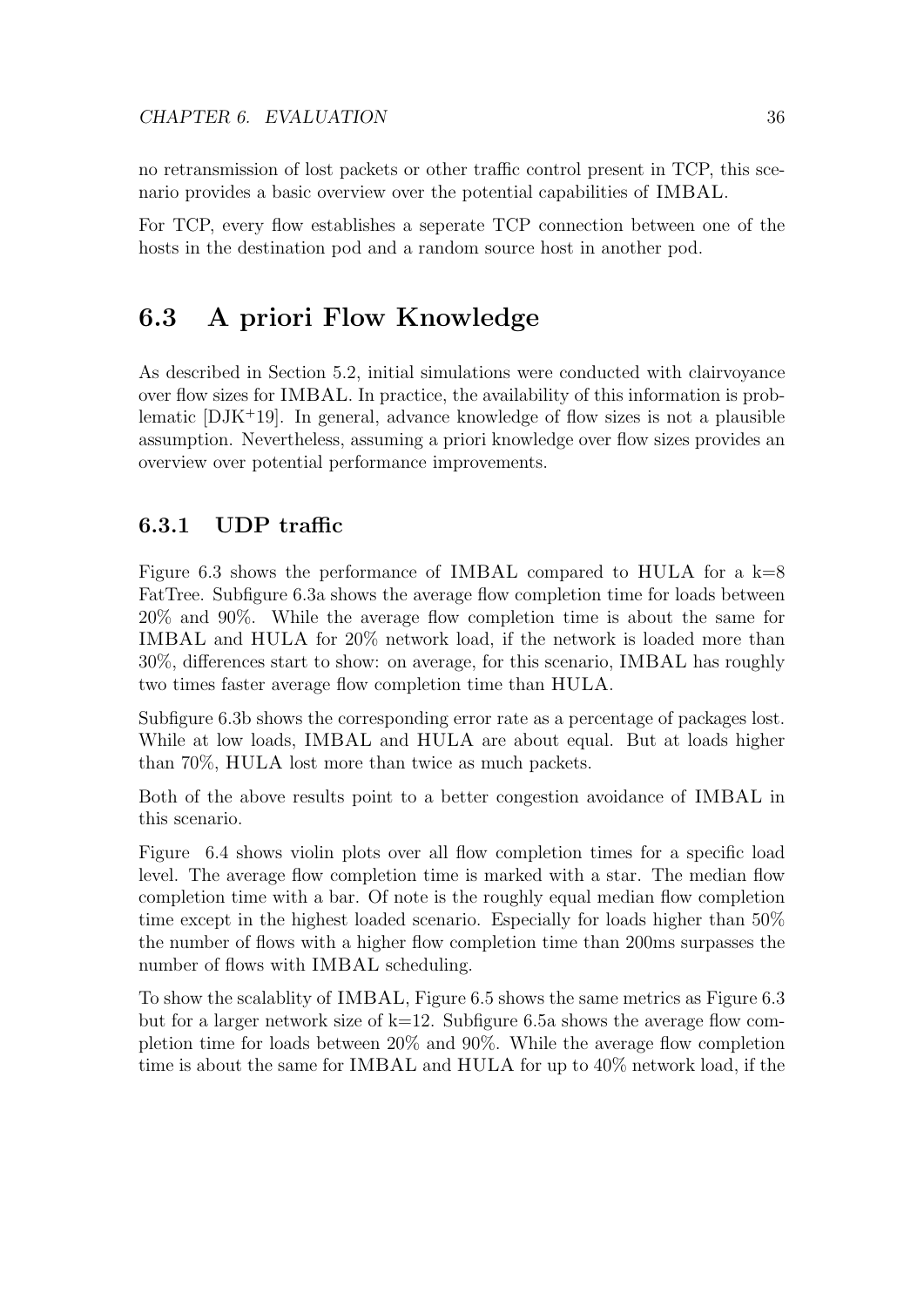no retransmission of lost packets or other traffic control present in TCP, this scenario provides a basic overview over the potential capabilities of IMBAL.

For TCP, every flow establishes a seperate TCP connection between one of the hosts in the destination pod and a random source host in another pod.

#### 6.3 A priori Flow Knowledge

As described in Section 5.2, initial simulations were conducted with clairvoyance over flow sizes for IMBAL. In practice, the availability of this information is problematic  $[DJK^+19]$ . In general, advance knowledge of flow sizes is not a plausible assumption. Nevertheless, assuming a priori knowledge over flow sizes provides an overview over potential performance improvements.

#### 6.3.1 UDP traffic

Figure 6.3 shows the performance of IMBAL compared to HULA for a  $k=8$ FatTree. Subfigure 6.3a shows the average flow completion time for loads between 20% and 90%. While the average flow completion time is about the same for IMBAL and HULA for 20% network load, if the network is loaded more than 30%, differences start to show: on average, for this scenario, IMBAL has roughly two times faster average flow completion time than HULA.

Subfigure 6.3b shows the corresponding error rate as a percentage of packages lost. While at low loads, IMBAL and HULA are about equal. But at loads higher than 70%, HULA lost more than twice as much packets.

Both of the above results point to a better congestion avoidance of IMBAL in this scenario.

Figure 6.4 shows violin plots over all flow completion times for a specific load level. The average flow completion time is marked with a star. The median flow completion time with a bar. Of note is the roughly equal median flow completion time except in the highest loaded scenario. Especially for loads higher than 50% the number of flows with a higher flow completion time than 200ms surpasses the number of flows with IMBAL scheduling.

To show the scalablity of IMBAL, Figure 6.5 shows the same metrics as Figure 6.3 but for a larger network size of  $k=12$ . Subfigure 6.5a shows the average flow completion time for loads between 20% and 90%. While the average flow completion time is about the same for IMBAL and HULA for up to 40% network load, if the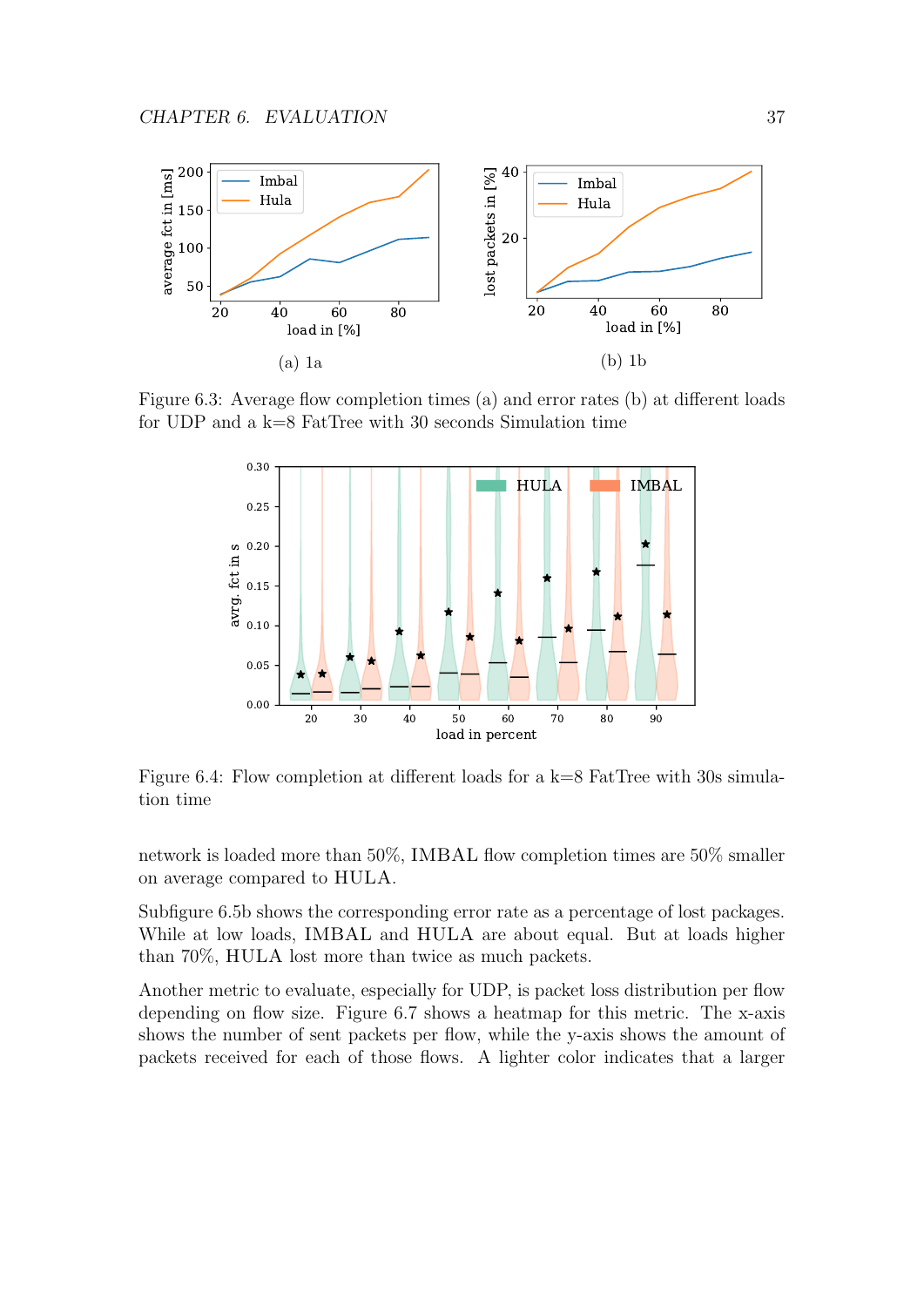

Figure 6.3: Average flow completion times (a) and error rates (b) at different loads for UDP and a k=8 FatTree with 30 seconds Simulation time



Figure 6.4: Flow completion at different loads for a k=8 FatTree with 30s simulation time

network is loaded more than 50%, IMBAL flow completion times are 50% smaller on average compared to HULA.

Subfigure 6.5b shows the corresponding error rate as a percentage of lost packages. While at low loads, IMBAL and HULA are about equal. But at loads higher than 70%, HULA lost more than twice as much packets.

Another metric to evaluate, especially for UDP, is packet loss distribution per flow depending on flow size. Figure 6.7 shows a heatmap for this metric. The x-axis shows the number of sent packets per flow, while the y-axis shows the amount of packets received for each of those flows. A lighter color indicates that a larger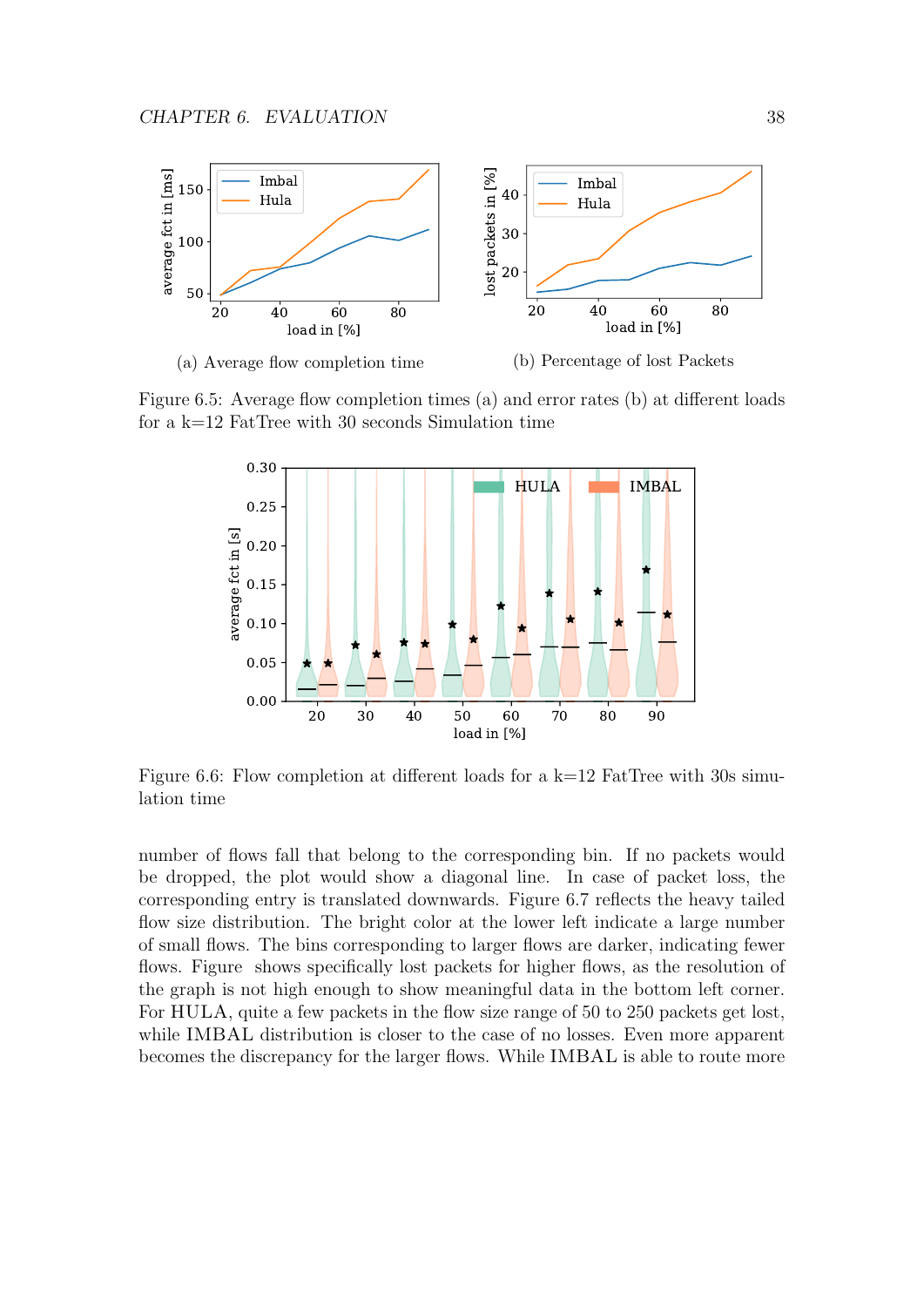

Figure 6.5: Average flow completion times (a) and error rates (b) at different loads for a k=12 FatTree with 30 seconds Simulation time



Figure 6.6: Flow completion at different loads for a  $k=12$  FatTree with 30s simulation time

number of flows fall that belong to the corresponding bin. If no packets would be dropped, the plot would show a diagonal line. In case of packet loss, the corresponding entry is translated downwards. Figure 6.7 reflects the heavy tailed flow size distribution. The bright color at the lower left indicate a large number of small flows. The bins corresponding to larger flows are darker, indicating fewer flows. Figure shows specifically lost packets for higher flows, as the resolution of the graph is not high enough to show meaningful data in the bottom left corner. For HULA, quite a few packets in the flow size range of 50 to 250 packets get lost, while IMBAL distribution is closer to the case of no losses. Even more apparent becomes the discrepancy for the larger flows. While IMBAL is able to route more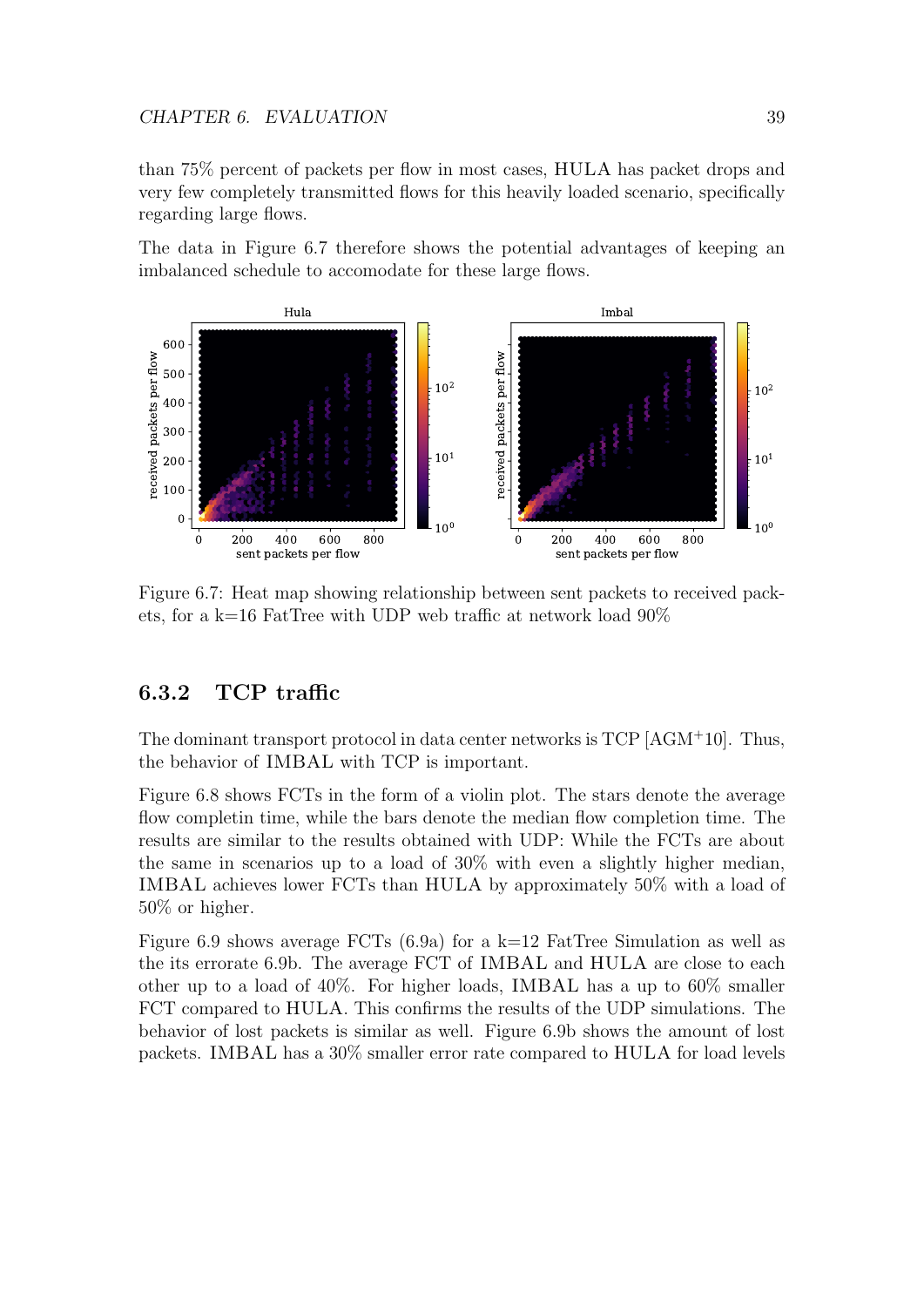than 75% percent of packets per flow in most cases, HULA has packet drops and very few completely transmitted flows for this heavily loaded scenario, specifically regarding large flows.

The data in Figure 6.7 therefore shows the potential advantages of keeping an imbalanced schedule to accomodate for these large flows.



Figure 6.7: Heat map showing relationship between sent packets to received packets, for a k=16 FatTree with UDP web traffic at network load 90%

#### 6.3.2 TCP traffic

The dominant transport protocol in data center networks is TCP [AGM<sup>+</sup>10]. Thus, the behavior of IMBAL with TCP is important.

Figure 6.8 shows FCTs in the form of a violin plot. The stars denote the average flow completin time, while the bars denote the median flow completion time. The results are similar to the results obtained with UDP: While the FCTs are about the same in scenarios up to a load of 30% with even a slightly higher median, IMBAL achieves lower FCTs than HULA by approximately 50% with a load of 50% or higher.

Figure 6.9 shows average FCTs (6.9a) for a  $k=12$  FatTree Simulation as well as the its errorate 6.9b. The average FCT of IMBAL and HULA are close to each other up to a load of 40%. For higher loads, IMBAL has a up to 60% smaller FCT compared to HULA. This confirms the results of the UDP simulations. The behavior of lost packets is similar as well. Figure 6.9b shows the amount of lost packets. IMBAL has a 30% smaller error rate compared to HULA for load levels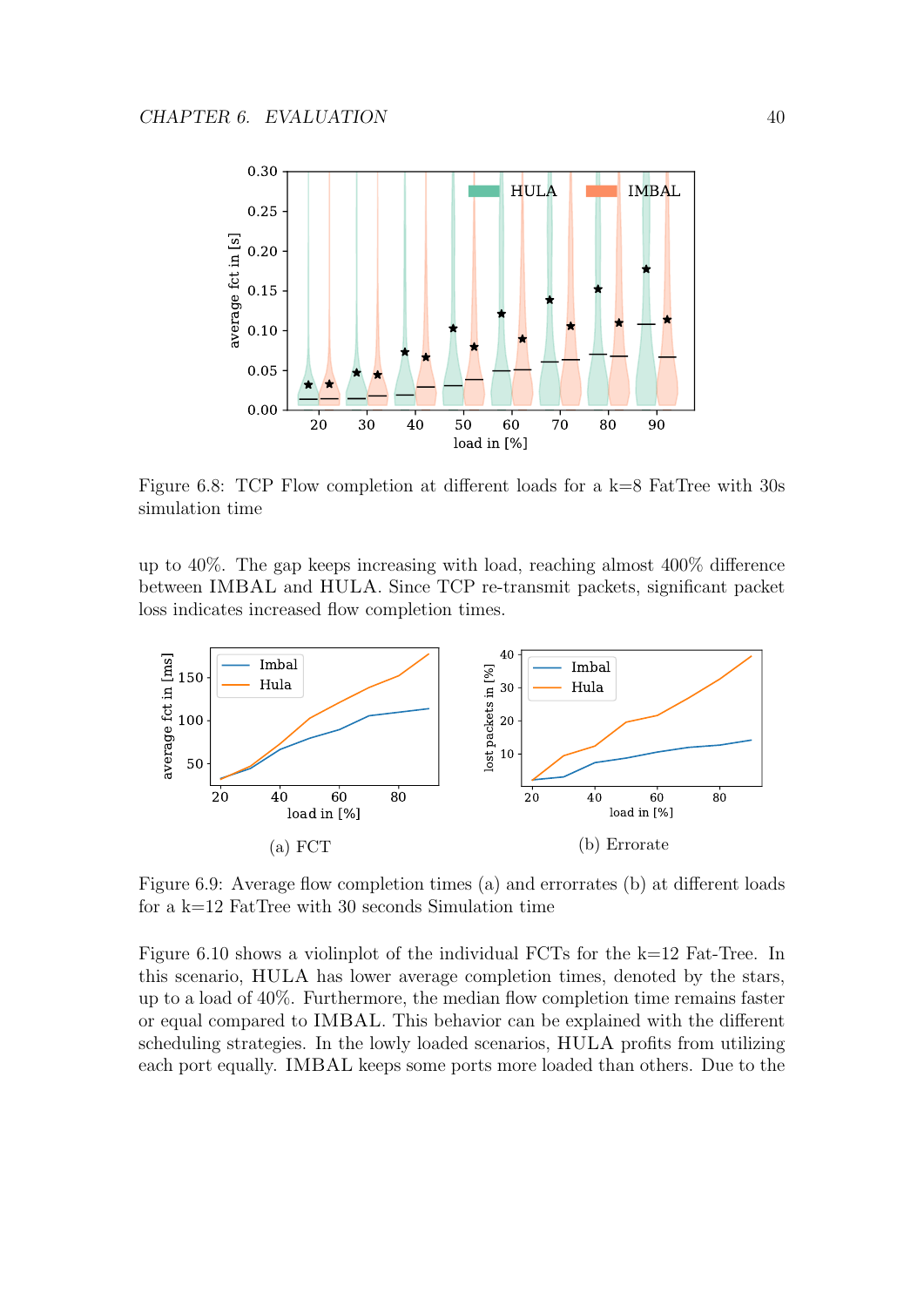

Figure 6.8: TCP Flow completion at different loads for a k=8 FatTree with 30s simulation time

up to 40%. The gap keeps increasing with load, reaching almost 400% difference between IMBAL and HULA. Since TCP re-transmit packets, significant packet loss indicates increased flow completion times.



Figure 6.9: Average flow completion times (a) and errorrates (b) at different loads for a  $k=12$  FatTree with 30 seconds Simulation time

Figure 6.10 shows a violinplot of the individual FCTs for the k=12 Fat-Tree. In this scenario, HULA has lower average completion times, denoted by the stars, up to a load of 40%. Furthermore, the median flow completion time remains faster or equal compared to IMBAL. This behavior can be explained with the different scheduling strategies. In the lowly loaded scenarios, HULA profits from utilizing each port equally. IMBAL keeps some ports more loaded than others. Due to the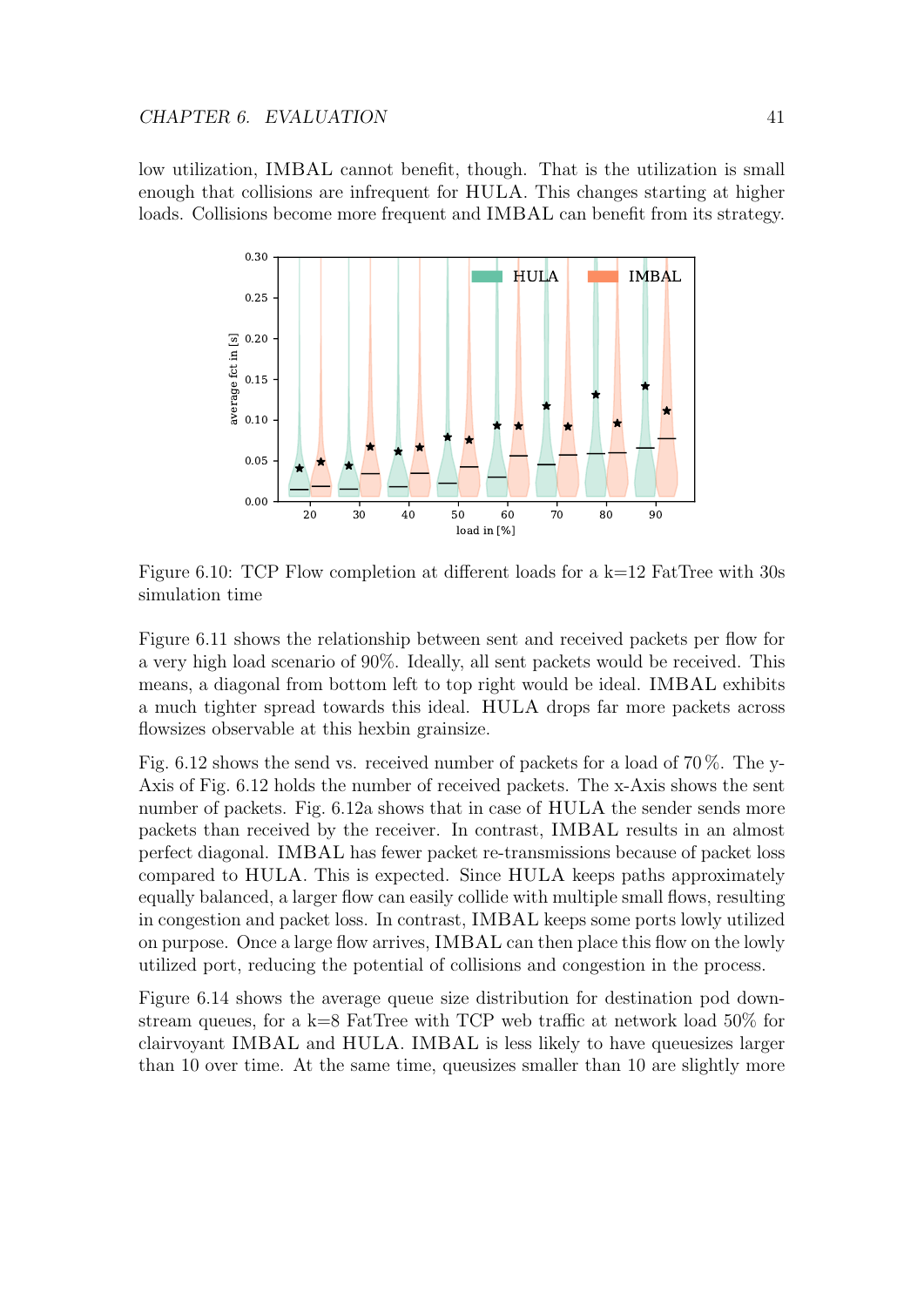low utilization, IMBAL cannot benefit, though. That is the utilization is small enough that collisions are infrequent for HULA. This changes starting at higher loads. Collisions become more frequent and IMBAL can benefit from its strategy.



Figure 6.10: TCP Flow completion at different loads for a  $k=12$  FatTree with 30s simulation time

Figure 6.11 shows the relationship between sent and received packets per flow for a very high load scenario of 90%. Ideally, all sent packets would be received. This means, a diagonal from bottom left to top right would be ideal. IMBAL exhibits a much tighter spread towards this ideal. HULA drops far more packets across flowsizes observable at this hexbin grainsize.

Fig. 6.12 shows the send vs. received number of packets for a load of 70 %. The y-Axis of Fig. 6.12 holds the number of received packets. The x-Axis shows the sent number of packets. Fig. 6.12a shows that in case of HULA the sender sends more packets than received by the receiver. In contrast, IMBAL results in an almost perfect diagonal. IMBAL has fewer packet re-transmissions because of packet loss compared to HULA. This is expected. Since HULA keeps paths approximately equally balanced, a larger flow can easily collide with multiple small flows, resulting in congestion and packet loss. In contrast, IMBAL keeps some ports lowly utilized on purpose. Once a large flow arrives, IMBAL can then place this flow on the lowly utilized port, reducing the potential of collisions and congestion in the process.

Figure 6.14 shows the average queue size distribution for destination pod downstream queues, for a k=8 FatTree with TCP web traffic at network load  $50\%$  for clairvoyant IMBAL and HULA. IMBAL is less likely to have queuesizes larger than 10 over time. At the same time, queusizes smaller than 10 are slightly more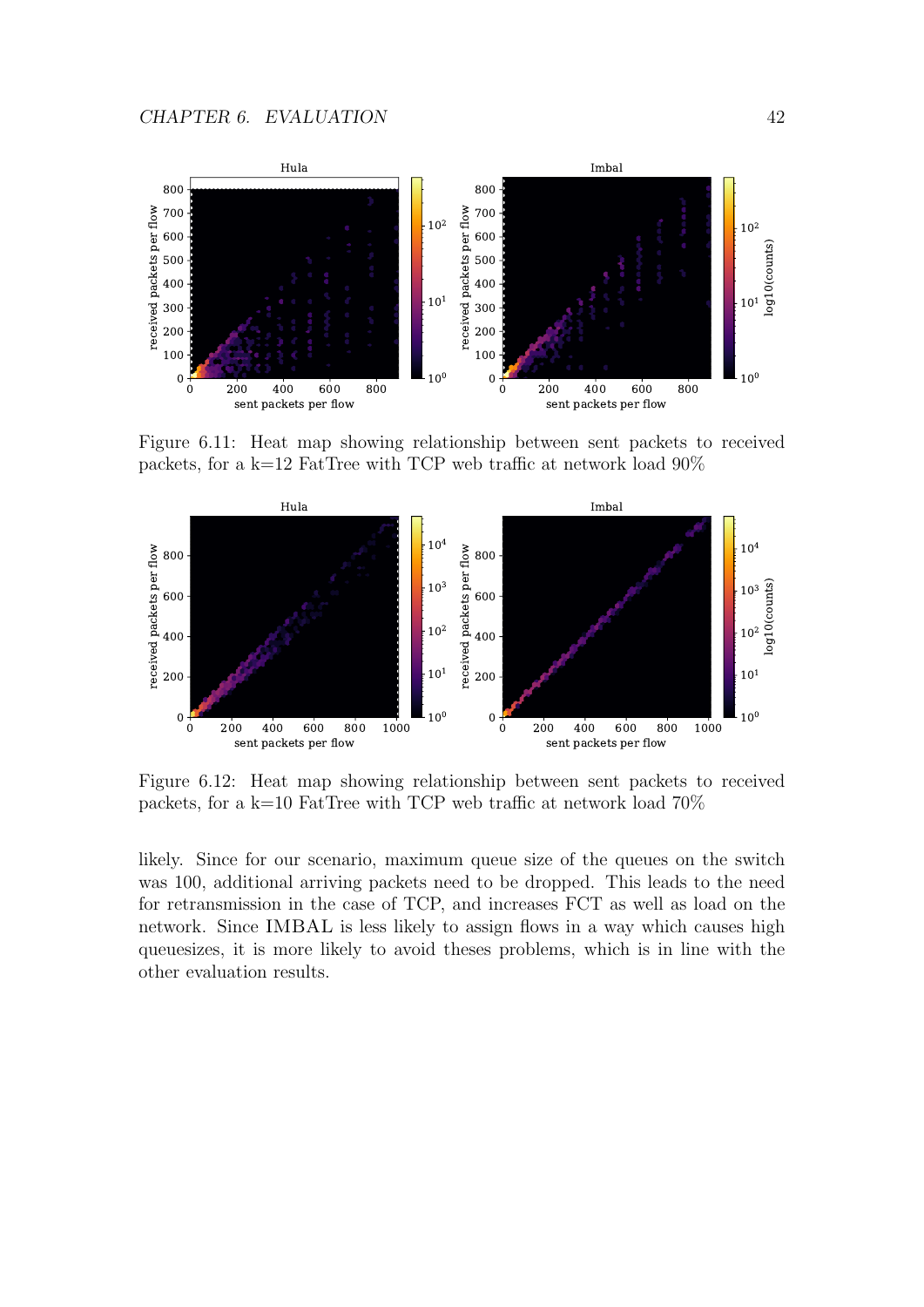

Figure 6.11: Heat map showing relationship between sent packets to received packets, for a k=12 FatTree with TCP web traffic at network load 90%



Figure 6.12: Heat map showing relationship between sent packets to received packets, for a k=10 FatTree with TCP web traffic at network load  $70\%$ 

likely. Since for our scenario, maximum queue size of the queues on the switch was 100, additional arriving packets need to be dropped. This leads to the need for retransmission in the case of TCP, and increases FCT as well as load on the network. Since IMBAL is less likely to assign flows in a way which causes high queuesizes, it is more likely to avoid theses problems, which is in line with the other evaluation results.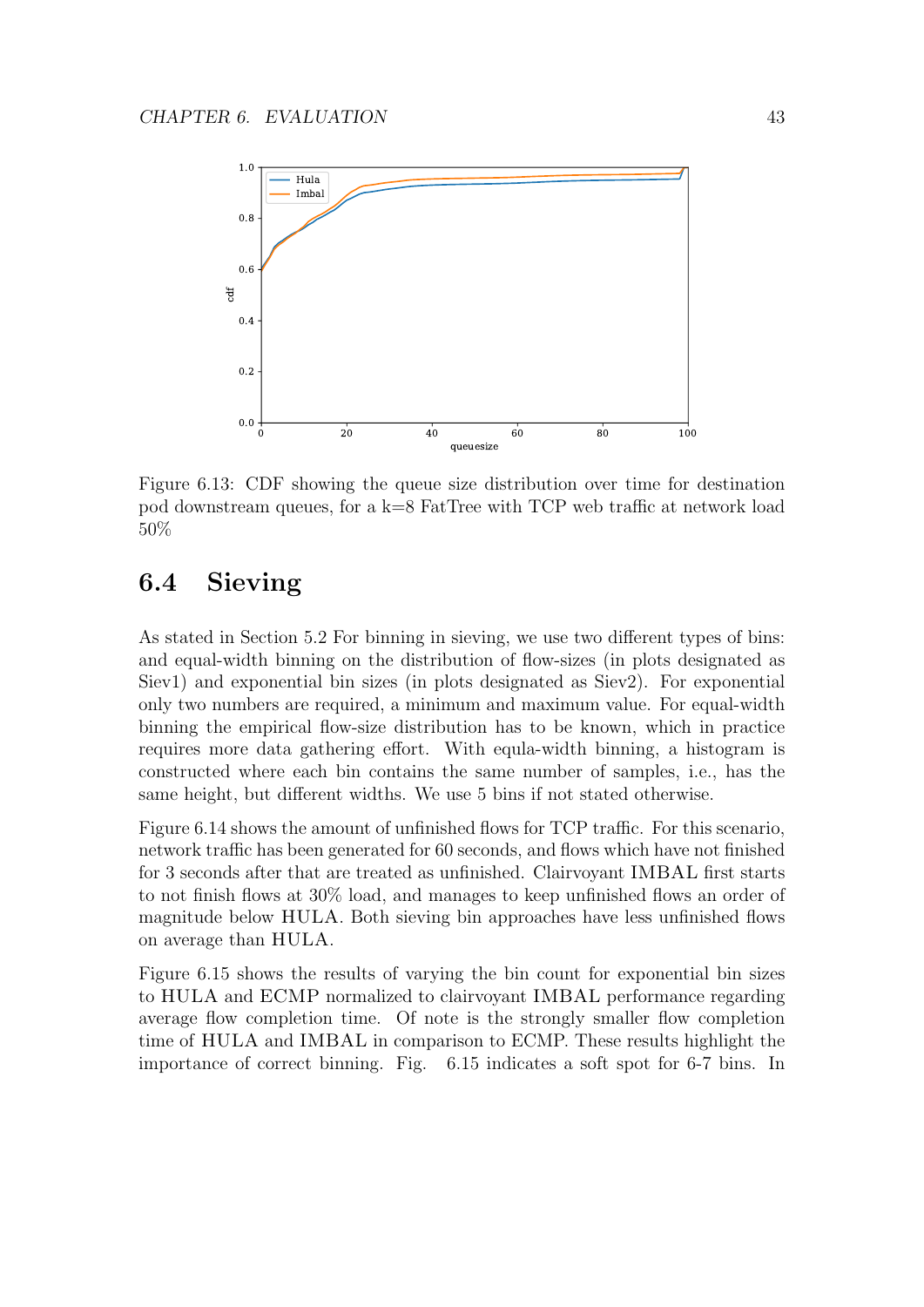

Figure 6.13: CDF showing the queue size distribution over time for destination pod downstream queues, for a k=8 FatTree with TCP web traffic at network load 50%

#### 6.4 Sieving

As stated in Section 5.2 For binning in sieving, we use two different types of bins: and equal-width binning on the distribution of flow-sizes (in plots designated as Siev1) and exponential bin sizes (in plots designated as Siev2). For exponential only two numbers are required, a minimum and maximum value. For equal-width binning the empirical flow-size distribution has to be known, which in practice requires more data gathering effort. With equla-width binning, a histogram is constructed where each bin contains the same number of samples, i.e., has the same height, but different widths. We use 5 bins if not stated otherwise.

Figure 6.14 shows the amount of unfinished flows for TCP traffic. For this scenario, network traffic has been generated for 60 seconds, and flows which have not finished for 3 seconds after that are treated as unfinished. Clairvoyant IMBAL first starts to not finish flows at 30% load, and manages to keep unfinished flows an order of magnitude below HULA. Both sieving bin approaches have less unfinished flows on average than HULA.

Figure 6.15 shows the results of varying the bin count for exponential bin sizes to HULA and ECMP normalized to clairvoyant IMBAL performance regarding average flow completion time. Of note is the strongly smaller flow completion time of HULA and IMBAL in comparison to ECMP. These results highlight the importance of correct binning. Fig. 6.15 indicates a soft spot for 6-7 bins. In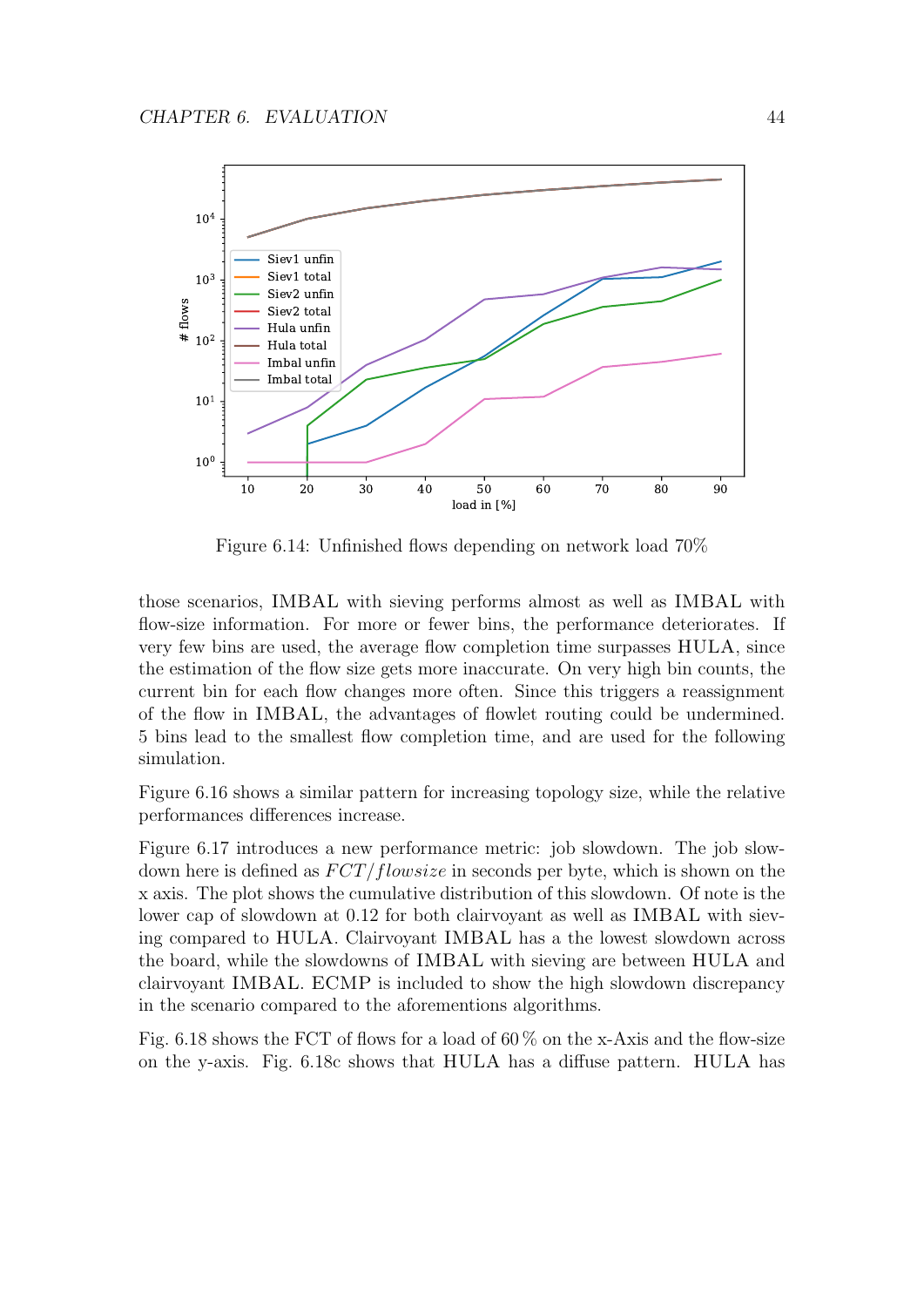

Figure 6.14: Unfinished flows depending on network load 70%

those scenarios, IMBAL with sieving performs almost as well as IMBAL with flow-size information. For more or fewer bins, the performance deteriorates. If very few bins are used, the average flow completion time surpasses HULA, since the estimation of the flow size gets more inaccurate. On very high bin counts, the current bin for each flow changes more often. Since this triggers a reassignment of the flow in IMBAL, the advantages of flowlet routing could be undermined. 5 bins lead to the smallest flow completion time, and are used for the following simulation.

Figure 6.16 shows a similar pattern for increasing topology size, while the relative performances differences increase.

Figure 6.17 introduces a new performance metric: job slowdown. The job slowdown here is defined as  $FCT/flow size$  in seconds per byte, which is shown on the x axis. The plot shows the cumulative distribution of this slowdown. Of note is the lower cap of slowdown at 0.12 for both clairvoyant as well as IMBAL with sieving compared to HULA. Clairvoyant IMBAL has a the lowest slowdown across the board, while the slowdowns of IMBAL with sieving are between HULA and clairvoyant IMBAL. ECMP is included to show the high slowdown discrepancy in the scenario compared to the aforementions algorithms.

Fig. 6.18 shows the FCT of flows for a load of  $60\%$  on the x-Axis and the flow-size on the y-axis. Fig. 6.18c shows that HULA has a diffuse pattern. HULA has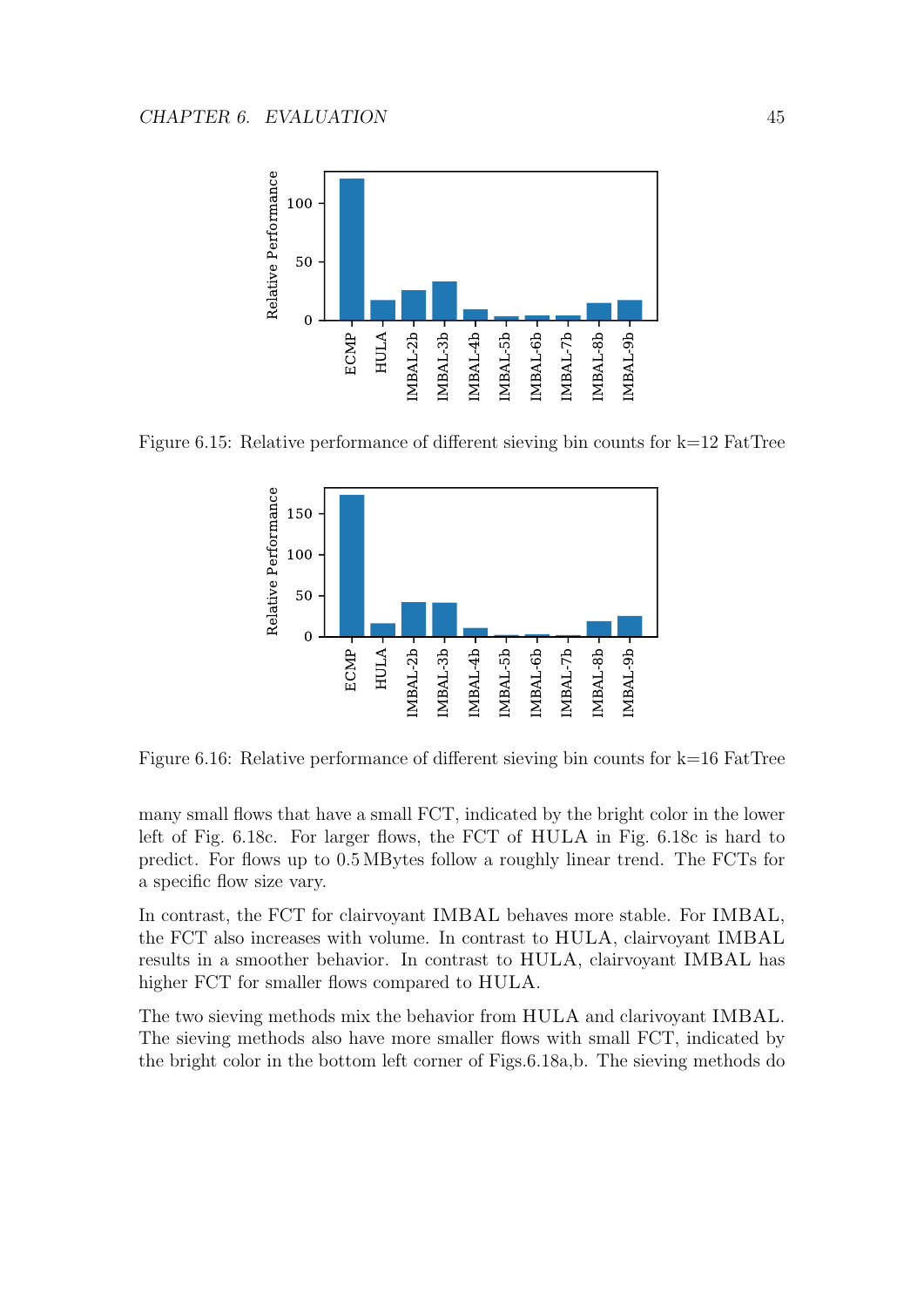

Figure 6.15: Relative performance of different sieving bin counts for  $k=12$  FatTree



Figure 6.16: Relative performance of different sieving bin counts for k=16 FatTree

many small flows that have a small FCT, indicated by the bright color in the lower left of Fig. 6.18c. For larger flows, the FCT of HULA in Fig. 6.18c is hard to predict. For flows up to 0.5 MBytes follow a roughly linear trend. The FCTs for a specific flow size vary.

In contrast, the FCT for clairvoyant IMBAL behaves more stable. For IMBAL, the FCT also increases with volume. In contrast to HULA, clairvoyant IMBAL results in a smoother behavior. In contrast to HULA, clairvoyant IMBAL has higher FCT for smaller flows compared to HULA.

The two sieving methods mix the behavior from HULA and clarivoyant IMBAL. The sieving methods also have more smaller flows with small FCT, indicated by the bright color in the bottom left corner of Figs.6.18a,b. The sieving methods do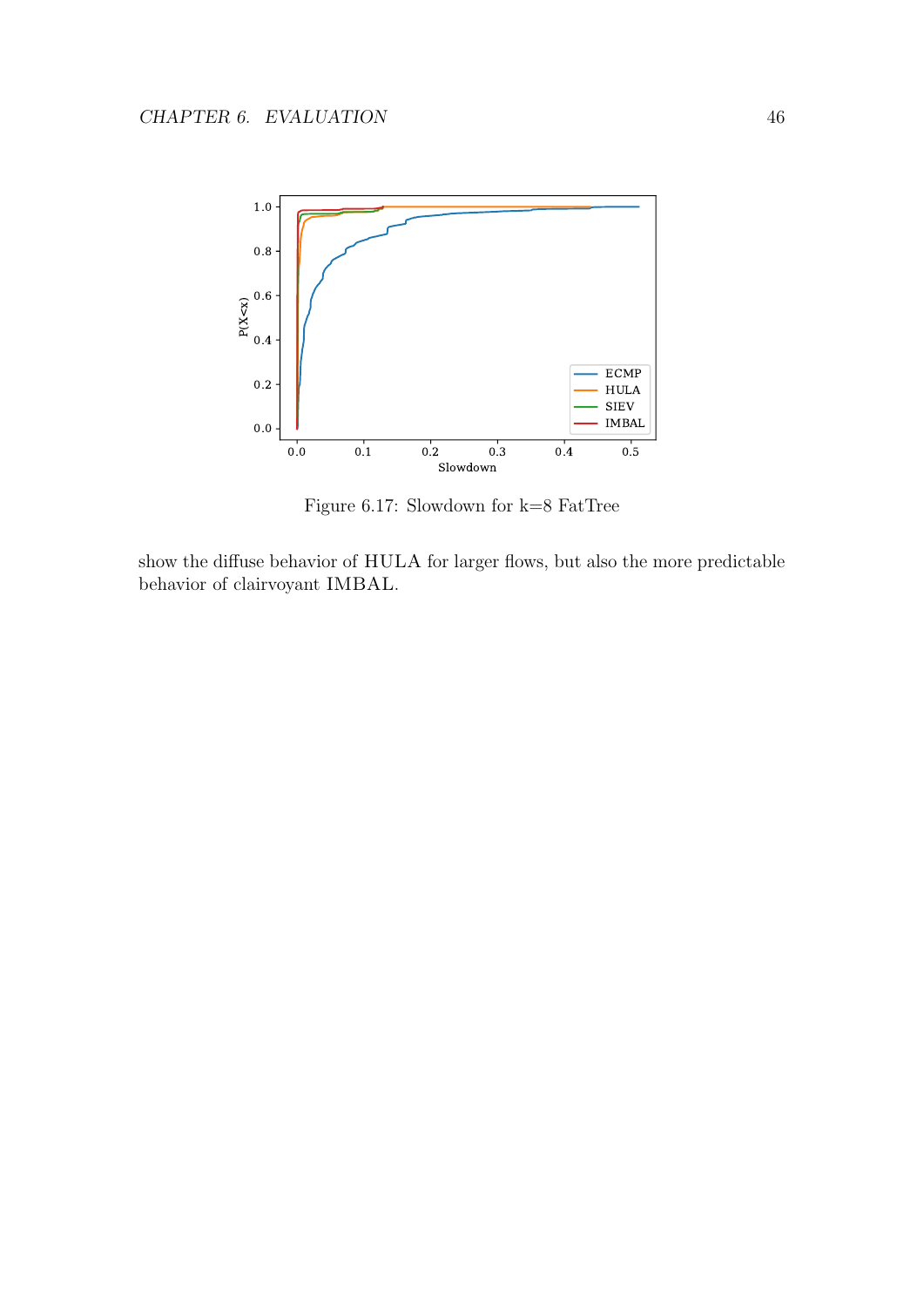

Figure 6.17: Slowdown for k=8 FatTree

show the diffuse behavior of HULA for larger flows, but also the more predictable behavior of clairvoyant IMBAL.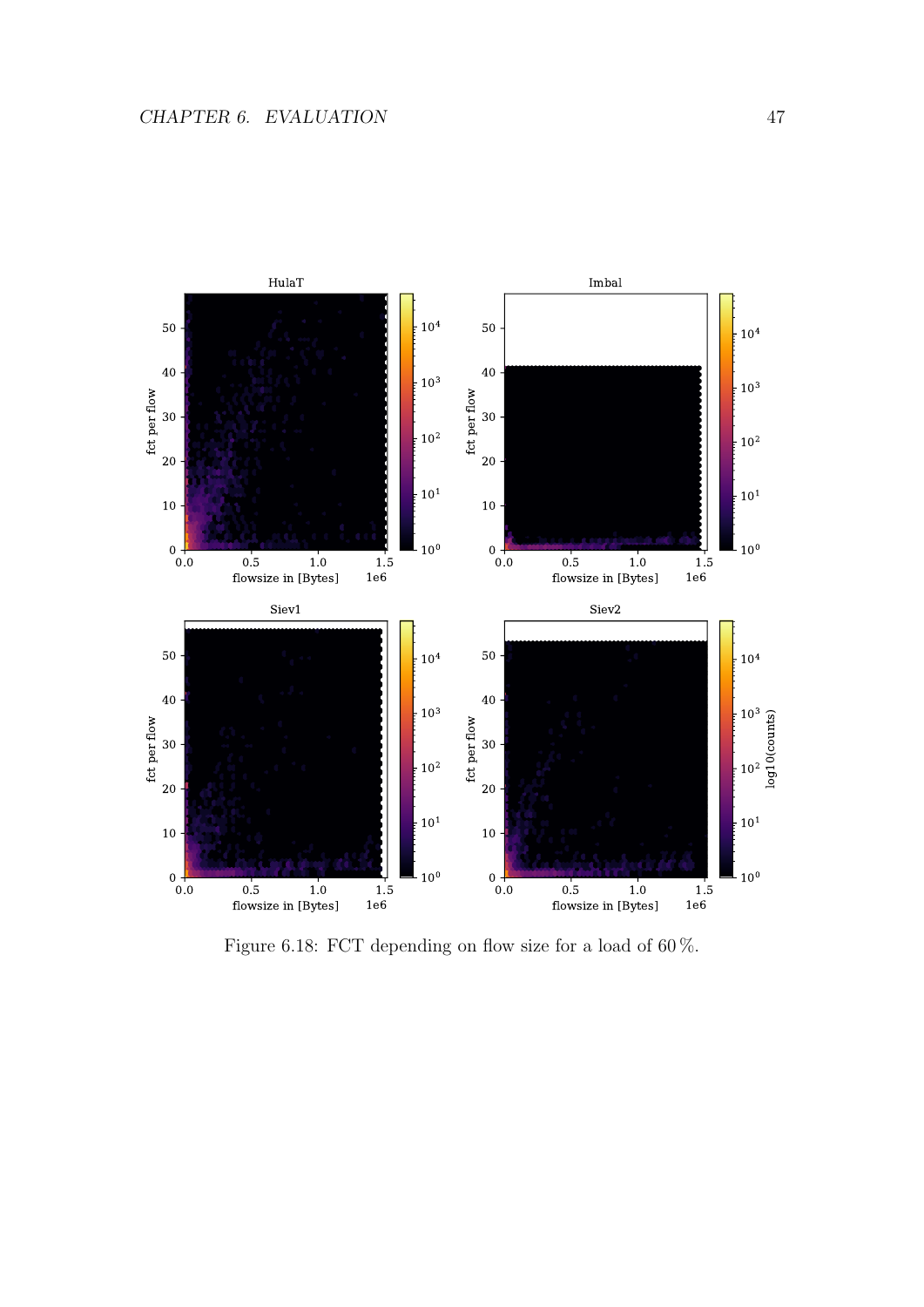

Figure 6.18: FCT depending on flow size for a load of 60%.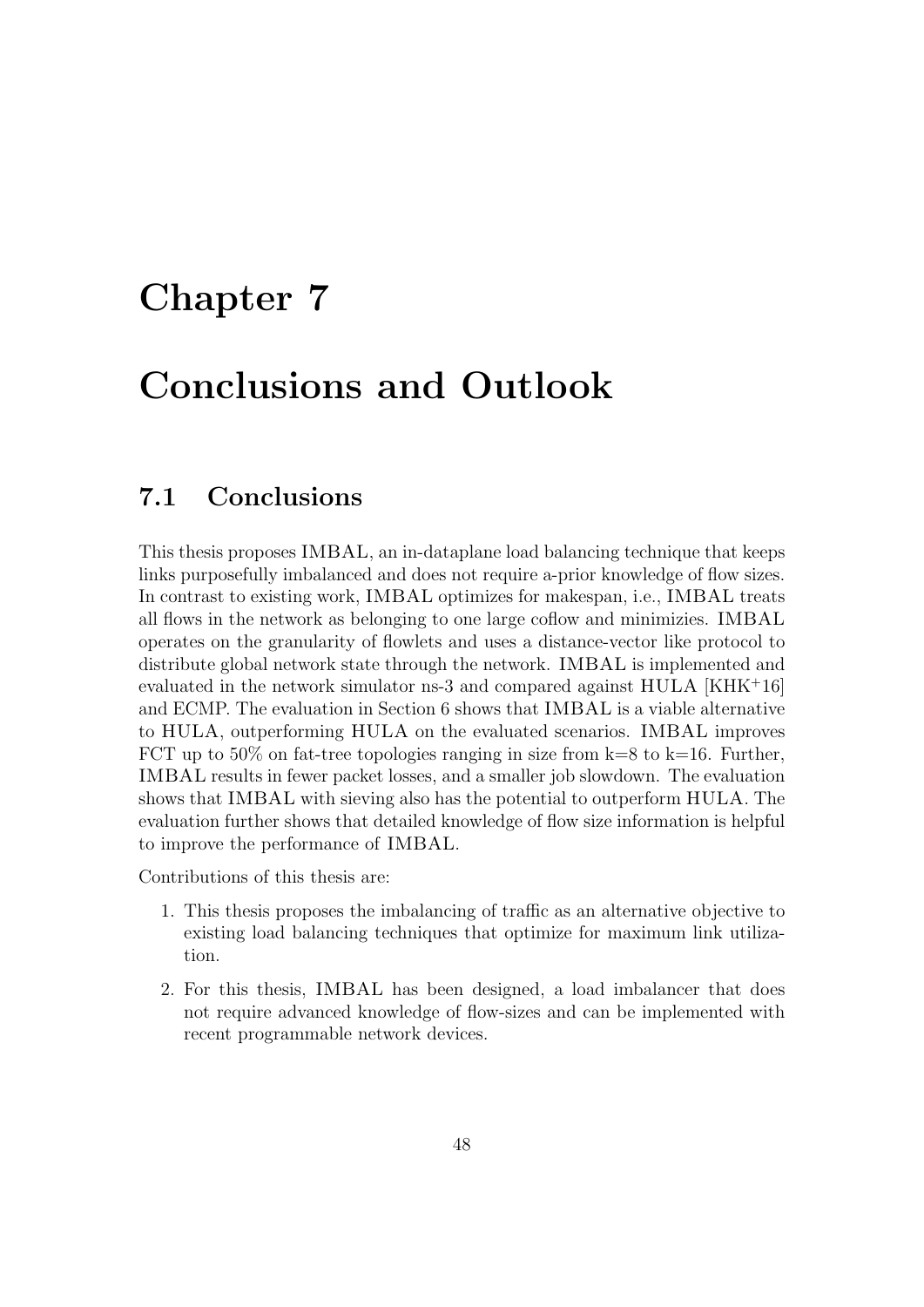### Chapter 7

## Conclusions and Outlook

### 7.1 Conclusions

This thesis proposes IMBAL, an in-dataplane load balancing technique that keeps links purposefully imbalanced and does not require a-prior knowledge of flow sizes. In contrast to existing work, IMBAL optimizes for makespan, i.e., IMBAL treats all flows in the network as belonging to one large coflow and minimizies. IMBAL operates on the granularity of flowlets and uses a distance-vector like protocol to distribute global network state through the network. IMBAL is implemented and evaluated in the network simulator ns-3 and compared against HULA [KHK<sup>+</sup>16] and ECMP. The evaluation in Section 6 shows that IMBAL is a viable alternative to HULA, outperforming HULA on the evaluated scenarios. IMBAL improves FCT up to 50% on fat-tree topologies ranging in size from  $k=8$  to  $k=16$ . Further, IMBAL results in fewer packet losses, and a smaller job slowdown. The evaluation shows that IMBAL with sieving also has the potential to outperform HULA. The evaluation further shows that detailed knowledge of flow size information is helpful to improve the performance of IMBAL.

Contributions of this thesis are:

- 1. This thesis proposes the imbalancing of traffic as an alternative objective to existing load balancing techniques that optimize for maximum link utilization.
- 2. For this thesis, IMBAL has been designed, a load imbalancer that does not require advanced knowledge of flow-sizes and can be implemented with recent programmable network devices.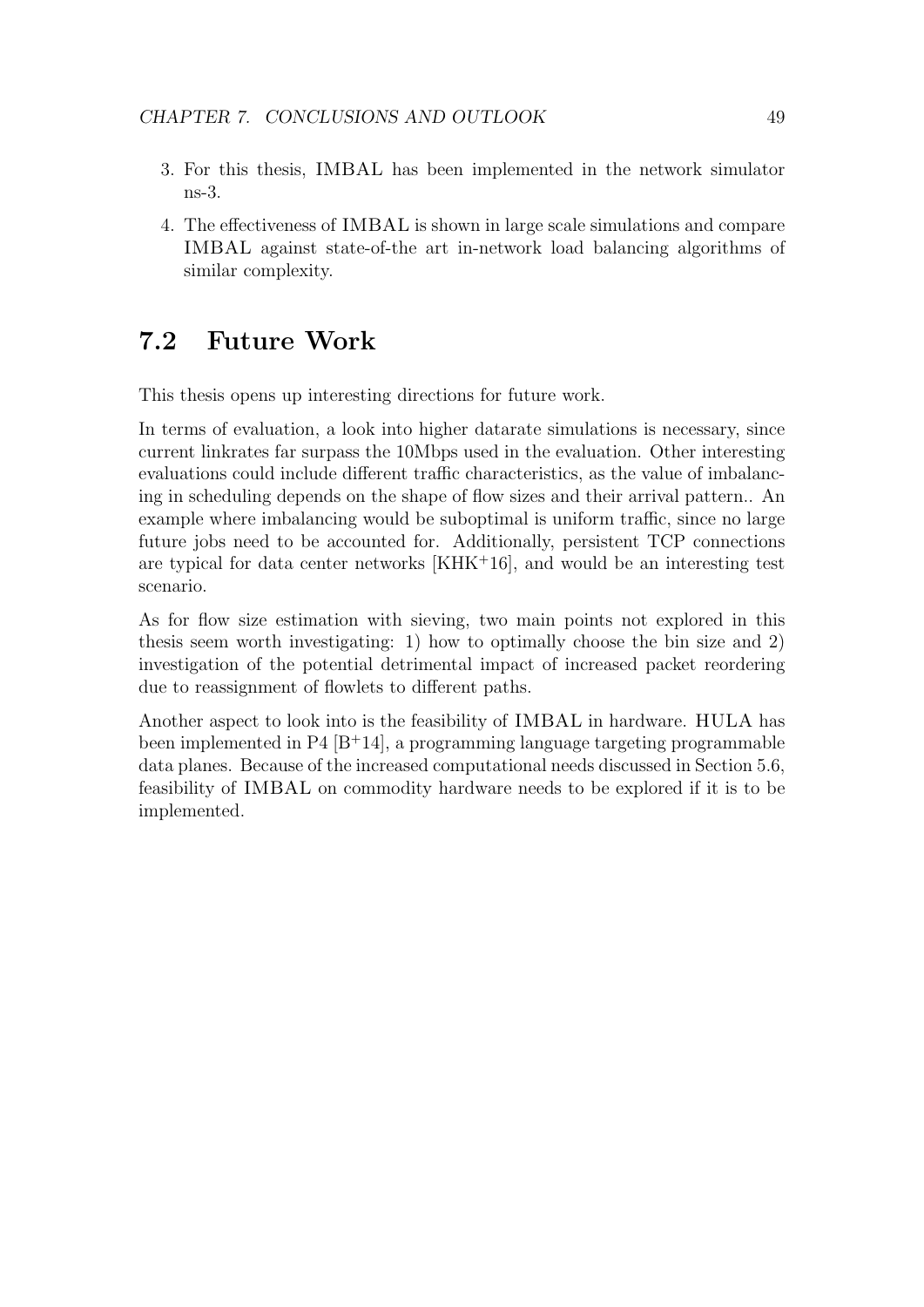- 3. For this thesis, IMBAL has been implemented in the network simulator ns-3.
- 4. The effectiveness of IMBAL is shown in large scale simulations and compare IMBAL against state-of-the art in-network load balancing algorithms of similar complexity.

#### 7.2 Future Work

This thesis opens up interesting directions for future work.

In terms of evaluation, a look into higher datarate simulations is necessary, since current linkrates far surpass the 10Mbps used in the evaluation. Other interesting evaluations could include different traffic characteristics, as the value of imbalancing in scheduling depends on the shape of flow sizes and their arrival pattern.. An example where imbalancing would be suboptimal is uniform traffic, since no large future jobs need to be accounted for. Additionally, persistent TCP connections are typical for data center networks [KHK<sup>+</sup>16], and would be an interesting test scenario.

As for flow size estimation with sieving, two main points not explored in this thesis seem worth investigating: 1) how to optimally choose the bin size and 2) investigation of the potential detrimental impact of increased packet reordering due to reassignment of flowlets to different paths.

Another aspect to look into is the feasibility of IMBAL in hardware. HULA has been implemented in P4  $[B+14]$ , a programming language targeting programmable data planes. Because of the increased computational needs discussed in Section 5.6, feasibility of IMBAL on commodity hardware needs to be explored if it is to be implemented.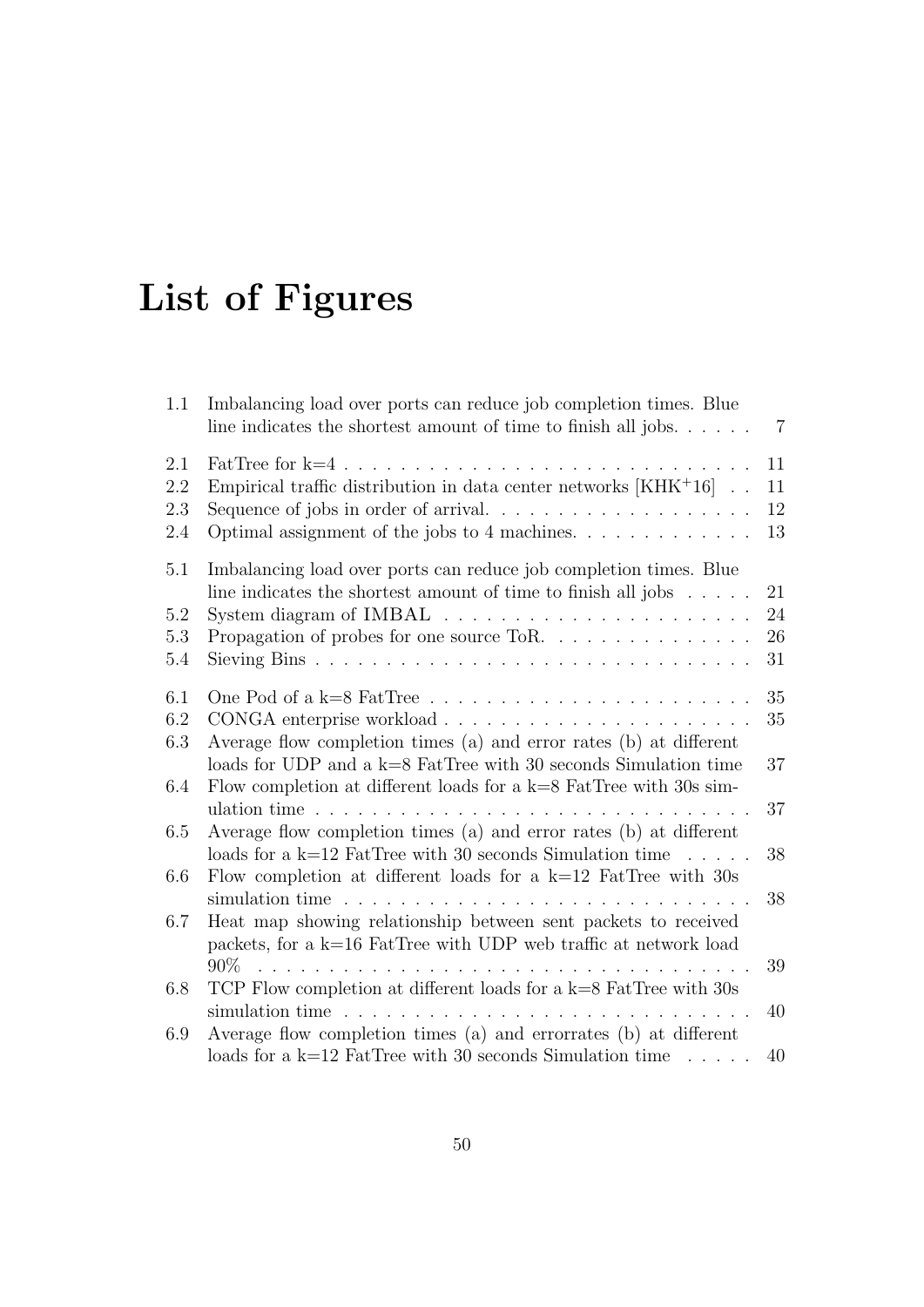# List of Figures

| 1.1                      | Imbalancing load over ports can reduce job completion times. Blue<br>line indicates the shortest amount of time to finish all jobs. $\dots$ .                                                                            | $\overline{7}$       |
|--------------------------|--------------------------------------------------------------------------------------------------------------------------------------------------------------------------------------------------------------------------|----------------------|
| 2.1<br>2.2<br>2.3<br>2.4 | FatTree for $k=4$ .<br>Empirical traffic distribution in data center networks $[KHK^+16]$ .<br>Optimal assignment of the jobs to 4 machines. $\dots \dots \dots \dots$                                                   | 11<br>11<br>12<br>13 |
| 5.1<br>5.2<br>5.3<br>5.4 | Imbalancing load over ports can reduce job completion times. Blue<br>line indicates the shortest amount of time to finish all jobs $\ldots$ .<br>Propagation of probes for one source ToR. $\ldots \ldots \ldots \ldots$ | 21<br>24<br>26<br>31 |
| 6.1<br>6.2<br>6.3        | Average flow completion times (a) and error rates (b) at different                                                                                                                                                       | 35<br>35             |
| 6.4                      | loads for UDP and a $k=8$ FatTree with 30 seconds Simulation time<br>Flow completion at different loads for a $k=8$ FatTree with 30s sim-                                                                                | 37                   |
| 6.5                      | Average flow completion times (a) and error rates (b) at different<br>loads for a k=12 FatTree with 30 seconds Simulation time $\dots$ .                                                                                 | 37<br>38             |
| 6.6                      | Flow completion at different loads for a $k=12$ FatTree with 30s<br>and a straight and                                                                                                                                   | 38                   |
| 6.7                      | Heat map showing relationship between sent packets to received<br>packets, for a $k=16$ FatTree with UDP web traffic at network load<br>$90\%$                                                                           |                      |
| 6.8                      | TCP Flow completion at different loads for a $k=8$ FatTree with 30s<br>simulation time                                                                                                                                   | 39<br>40             |
| 6.9                      | $\mathbf{r}$<br>$\mathbf{1}$ $\mathbf{1}$ $\mathbf{1}$<br>Average flow completion times (a) and errorrates (b) at different<br>loads for a k=12 FatTree with 30 seconds Simulation time $\dots$ .                        | 40                   |
|                          |                                                                                                                                                                                                                          |                      |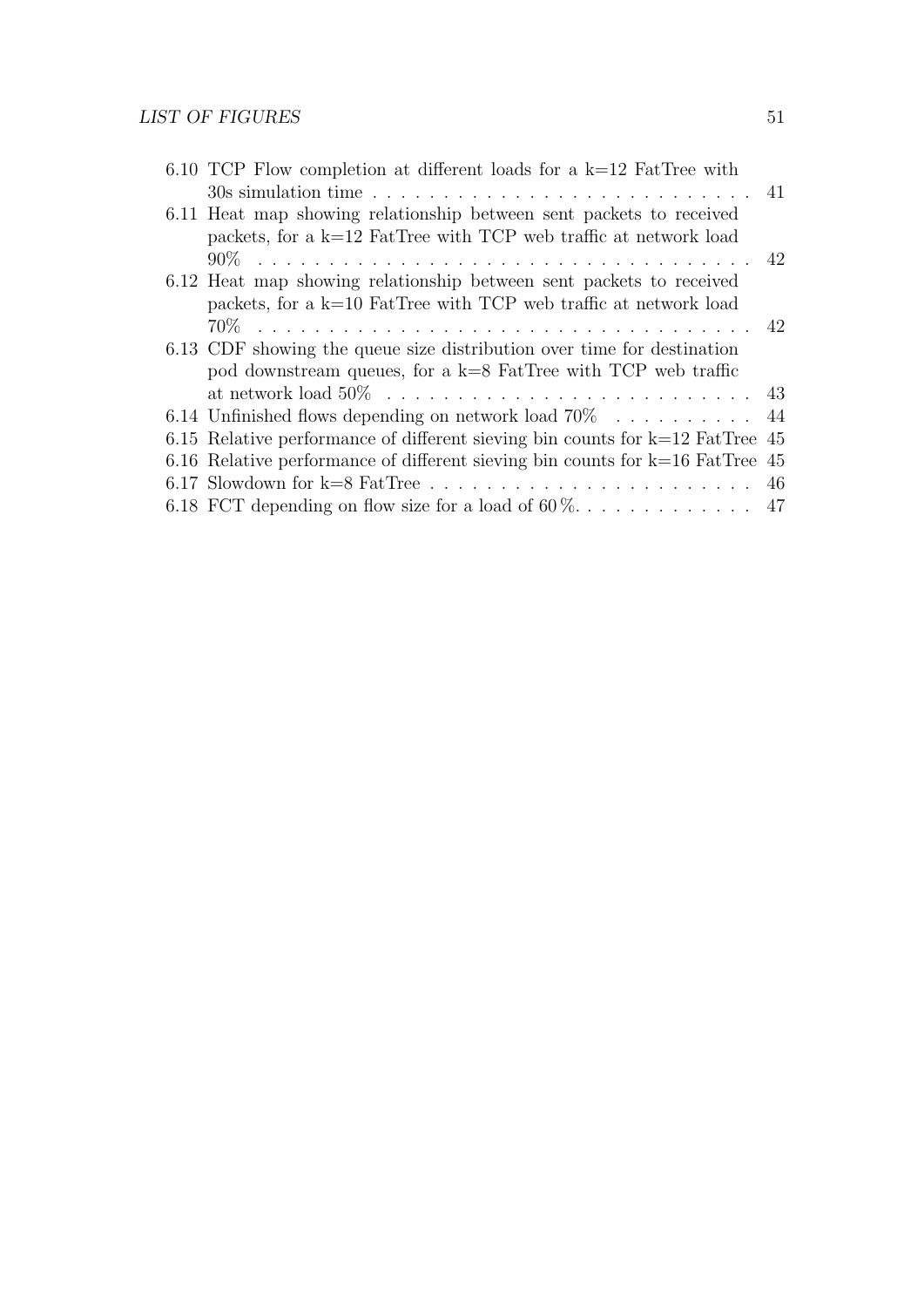|  | 6.10 TCP Flow completion at different loads for a $k=12$ FatTree with           |  |
|--|---------------------------------------------------------------------------------|--|
|  |                                                                                 |  |
|  | 6.11 Heat map showing relationship between sent packets to received             |  |
|  | packets, for a $k=12$ FatTree with TCP web traffic at network load              |  |
|  |                                                                                 |  |
|  | 6.12 Heat map showing relationship between sent packets to received             |  |
|  | packets, for a $k=10$ FatTree with TCP web traffic at network load              |  |
|  |                                                                                 |  |
|  | 6.13 CDF showing the queue size distribution over time for destination          |  |
|  | pod downstream queues, for a $k=8$ FatTree with TCP web traffic                 |  |
|  |                                                                                 |  |
|  | 6.14 Unfinished flows depending on network load $70\%$ 44                       |  |
|  | 6.15 Relative performance of different sieving bin counts for $k=12$ FatTree 45 |  |
|  | 6.16 Relative performance of different sieving bin counts for $k=16$ FatTree 45 |  |
|  |                                                                                 |  |
|  |                                                                                 |  |
|  |                                                                                 |  |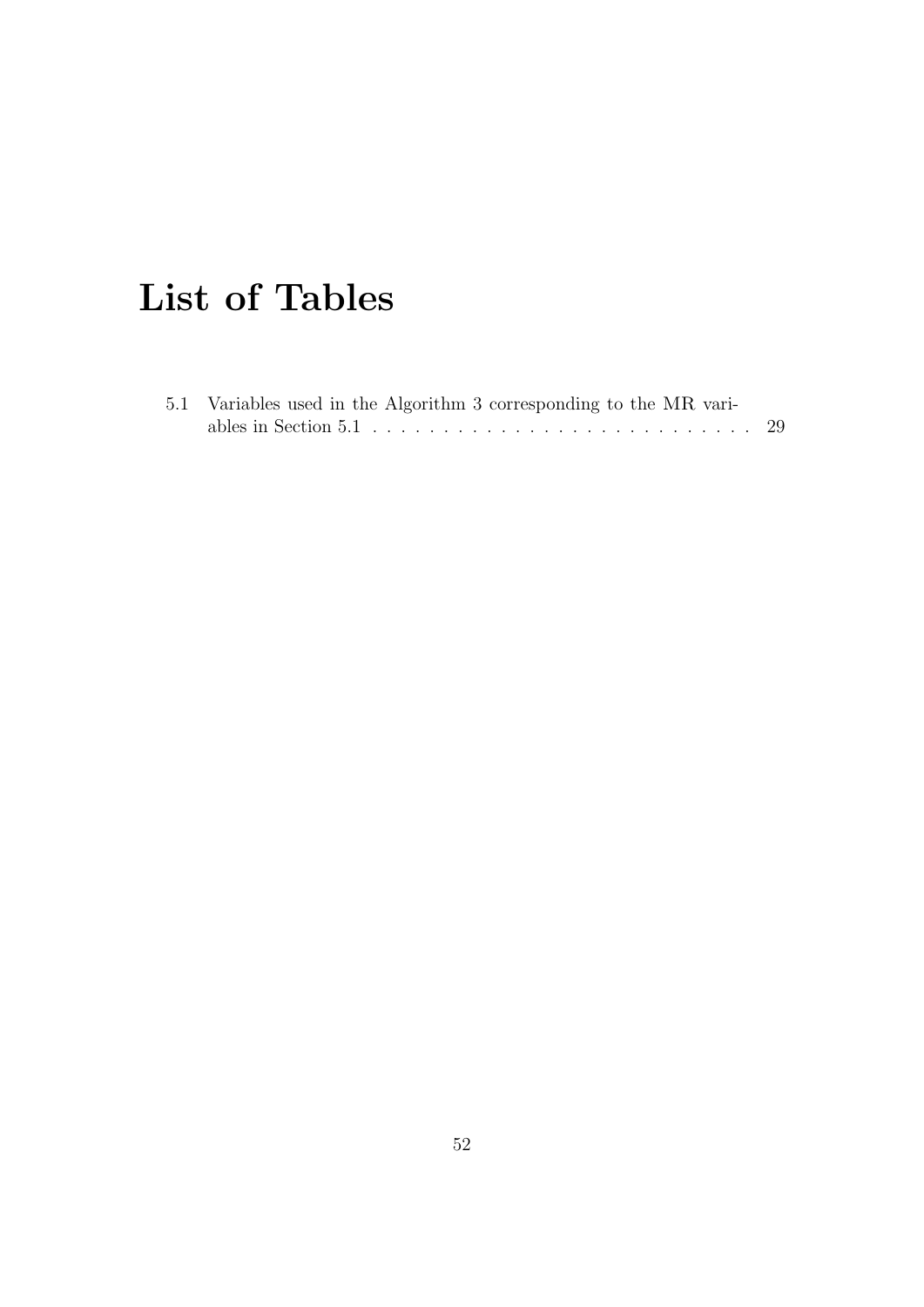# List of Tables

| 5.1 Variables used in the Algorithm 3 corresponding to the MR vari- |  |  |  |  |  |  |
|---------------------------------------------------------------------|--|--|--|--|--|--|
|                                                                     |  |  |  |  |  |  |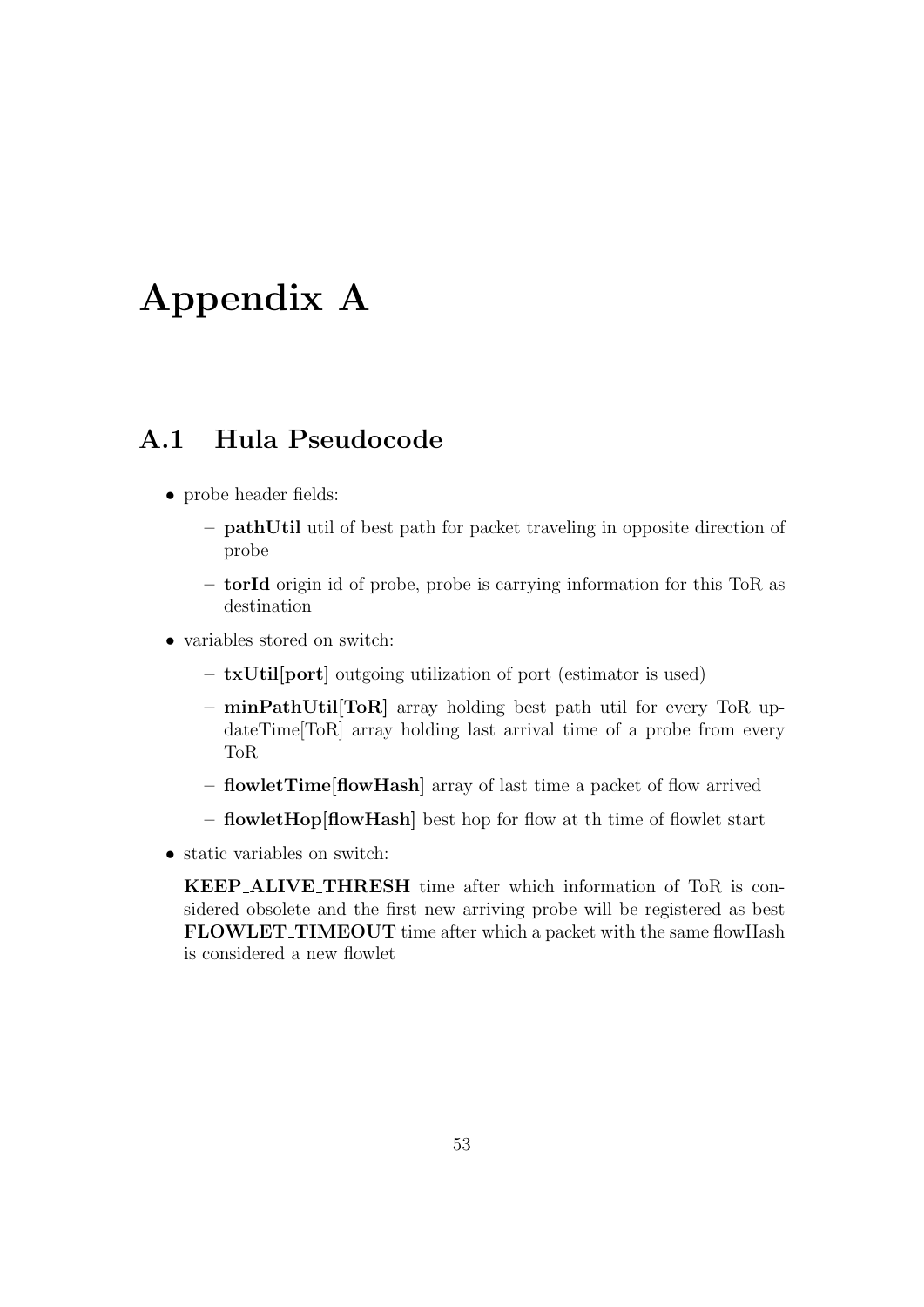## Appendix A

#### A.1 Hula Pseudocode

- probe header fields:
	- pathUtil util of best path for packet traveling in opposite direction of probe
	- torId origin id of probe, probe is carrying information for this ToR as destination
- variables stored on switch:
	- txUtil[port] outgoing utilization of port (estimator is used)
	- minPathUtil[ToR] array holding best path util for every ToR updateTime[ToR] array holding last arrival time of a probe from every ToR
	- flowletTime[flowHash] array of last time a packet of flow arrived
	- flowletHop[flowHash] best hop for flow at th time of flowlet start
- static variables on switch:

KEEP ALIVE THRESH time after which information of ToR is considered obsolete and the first new arriving probe will be registered as best FLOWLET\_TIMEOUT time after which a packet with the same flowHash is considered a new flowlet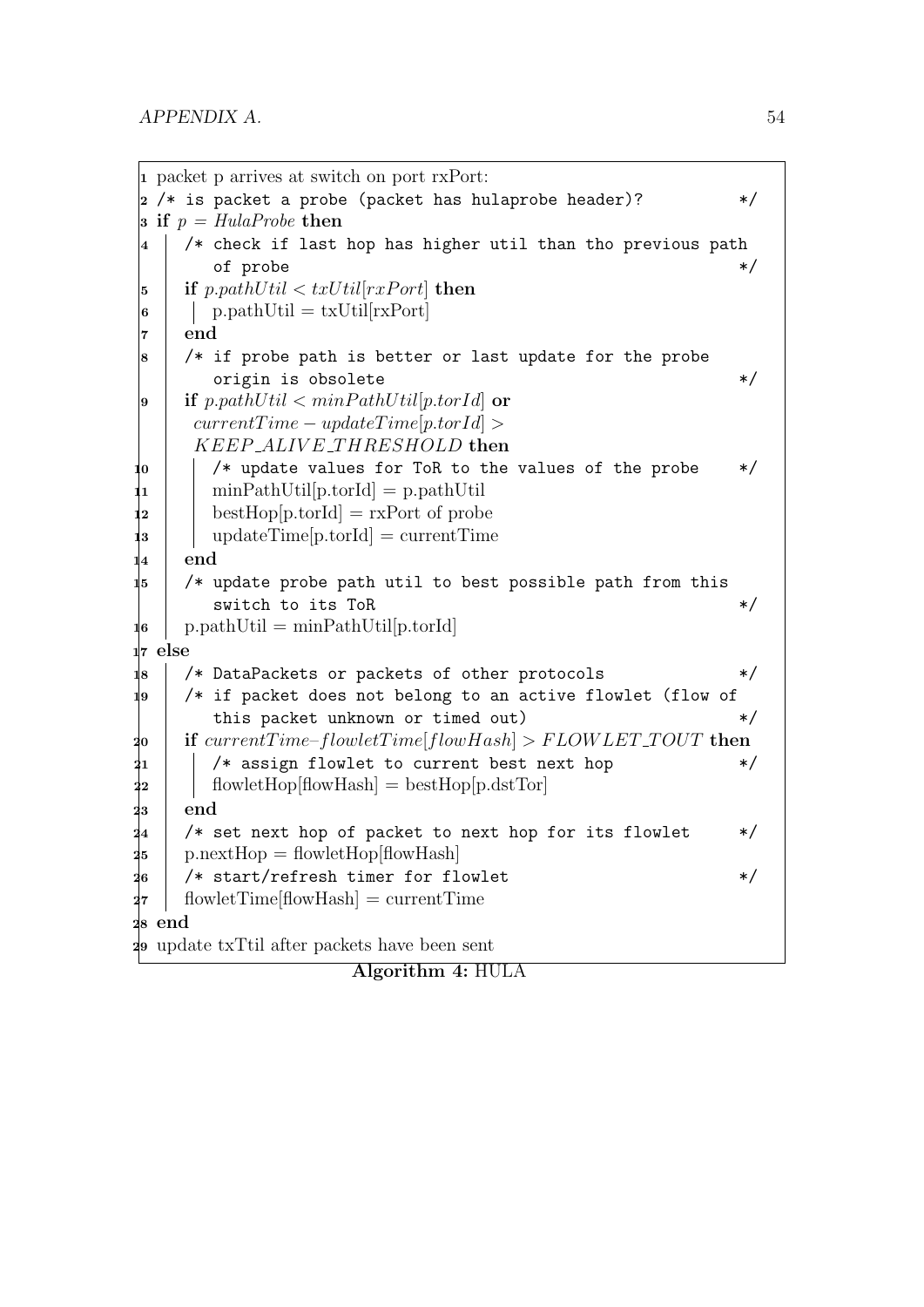```
1 packet p arrives at switch on port rxPort:
\frac{1}{2} /* is packet a probe (packet has hulaprobe header)? \frac{1}{2} */
3 if p = HulaProbe then
4 /* check if last hop has higher util than tho previous path
          of probe \ast/5 if p.pathUtil \lt txUtil[rxPort] then
 \vert \cdot \vert p.pathUtil = txUtil[rxPort]
 7 end
 8 /* if probe path is better or last update for the probe
          origin is obsolete */9 if p.pathUtil \lt minPathUtil[p.torId] or
       currentTime - updateTime[ptorId] >KEEP_ALIVE_THRESHOLD then
10 \phantom{10} /* update values for ToR to the values of the probe \phantom{1} */
\ln minPathUtil[p.torId] = p.pathUtil
\mathbf{1}_2 | bestHop[p.torId] = rxPort of probe
13 updateTime[p.torId] = currentTime
|_4 end
15 \frac{1}{15} \frac{1}{15} \frac{1}{15} \frac{1}{15} \frac{1}{15} \frac{1}{15} \frac{1}{15} \frac{1}{15} \frac{1}{15} \frac{1}{15} \frac{1}{15} \frac{1}{15} \frac{1}{15} \frac{1}{15} \frac{1}{15} \frac{1}{15} \frac{1}{15} \frac{1}{15} \frac{1}{15} \frac{1}{1switch to its ToR */\mathbf{16} | p.pathUtil = minPathUtil [p.torId]
17 else
18 \;\; /* DataPackets or packets of other protocols \;\; */ \;\;19 \mid /* if packet does not belong to an active flowlet (flow of
          this packet unknown or timed out) * /
20 if currentTime–flowletTime[flowHash] > FLOWLET_TOUT then
21 | \frac{1}{21} | \frac{1}{21} \frac{1}{21} \frac{1}{21} \frac{1}{21} \frac{1}{21} \frac{1}{21} \frac{1}{21} \frac{1}{21} \frac{1}{21} \frac{1}{21} \frac{1}{21} \frac{1}{21} \frac{1}{21} \frac{1}{21} \frac{1}{21} \frac{1}{21} \frac{1}{21} \frac{1}{21} \frac22 | flowletHop[flowHash] = bestHop[p.dstTor]
_{23} end
24 /* set next hop of packet to next hop for its flowlet *25 p.nextHop = flowletHop[flowHash]
26 /* start/refresh timer for flowlet */
27 flowletTime[flowHash] = currentTime
28 end
29 update txTtil after packets have been sent
```

```
Algorithm 4: HULA
```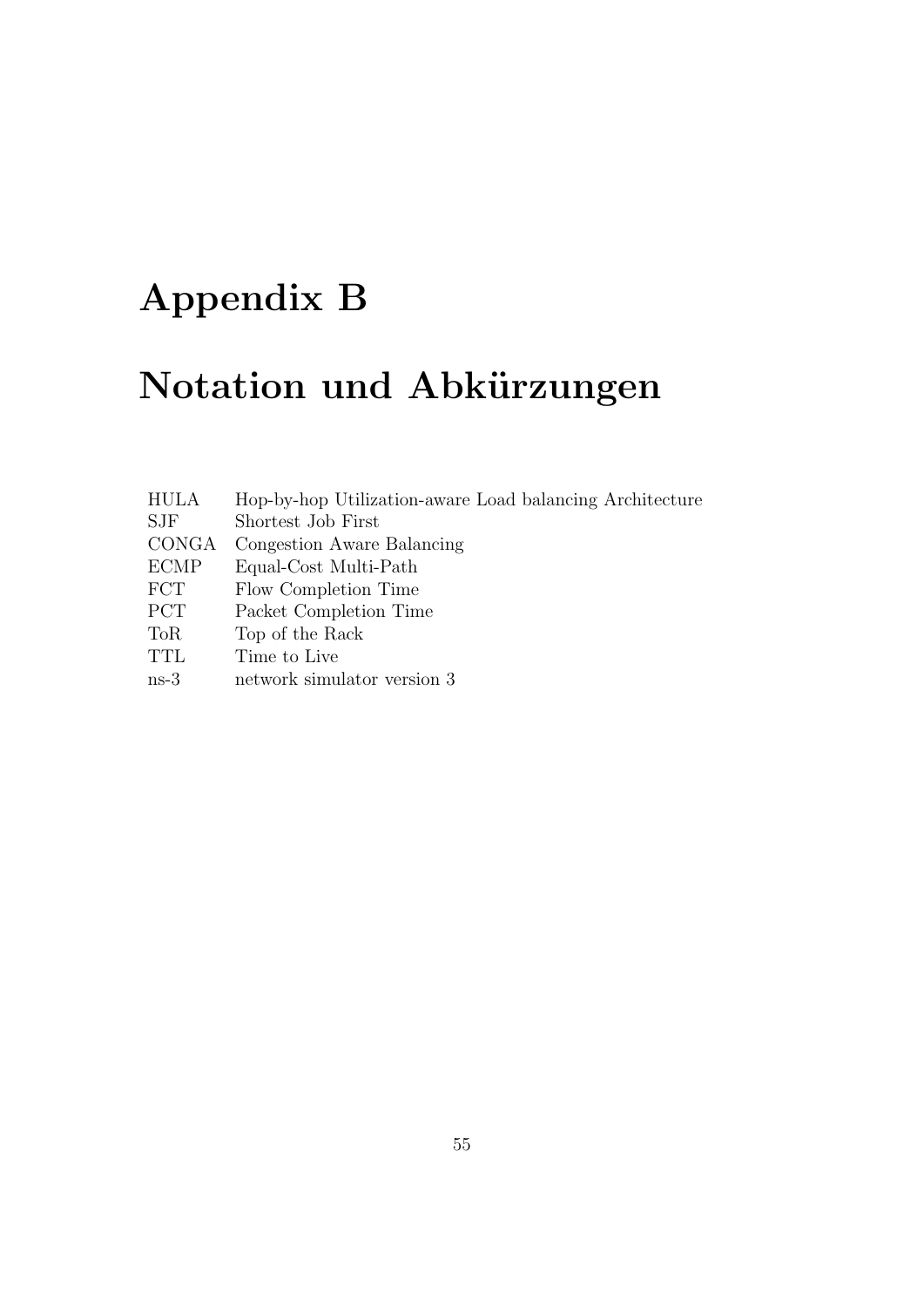# Appendix B

# Notation und Abkürzungen

| <b>HULA</b> | Hop-by-hop Utilization-aware Load balancing Architecture |
|-------------|----------------------------------------------------------|
| <b>SJF</b>  | Shortest Job First                                       |
| CONGA       | Congestion Aware Balancing                               |
| <b>ECMP</b> | Equal-Cost Multi-Path                                    |
| <b>FCT</b>  | Flow Completion Time                                     |
| <b>PCT</b>  | Packet Completion Time                                   |
| <b>ToR</b>  | Top of the Rack                                          |
| <b>TTL</b>  | Time to Live                                             |
| $ns-3$      | network simulator version 3                              |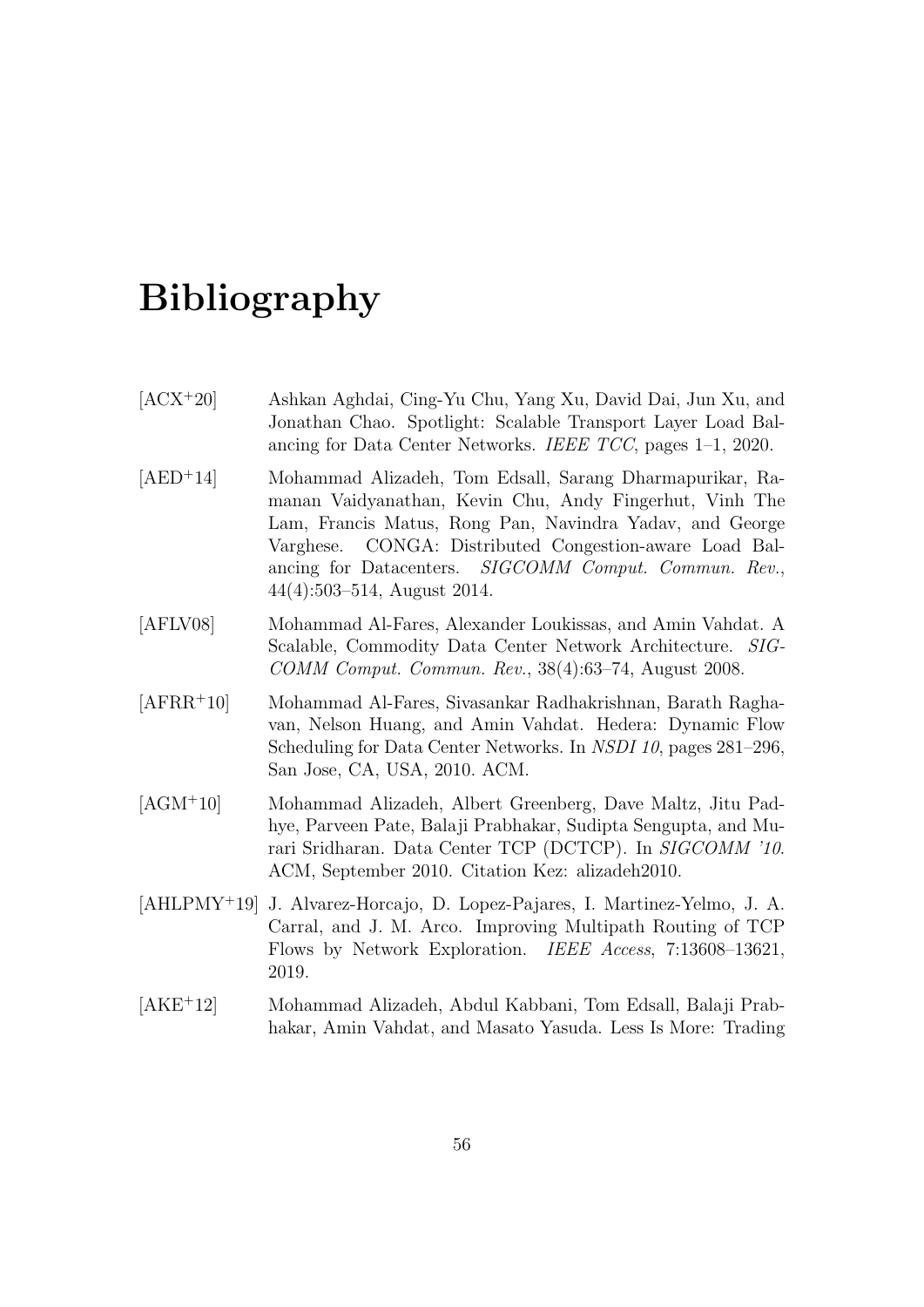## Bibliography

| $[ACX+20]$ | Ashkan Aghdai, Cing-Yu Chu, Yang Xu, David Dai, Jun Xu, and    |
|------------|----------------------------------------------------------------|
|            | Jonathan Chao. Spotlight: Scalable Transport Layer Load Bal-   |
|            | ancing for Data Center Networks. IEEE $TCC$ , pages 1–1, 2020. |

- [AED<sup>+</sup>14] Mohammad Alizadeh, Tom Edsall, Sarang Dharmapurikar, Ramanan Vaidyanathan, Kevin Chu, Andy Fingerhut, Vinh The Lam, Francis Matus, Rong Pan, Navindra Yadav, and George Varghese. CONGA: Distributed Congestion-aware Load Balancing for Datacenters. SIGCOMM Comput. Commun. Rev., 44(4):503–514, August 2014.
- [AFLV08] Mohammad Al-Fares, Alexander Loukissas, and Amin Vahdat. A Scalable, Commodity Data Center Network Architecture. SIG-COMM Comput. Commun. Rev., 38(4):63–74, August 2008.
- [AFRR<sup>+</sup>10] Mohammad Al-Fares, Sivasankar Radhakrishnan, Barath Raghavan, Nelson Huang, and Amin Vahdat. Hedera: Dynamic Flow Scheduling for Data Center Networks. In NSDI 10, pages 281–296, San Jose, CA, USA, 2010. ACM.
- [AGM<sup>+</sup>10] Mohammad Alizadeh, Albert Greenberg, Dave Maltz, Jitu Padhye, Parveen Pate, Balaji Prabhakar, Sudipta Sengupta, and Murari Sridharan. Data Center TCP (DCTCP). In SIGCOMM '10. ACM, September 2010. Citation Kez: alizadeh2010.
- [AHLPMY<sup>+</sup>19] J. Alvarez-Horcajo, D. Lopez-Pajares, I. Martinez-Yelmo, J. A. Carral, and J. M. Arco. Improving Multipath Routing of TCP Flows by Network Exploration. IEEE Access, 7:13608–13621, 2019.
- [AKE<sup>+</sup>12] Mohammad Alizadeh, Abdul Kabbani, Tom Edsall, Balaji Prabhakar, Amin Vahdat, and Masato Yasuda. Less Is More: Trading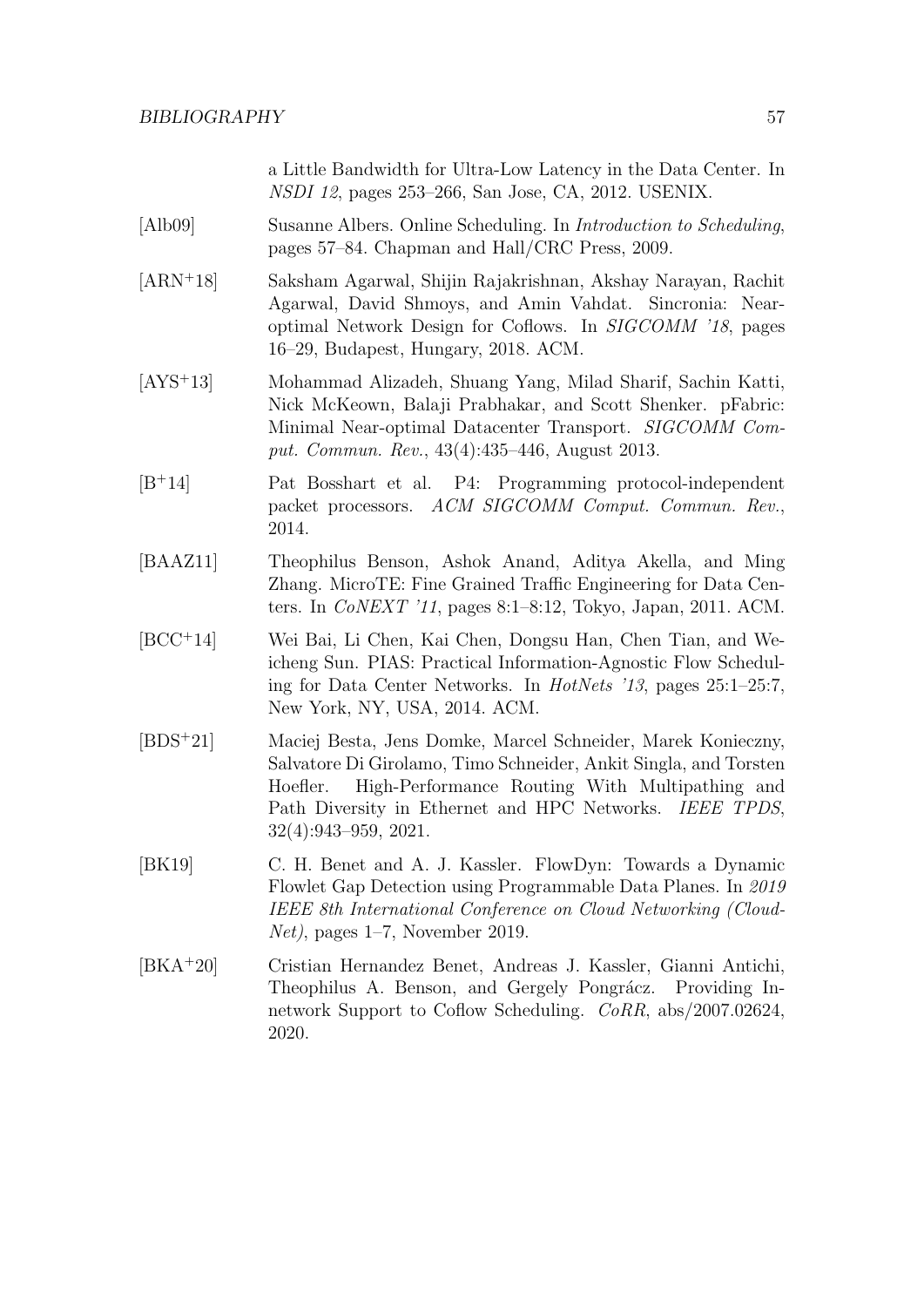a Little Bandwidth for Ultra-Low Latency in the Data Center. In NSDI 12, pages 253–266, San Jose, CA, 2012. USENIX.

- [Alb09] Susanne Albers. Online Scheduling. In Introduction to Scheduling, pages 57–84. Chapman and Hall/CRC Press, 2009.
- [ARN<sup>+</sup>18] Saksham Agarwal, Shijin Rajakrishnan, Akshay Narayan, Rachit Agarwal, David Shmoys, and Amin Vahdat. Sincronia: Nearoptimal Network Design for Coflows. In SIGCOMM '18, pages 16–29, Budapest, Hungary, 2018. ACM.
- [AYS<sup>+</sup>13] Mohammad Alizadeh, Shuang Yang, Milad Sharif, Sachin Katti, Nick McKeown, Balaji Prabhakar, and Scott Shenker. pFabric: Minimal Near-optimal Datacenter Transport. SIGCOMM Comput. Commun. Rev., 43(4):435–446, August 2013.
- [B<sup>+</sup>14] Pat Bosshart et al. P4: Programming protocol-independent packet processors. ACM SIGCOMM Comput. Commun. Rev., 2014.
- [BAAZ11] Theophilus Benson, Ashok Anand, Aditya Akella, and Ming Zhang. MicroTE: Fine Grained Traffic Engineering for Data Centers. In CoNEXT '11, pages 8:1–8:12, Tokyo, Japan, 2011. ACM.
- [BCC<sup>+</sup>14] Wei Bai, Li Chen, Kai Chen, Dongsu Han, Chen Tian, and Weicheng Sun. PIAS: Practical Information-Agnostic Flow Scheduling for Data Center Networks. In HotNets '13, pages 25:1–25:7, New York, NY, USA, 2014. ACM.
- [BDS<sup>+</sup>21] Maciej Besta, Jens Domke, Marcel Schneider, Marek Konieczny, Salvatore Di Girolamo, Timo Schneider, Ankit Singla, and Torsten Hoefler. High-Performance Routing With Multipathing and Path Diversity in Ethernet and HPC Networks. IEEE TPDS, 32(4):943–959, 2021.
- [BK19] C. H. Benet and A. J. Kassler. FlowDyn: Towards a Dynamic Flowlet Gap Detection using Programmable Data Planes. In 2019 IEEE 8th International Conference on Cloud Networking (Cloud-Net), pages 1–7, November 2019.
- [BKA<sup>+</sup>20] Cristian Hernandez Benet, Andreas J. Kassler, Gianni Antichi, Theophilus A. Benson, and Gergely Pongrácz. Providing Innetwork Support to Coflow Scheduling. CoRR, abs/2007.02624, 2020.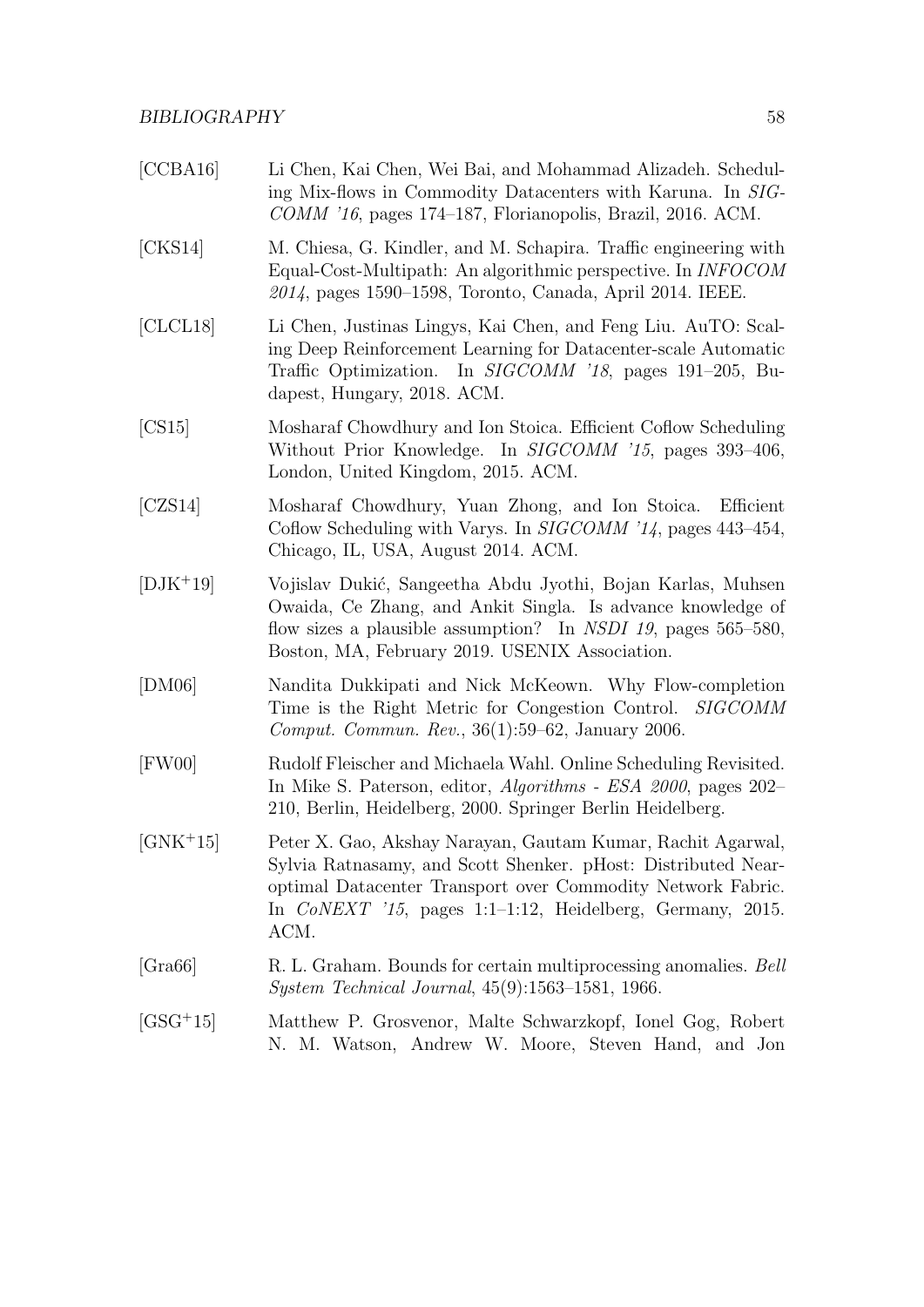| [CCBA16]   | Li Chen, Kai Chen, Wei Bai, and Mohammad Alizadeh. Schedul-<br>ing Mix-flows in Commodity Datacenters with Karuna. In SIG-<br>$COMM$ '16, pages 174–187, Florianopolis, Brazil, 2016. ACM.                                                                         |
|------------|--------------------------------------------------------------------------------------------------------------------------------------------------------------------------------------------------------------------------------------------------------------------|
| [CKS14]    | M. Chiesa, G. Kindler, and M. Schapira. Traffic engineering with<br>Equal-Cost-Multipath: An algorithmic perspective. In <i>INFOCOM</i><br>2014, pages 1590–1598, Toronto, Canada, April 2014. IEEE.                                                               |
| [CLCL18]   | Li Chen, Justinas Lingys, Kai Chen, and Feng Liu. AuTO: Scal-<br>ing Deep Reinforcement Learning for Datacenter-scale Automatic<br>Traffic Optimization. In SIGCOMM '18, pages 191-205, Bu-<br>dapest, Hungary, 2018. ACM.                                         |
| [CS15]     | Mosharaf Chowdhury and Ion Stoica. Efficient Coflow Scheduling<br>Without Prior Knowledge. In <i>SIGCOMM</i> '15, pages 393-406,<br>London, United Kingdom, 2015. ACM.                                                                                             |
| [CZS14]    | Mosharaf Chowdhury, Yuan Zhong, and Ion Stoica.<br>Efficient<br>Coflow Scheduling with Varys. In <i>SIGCOMM</i> '14, pages 443-454,<br>Chicago, IL, USA, August 2014. ACM.                                                                                         |
| $[DJK+19]$ | Vojislav Dukić, Sangeetha Abdu Jyothi, Bojan Karlas, Muhsen<br>Owaida, Ce Zhang, and Ankit Singla. Is advance knowledge of<br>flow sizes a plausible assumption? In NSDI 19, pages $565-580$ ,<br>Boston, MA, February 2019. USENIX Association.                   |
| [DM06]     | Nandita Dukkipati and Nick McKeown. Why Flow-completion<br>Time is the Right Metric for Congestion Control. SIGCOMM<br><i>Comput. Commun. Rev.</i> , $36(1):59-62$ , January 2006.                                                                                 |
| [FW00]     | Rudolf Fleischer and Michaela Wahl. Online Scheduling Revisited.<br>In Mike S. Paterson, editor, <i>Algorithms - ESA 2000</i> , pages 202-<br>210, Berlin, Heidelberg, 2000. Springer Berlin Heidelberg.                                                           |
| $[GNK+15]$ | Peter X. Gao, Akshay Narayan, Gautam Kumar, Rachit Agarwal,<br>Sylvia Ratnasamy, and Scott Shenker. pHost: Distributed Near-<br>optimal Datacenter Transport over Commodity Network Fabric.<br>In $CoNEXT$ '15, pages 1:1-1:12, Heidelberg, Germany, 2015.<br>ACM. |
| [Gra66]    | R. L. Graham. Bounds for certain multiprocessing anomalies. Bell<br><i>System Technical Journal</i> , $45(9):1563-1581$ , 1966.                                                                                                                                    |
|            |                                                                                                                                                                                                                                                                    |

[GSG<sup>+</sup>15] Matthew P. Grosvenor, Malte Schwarzkopf, Ionel Gog, Robert N. M. Watson, Andrew W. Moore, Steven Hand, and Jon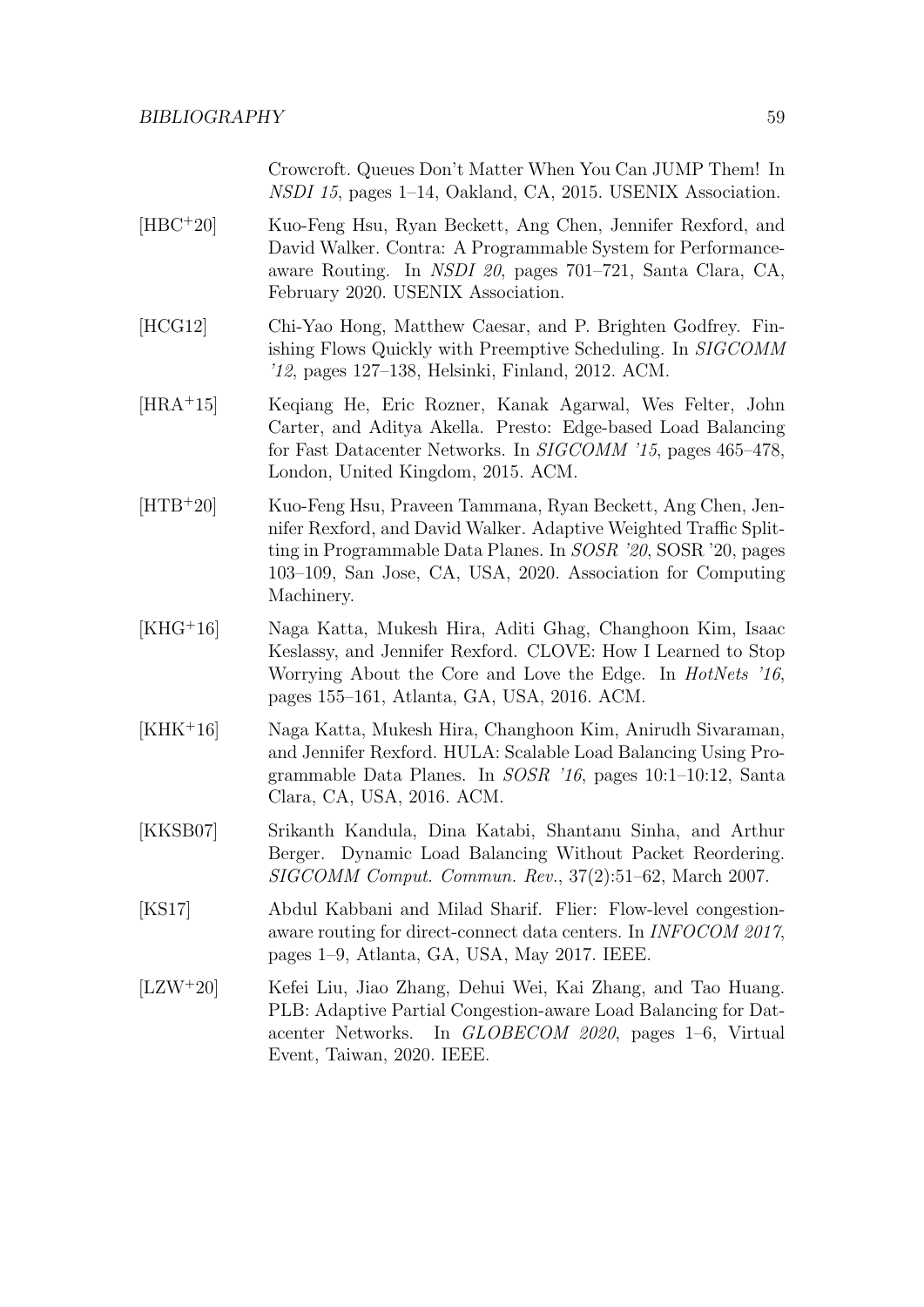Crowcroft. Queues Don't Matter When You Can JUMP Them! In NSDI 15, pages 1–14, Oakland, CA, 2015. USENIX Association.

- [HBC<sup>+</sup>20] Kuo-Feng Hsu, Ryan Beckett, Ang Chen, Jennifer Rexford, and David Walker. Contra: A Programmable System for Performanceaware Routing. In NSDI 20, pages 701–721, Santa Clara, CA, February 2020. USENIX Association.
- [HCG12] Chi-Yao Hong, Matthew Caesar, and P. Brighten Godfrey. Finishing Flows Quickly with Preemptive Scheduling. In SIGCOMM '12, pages 127–138, Helsinki, Finland, 2012. ACM.
- [HRA<sup>+</sup>15] Keqiang He, Eric Rozner, Kanak Agarwal, Wes Felter, John Carter, and Aditya Akella. Presto: Edge-based Load Balancing for Fast Datacenter Networks. In SIGCOMM '15, pages 465–478, London, United Kingdom, 2015. ACM.
- [HTB<sup>+</sup>20] Kuo-Feng Hsu, Praveen Tammana, Ryan Beckett, Ang Chen, Jennifer Rexford, and David Walker. Adaptive Weighted Traffic Splitting in Programmable Data Planes. In SOSR '20, SOSR '20, pages 103–109, San Jose, CA, USA, 2020. Association for Computing Machinery.
- [KHG<sup>+</sup>16] Naga Katta, Mukesh Hira, Aditi Ghag, Changhoon Kim, Isaac Keslassy, and Jennifer Rexford. CLOVE: How I Learned to Stop Worrying About the Core and Love the Edge. In HotNets '16, pages 155–161, Atlanta, GA, USA, 2016. ACM.
- [KHK<sup>+</sup>16] Naga Katta, Mukesh Hira, Changhoon Kim, Anirudh Sivaraman, and Jennifer Rexford. HULA: Scalable Load Balancing Using Programmable Data Planes. In SOSR '16, pages 10:1–10:12, Santa Clara, CA, USA, 2016. ACM.
- [KKSB07] Srikanth Kandula, Dina Katabi, Shantanu Sinha, and Arthur Berger. Dynamic Load Balancing Without Packet Reordering. SIGCOMM Comput. Commun. Rev., 37(2):51–62, March 2007.
- [KS17] Abdul Kabbani and Milad Sharif. Flier: Flow-level congestionaware routing for direct-connect data centers. In INFOCOM 2017, pages 1–9, Atlanta, GA, USA, May 2017. IEEE.
- [LZW<sup>+</sup>20] Kefei Liu, Jiao Zhang, Dehui Wei, Kai Zhang, and Tao Huang. PLB: Adaptive Partial Congestion-aware Load Balancing for Datacenter Networks. In GLOBECOM 2020, pages 1–6, Virtual Event, Taiwan, 2020. IEEE.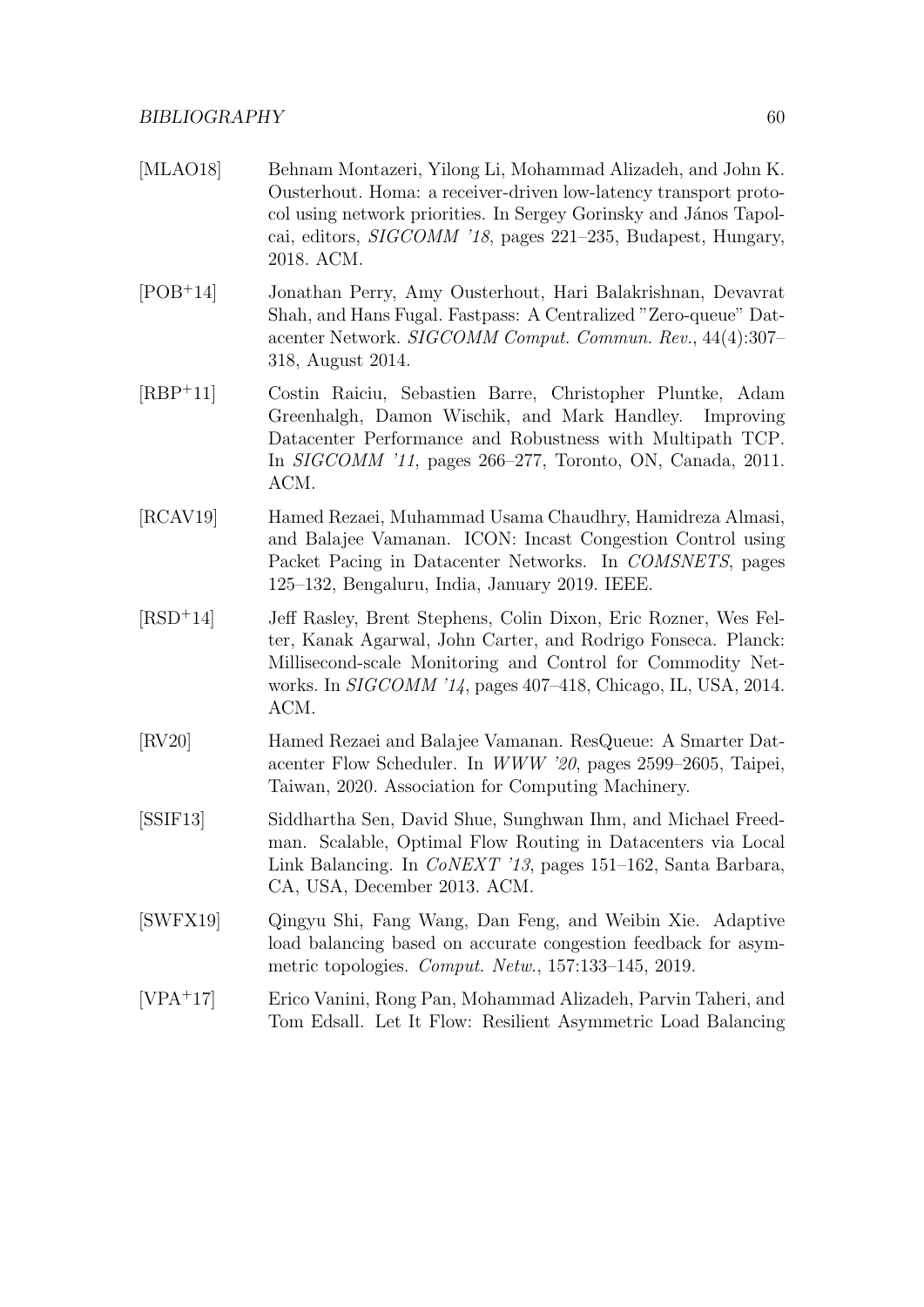- [MLAO18] Behnam Montazeri, Yilong Li, Mohammad Alizadeh, and John K. Ousterhout. Homa: a receiver-driven low-latency transport protocol using network priorities. In Sergey Gorinsky and János Tapolcai, editors, SIGCOMM '18, pages 221–235, Budapest, Hungary, 2018. ACM.
- [POB<sup>+</sup>14] Jonathan Perry, Amy Ousterhout, Hari Balakrishnan, Devavrat Shah, and Hans Fugal. Fastpass: A Centralized "Zero-queue" Datacenter Network. SIGCOMM Comput. Commun. Rev., 44(4):307– 318, August 2014.
- [RBP<sup>+</sup>11] Costin Raiciu, Sebastien Barre, Christopher Pluntke, Adam Greenhalgh, Damon Wischik, and Mark Handley. Improving Datacenter Performance and Robustness with Multipath TCP. In SIGCOMM '11, pages 266–277, Toronto, ON, Canada, 2011. ACM.
- [RCAV19] Hamed Rezaei, Muhammad Usama Chaudhry, Hamidreza Almasi, and Balajee Vamanan. ICON: Incast Congestion Control using Packet Pacing in Datacenter Networks. In COMSNETS, pages 125–132, Bengaluru, India, January 2019. IEEE.
- [RSD<sup>+</sup>14] Jeff Rasley, Brent Stephens, Colin Dixon, Eric Rozner, Wes Felter, Kanak Agarwal, John Carter, and Rodrigo Fonseca. Planck: Millisecond-scale Monitoring and Control for Commodity Networks. In SIGCOMM '14, pages 407–418, Chicago, IL, USA, 2014. ACM.
- [RV20] Hamed Rezaei and Balajee Vamanan. ResQueue: A Smarter Datacenter Flow Scheduler. In WWW '20, pages 2599–2605, Taipei, Taiwan, 2020. Association for Computing Machinery.
- [SSIF13] Siddhartha Sen, David Shue, Sunghwan Ihm, and Michael Freedman. Scalable, Optimal Flow Routing in Datacenters via Local Link Balancing. In CoNEXT '13, pages 151–162, Santa Barbara, CA, USA, December 2013. ACM.
- [SWFX19] Qingyu Shi, Fang Wang, Dan Feng, and Weibin Xie. Adaptive load balancing based on accurate congestion feedback for asymmetric topologies. Comput. Netw., 157:133–145, 2019.
- [VPA<sup>+</sup>17] Erico Vanini, Rong Pan, Mohammad Alizadeh, Parvin Taheri, and Tom Edsall. Let It Flow: Resilient Asymmetric Load Balancing